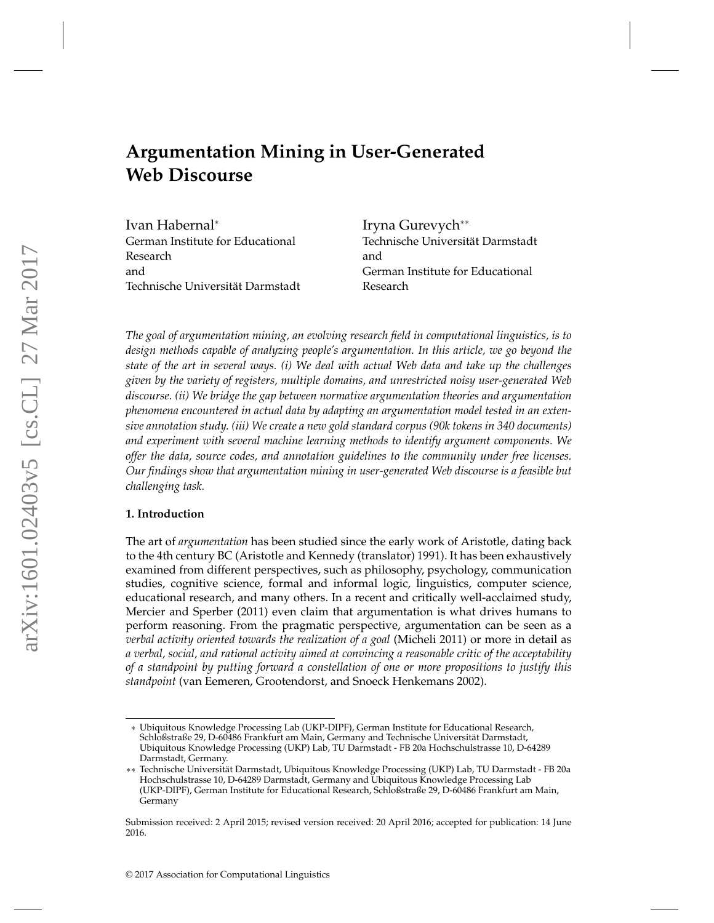# **Argumentation Mining in User-Generated Web Discourse**

Ivan Habernal<sup>∗</sup> German Institute for Educational Research and Technische Universität Darmstadt Iryna Gurevych∗∗ Technische Universität Darmstadt and German Institute for Educational Research

*The goal of argumentation mining, an evolving research field in computational linguistics, is to design methods capable of analyzing people's argumentation. In this article, we go beyond the state of the art in several ways. (i) We deal with actual Web data and take up the challenges given by the variety of registers, multiple domains, and unrestricted noisy user-generated Web discourse. (ii) We bridge the gap between normative argumentation theories and argumentation phenomena encountered in actual data by adapting an argumentation model tested in an extensive annotation study. (iii) We create a new gold standard corpus (90k tokens in 340 documents) and experiment with several machine learning methods to identify argument components. We offer the data, source codes, and annotation guidelines to the community under free licenses. Our findings show that argumentation mining in user-generated Web discourse is a feasible but challenging task.*

# **1. Introduction**

The art of *argumentation* has been studied since the early work of Aristotle, dating back to the 4th century BC (Aristotle and Kennedy (translator) 1991). It has been exhaustively examined from different perspectives, such as philosophy, psychology, communication studies, cognitive science, formal and informal logic, linguistics, computer science, educational research, and many others. In a recent and critically well-acclaimed study, Mercier and Sperber (2011) even claim that argumentation is what drives humans to perform reasoning. From the pragmatic perspective, argumentation can be seen as a *verbal activity oriented towards the realization of a goal* (Micheli 2011) or more in detail as *a verbal, social, and rational activity aimed at convincing a reasonable critic of the acceptability of a standpoint by putting forward a constellation of one or more propositions to justify this standpoint* (van Eemeren, Grootendorst, and Snoeck Henkemans 2002).

<sup>∗</sup> Ubiquitous Knowledge Processing Lab (UKP-DIPF), German Institute for Educational Research, Schloßstraße 29, D-60486 Frankfurt am Main, Germany and Technische Universität Darmstadt, Ubiquitous Knowledge Processing (UKP) Lab, TU Darmstadt - FB 20a Hochschulstrasse 10, D-64289 Darmstadt, Germany.

<sup>∗∗</sup> Technische Universität Darmstadt, Ubiquitous Knowledge Processing (UKP) Lab, TU Darmstadt - FB 20a Hochschulstrasse 10, D-64289 Darmstadt, Germany and Ubiquitous Knowledge Processing Lab (UKP-DIPF), German Institute for Educational Research, Schloßstraße 29, D-60486 Frankfurt am Main, Germany

Submission received: 2 April 2015; revised version received: 20 April 2016; accepted for publication: 14 June 2016.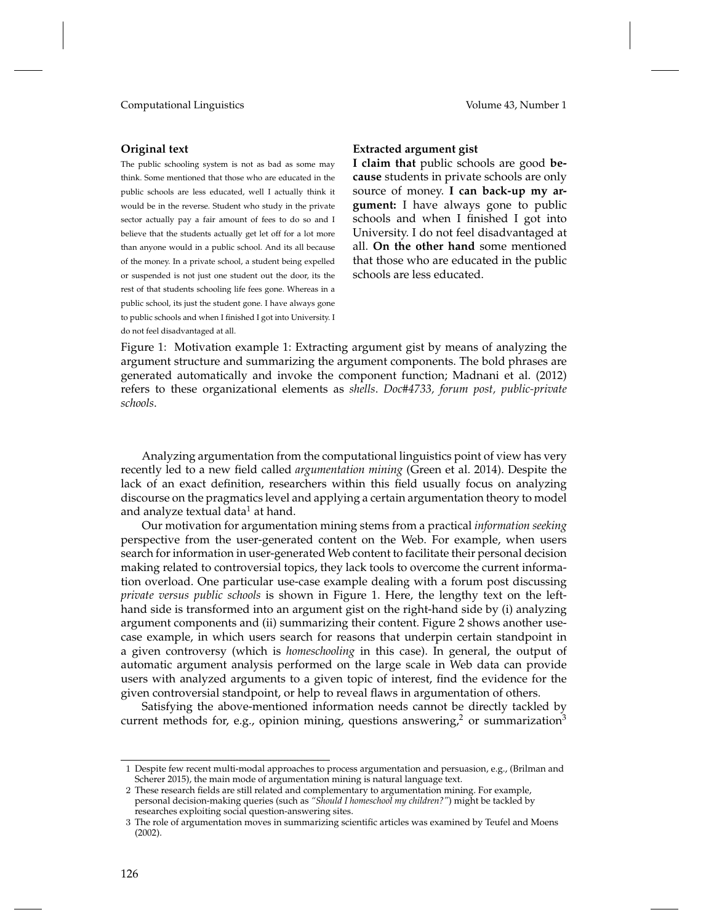## **Original text**

The public schooling system is not as bad as some may think. Some mentioned that those who are educated in the public schools are less educated, well I actually think it would be in the reverse. Student who study in the private sector actually pay a fair amount of fees to do so and I believe that the students actually get let off for a lot more than anyone would in a public school. And its all because of the money. In a private school, a student being expelled or suspended is not just one student out the door, its the rest of that students schooling life fees gone. Whereas in a public school, its just the student gone. I have always gone to public schools and when I finished I got into University. I do not feel disadvantaged at all.

#### **Extracted argument gist**

**I claim that** public schools are good **because** students in private schools are only source of money. **I can back-up my argument:** I have always gone to public schools and when I finished I got into University. I do not feel disadvantaged at all. **On the other hand** some mentioned that those who are educated in the public schools are less educated.

Figure 1: Motivation example 1: Extracting argument gist by means of analyzing the argument structure and summarizing the argument components. The bold phrases are generated automatically and invoke the component function; Madnani et al. (2012) refers to these organizational elements as *shells*. *Doc#4733, forum post, public-private schools*.

Analyzing argumentation from the computational linguistics point of view has very recently led to a new field called *argumentation mining* (Green et al. 2014). Despite the lack of an exact definition, researchers within this field usually focus on analyzing discourse on the pragmatics level and applying a certain argumentation theory to model and analyze textual data $<sup>1</sup>$  at hand.</sup>

Our motivation for argumentation mining stems from a practical *information seeking* perspective from the user-generated content on the Web. For example, when users search for information in user-generated Web content to facilitate their personal decision making related to controversial topics, they lack tools to overcome the current information overload. One particular use-case example dealing with a forum post discussing *private versus public schools* is shown in Figure 1. Here, the lengthy text on the lefthand side is transformed into an argument gist on the right-hand side by (i) analyzing argument components and (ii) summarizing their content. Figure 2 shows another usecase example, in which users search for reasons that underpin certain standpoint in a given controversy (which is *homeschooling* in this case). In general, the output of automatic argument analysis performed on the large scale in Web data can provide users with analyzed arguments to a given topic of interest, find the evidence for the given controversial standpoint, or help to reveal flaws in argumentation of others.

Satisfying the above-mentioned information needs cannot be directly tackled by current methods for, e.g., opinion mining, questions answering,<sup>2</sup> or summarization<sup>3</sup>

<sup>1</sup> Despite few recent multi-modal approaches to process argumentation and persuasion, e.g., (Brilman and Scherer 2015), the main mode of argumentation mining is natural language text.

<sup>2</sup> These research fields are still related and complementary to argumentation mining. For example, personal decision-making queries (such as *"Should I homeschool my children?"*) might be tackled by researches exploiting social question-answering sites.

<sup>3</sup> The role of argumentation moves in summarizing scientific articles was examined by Teufel and Moens (2002).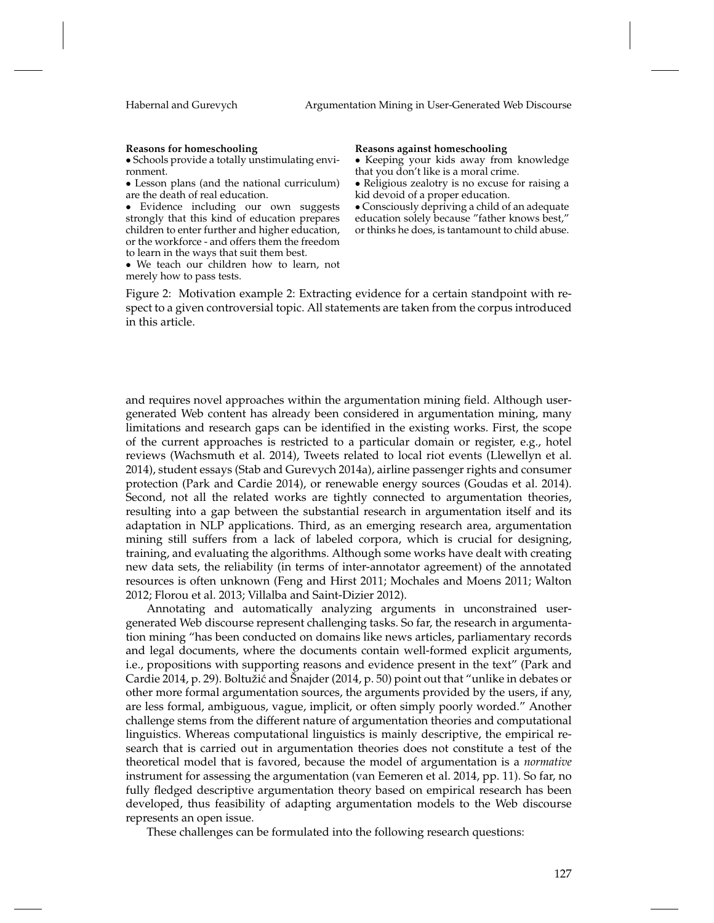#### **Reasons for homeschooling**

• Schools provide a totally unstimulating environment.

• Lesson plans (and the national curriculum) are the death of real education.

• Evidence including our own suggests strongly that this kind of education prepares children to enter further and higher education, or the workforce - and offers them the freedom to learn in the ways that suit them best.

• We teach our children how to learn, not merely how to pass tests.

#### **Reasons against homeschooling**

• Keeping your kids away from knowledge that you don't like is a moral crime.

• Religious zealotry is no excuse for raising a kid devoid of a proper education.

• Consciously depriving a child of an adequate education solely because "father knows best," or thinks he does, is tantamount to child abuse.

Figure 2: Motivation example 2: Extracting evidence for a certain standpoint with respect to a given controversial topic. All statements are taken from the corpus introduced in this article.

and requires novel approaches within the argumentation mining field. Although usergenerated Web content has already been considered in argumentation mining, many limitations and research gaps can be identified in the existing works. First, the scope of the current approaches is restricted to a particular domain or register, e.g., hotel reviews (Wachsmuth et al. 2014), Tweets related to local riot events (Llewellyn et al. 2014), student essays (Stab and Gurevych 2014a), airline passenger rights and consumer protection (Park and Cardie 2014), or renewable energy sources (Goudas et al. 2014). Second, not all the related works are tightly connected to argumentation theories, resulting into a gap between the substantial research in argumentation itself and its adaptation in NLP applications. Third, as an emerging research area, argumentation mining still suffers from a lack of labeled corpora, which is crucial for designing, training, and evaluating the algorithms. Although some works have dealt with creating new data sets, the reliability (in terms of inter-annotator agreement) of the annotated resources is often unknown (Feng and Hirst 2011; Mochales and Moens 2011; Walton 2012; Florou et al. 2013; Villalba and Saint-Dizier 2012).

Annotating and automatically analyzing arguments in unconstrained usergenerated Web discourse represent challenging tasks. So far, the research in argumentation mining "has been conducted on domains like news articles, parliamentary records and legal documents, where the documents contain well-formed explicit arguments, i.e., propositions with supporting reasons and evidence present in the text" (Park and Cardie 2014, p. 29). Boltužić and Snajder (2014, p. 50) point out that "unlike in debates or other more formal argumentation sources, the arguments provided by the users, if any, are less formal, ambiguous, vague, implicit, or often simply poorly worded." Another challenge stems from the different nature of argumentation theories and computational linguistics. Whereas computational linguistics is mainly descriptive, the empirical research that is carried out in argumentation theories does not constitute a test of the theoretical model that is favored, because the model of argumentation is a *normative* instrument for assessing the argumentation (van Eemeren et al. 2014, pp. 11). So far, no fully fledged descriptive argumentation theory based on empirical research has been developed, thus feasibility of adapting argumentation models to the Web discourse represents an open issue.

These challenges can be formulated into the following research questions: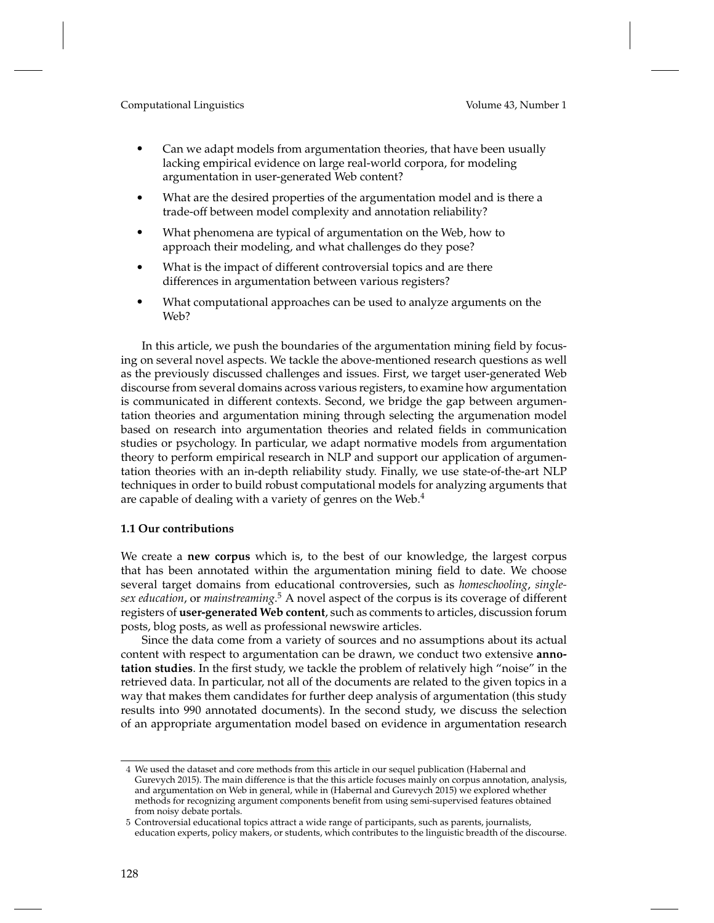- Can we adapt models from argumentation theories, that have been usually lacking empirical evidence on large real-world corpora, for modeling argumentation in user-generated Web content?
- What are the desired properties of the argumentation model and is there a trade-off between model complexity and annotation reliability?
- What phenomena are typical of argumentation on the Web, how to approach their modeling, and what challenges do they pose?
- What is the impact of different controversial topics and are there differences in argumentation between various registers?
- What computational approaches can be used to analyze arguments on the Web?

In this article, we push the boundaries of the argumentation mining field by focusing on several novel aspects. We tackle the above-mentioned research questions as well as the previously discussed challenges and issues. First, we target user-generated Web discourse from several domains across various registers, to examine how argumentation is communicated in different contexts. Second, we bridge the gap between argumentation theories and argumentation mining through selecting the argumenation model based on research into argumentation theories and related fields in communication studies or psychology. In particular, we adapt normative models from argumentation theory to perform empirical research in NLP and support our application of argumentation theories with an in-depth reliability study. Finally, we use state-of-the-art NLP techniques in order to build robust computational models for analyzing arguments that are capable of dealing with a variety of genres on the Web. $4$ 

### **1.1 Our contributions**

We create a **new corpus** which is, to the best of our knowledge, the largest corpus that has been annotated within the argumentation mining field to date. We choose several target domains from educational controversies, such as *homeschooling*, *singlesex education*, or *mainstreaming*. <sup>5</sup> A novel aspect of the corpus is its coverage of different registers of **user-generated Web content**, such as comments to articles, discussion forum posts, blog posts, as well as professional newswire articles.

Since the data come from a variety of sources and no assumptions about its actual content with respect to argumentation can be drawn, we conduct two extensive **annotation studies**. In the first study, we tackle the problem of relatively high "noise" in the retrieved data. In particular, not all of the documents are related to the given topics in a way that makes them candidates for further deep analysis of argumentation (this study results into 990 annotated documents). In the second study, we discuss the selection of an appropriate argumentation model based on evidence in argumentation research

<sup>4</sup> We used the dataset and core methods from this article in our sequel publication (Habernal and Gurevych 2015). The main difference is that the this article focuses mainly on corpus annotation, analysis, and argumentation on Web in general, while in (Habernal and Gurevych 2015) we explored whether methods for recognizing argument components benefit from using semi-supervised features obtained from noisy debate portals.

<sup>5</sup> Controversial educational topics attract a wide range of participants, such as parents, journalists, education experts, policy makers, or students, which contributes to the linguistic breadth of the discourse.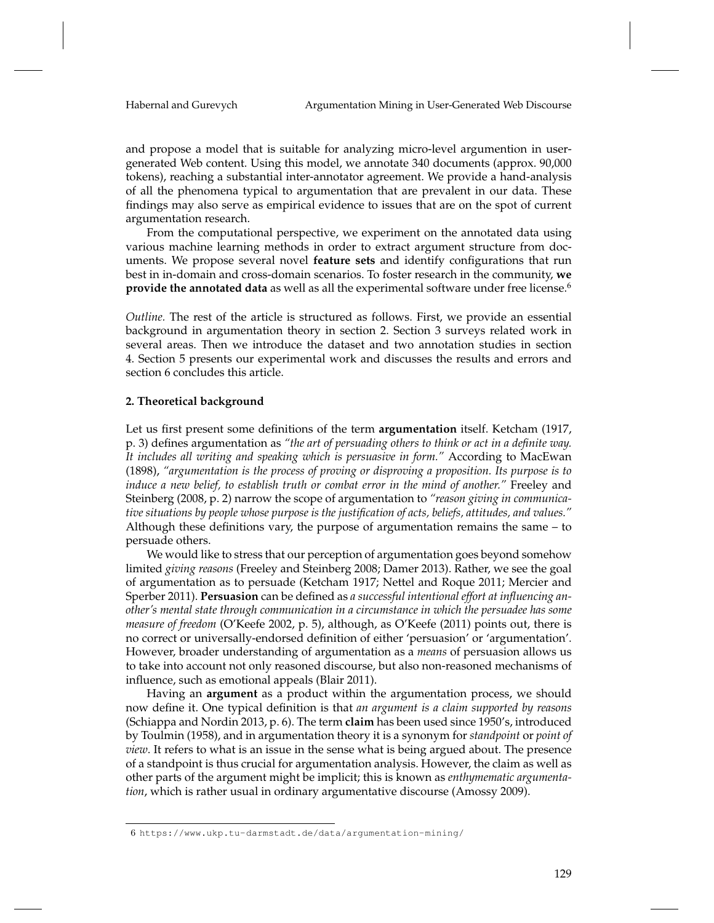and propose a model that is suitable for analyzing micro-level argumention in usergenerated Web content. Using this model, we annotate 340 documents (approx. 90,000 tokens), reaching a substantial inter-annotator agreement. We provide a hand-analysis of all the phenomena typical to argumentation that are prevalent in our data. These findings may also serve as empirical evidence to issues that are on the spot of current argumentation research.

From the computational perspective, we experiment on the annotated data using various machine learning methods in order to extract argument structure from documents. We propose several novel **feature sets** and identify configurations that run best in in-domain and cross-domain scenarios. To foster research in the community, **we provide the annotated data** as well as all the experimental software under free license.<sup>6</sup>

*Outline.* The rest of the article is structured as follows. First, we provide an essential background in argumentation theory in section 2. Section 3 surveys related work in several areas. Then we introduce the dataset and two annotation studies in section 4. Section 5 presents our experimental work and discusses the results and errors and section 6 concludes this article.

# **2. Theoretical background**

Let us first present some definitions of the term **argumentation** itself. Ketcham (1917, p. 3) defines argumentation as *"the art of persuading others to think or act in a definite way. It includes all writing and speaking which is persuasive in form."* According to MacEwan (1898), *"argumentation is the process of proving or disproving a proposition. Its purpose is to induce a new belief, to establish truth or combat error in the mind of another."* Freeley and Steinberg (2008, p. 2) narrow the scope of argumentation to *"reason giving in communicative situations by people whose purpose is the justification of acts, beliefs, attitudes, and values."* Although these definitions vary, the purpose of argumentation remains the same – to persuade others.

We would like to stress that our perception of argumentation goes beyond somehow limited *giving reasons* (Freeley and Steinberg 2008; Damer 2013). Rather, we see the goal of argumentation as to persuade (Ketcham 1917; Nettel and Roque 2011; Mercier and Sperber 2011). **Persuasion** can be defined as *a successful intentional effort at influencing another's mental state through communication in a circumstance in which the persuadee has some measure of freedom* (O'Keefe 2002, p. 5), although, as O'Keefe (2011) points out, there is no correct or universally-endorsed definition of either 'persuasion' or 'argumentation'. However, broader understanding of argumentation as a *means* of persuasion allows us to take into account not only reasoned discourse, but also non-reasoned mechanisms of influence, such as emotional appeals (Blair 2011).

Having an **argument** as a product within the argumentation process, we should now define it. One typical definition is that *an argument is a claim supported by reasons* (Schiappa and Nordin 2013, p. 6). The term **claim** has been used since 1950's, introduced by Toulmin (1958), and in argumentation theory it is a synonym for *standpoint* or *point of view*. It refers to what is an issue in the sense what is being argued about. The presence of a standpoint is thus crucial for argumentation analysis. However, the claim as well as other parts of the argument might be implicit; this is known as *enthymematic argumentation*, which is rather usual in ordinary argumentative discourse (Amossy 2009).

<sup>6</sup> https://www.ukp.tu-darmstadt.de/data/argumentation-mining/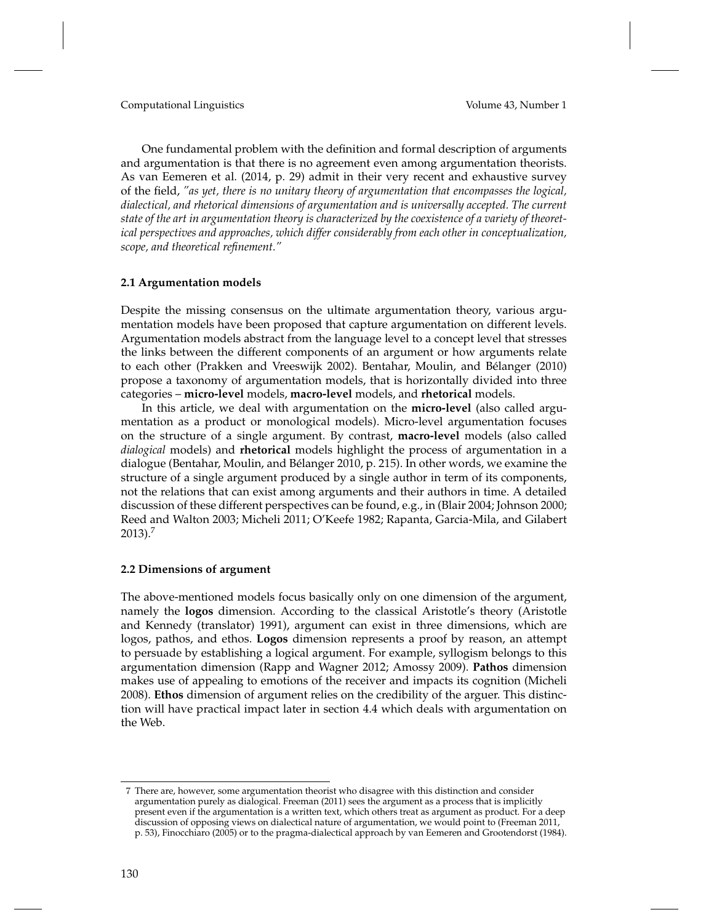One fundamental problem with the definition and formal description of arguments and argumentation is that there is no agreement even among argumentation theorists. As van Eemeren et al. (2014, p. 29) admit in their very recent and exhaustive survey of the field, *"as yet, there is no unitary theory of argumentation that encompasses the logical, dialectical, and rhetorical dimensions of argumentation and is universally accepted. The current state of the art in argumentation theory is characterized by the coexistence of a variety of theoretical perspectives and approaches, which differ considerably from each other in conceptualization, scope, and theoretical refinement."*

# **2.1 Argumentation models**

Despite the missing consensus on the ultimate argumentation theory, various argumentation models have been proposed that capture argumentation on different levels. Argumentation models abstract from the language level to a concept level that stresses the links between the different components of an argument or how arguments relate to each other (Prakken and Vreeswijk 2002). Bentahar, Moulin, and Bélanger (2010) propose a taxonomy of argumentation models, that is horizontally divided into three categories – **micro-level** models, **macro-level** models, and **rhetorical** models.

In this article, we deal with argumentation on the **micro-level** (also called argumentation as a product or monological models). Micro-level argumentation focuses on the structure of a single argument. By contrast, **macro-level** models (also called *dialogical* models) and **rhetorical** models highlight the process of argumentation in a dialogue (Bentahar, Moulin, and Bélanger 2010, p. 215). In other words, we examine the structure of a single argument produced by a single author in term of its components, not the relations that can exist among arguments and their authors in time. A detailed discussion of these different perspectives can be found, e.g., in (Blair 2004; Johnson 2000; Reed and Walton 2003; Micheli 2011; O'Keefe 1982; Rapanta, Garcia-Mila, and Gilabert 2013).<sup>7</sup>

# **2.2 Dimensions of argument**

The above-mentioned models focus basically only on one dimension of the argument, namely the **logos** dimension. According to the classical Aristotle's theory (Aristotle and Kennedy (translator) 1991), argument can exist in three dimensions, which are logos, pathos, and ethos. **Logos** dimension represents a proof by reason, an attempt to persuade by establishing a logical argument. For example, syllogism belongs to this argumentation dimension (Rapp and Wagner 2012; Amossy 2009). **Pathos** dimension makes use of appealing to emotions of the receiver and impacts its cognition (Micheli 2008). **Ethos** dimension of argument relies on the credibility of the arguer. This distinction will have practical impact later in section 4.4 which deals with argumentation on the Web.

<sup>7</sup> There are, however, some argumentation theorist who disagree with this distinction and consider argumentation purely as dialogical. Freeman (2011) sees the argument as a process that is implicitly present even if the argumentation is a written text, which others treat as argument as product. For a deep discussion of opposing views on dialectical nature of argumentation, we would point to (Freeman 2011, p. 53), Finocchiaro (2005) or to the pragma-dialectical approach by van Eemeren and Grootendorst (1984).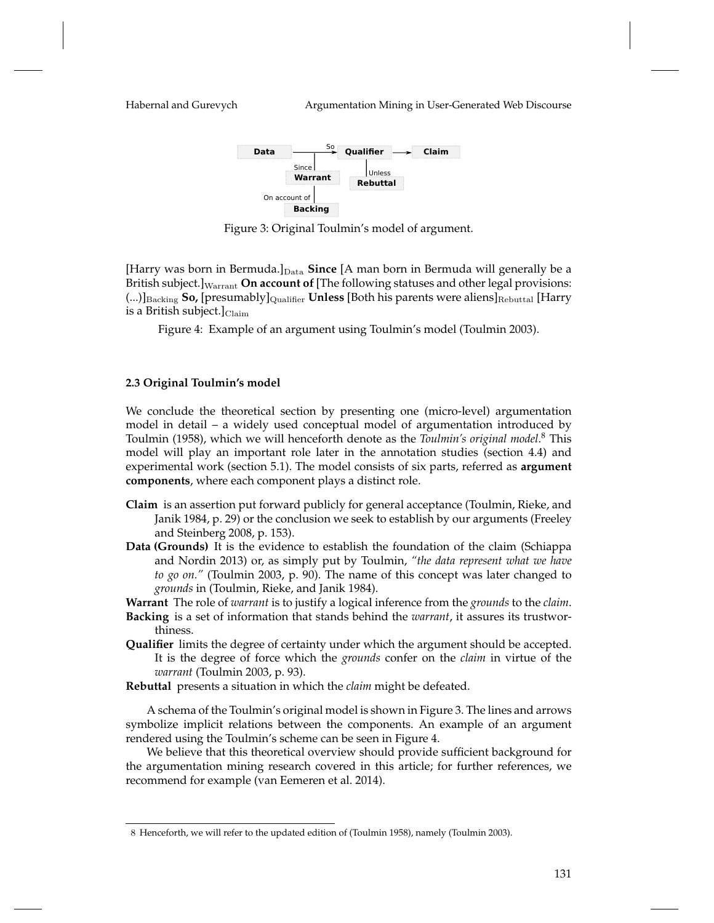

Figure 3: Original Toulmin's model of argument.

[Harry was born in Bermuda.]<sub>Data</sub> **Since** [A man born in Bermuda will generally be a British subject.]Warrant **On account of** [The following statuses and other legal provisions: (...)]Backing **So,** [presumably]Qualifier **Unless** [Both his parents were aliens]Rebuttal [Harry is a British subject.] $_{\text{Claim}}$ 

Figure 4: Example of an argument using Toulmin's model (Toulmin 2003).

# **2.3 Original Toulmin's model**

We conclude the theoretical section by presenting one (micro-level) argumentation model in detail – a widely used conceptual model of argumentation introduced by Toulmin (1958), which we will henceforth denote as the *Toulmin's original model*. <sup>8</sup> This model will play an important role later in the annotation studies (section 4.4) and experimental work (section 5.1). The model consists of six parts, referred as **argument components**, where each component plays a distinct role.

- **Claim** is an assertion put forward publicly for general acceptance (Toulmin, Rieke, and Janik 1984, p. 29) or the conclusion we seek to establish by our arguments (Freeley and Steinberg 2008, p. 153).
- **Data (Grounds)** It is the evidence to establish the foundation of the claim (Schiappa and Nordin 2013) or, as simply put by Toulmin, *"the data represent what we have to go on."* (Toulmin 2003, p. 90). The name of this concept was later changed to *grounds* in (Toulmin, Rieke, and Janik 1984).
- **Warrant** The role of *warrant* is to justify a logical inference from the *grounds* to the *claim*.
- **Backing** is a set of information that stands behind the *warrant*, it assures its trustworthiness.
- **Qualifier** limits the degree of certainty under which the argument should be accepted. It is the degree of force which the *grounds* confer on the *claim* in virtue of the *warrant* (Toulmin 2003, p. 93).
- **Rebuttal** presents a situation in which the *claim* might be defeated.

A schema of the Toulmin's original model is shown in Figure 3. The lines and arrows symbolize implicit relations between the components. An example of an argument rendered using the Toulmin's scheme can be seen in Figure 4.

We believe that this theoretical overview should provide sufficient background for the argumentation mining research covered in this article; for further references, we recommend for example (van Eemeren et al. 2014).

<sup>8</sup> Henceforth, we will refer to the updated edition of (Toulmin 1958), namely (Toulmin 2003).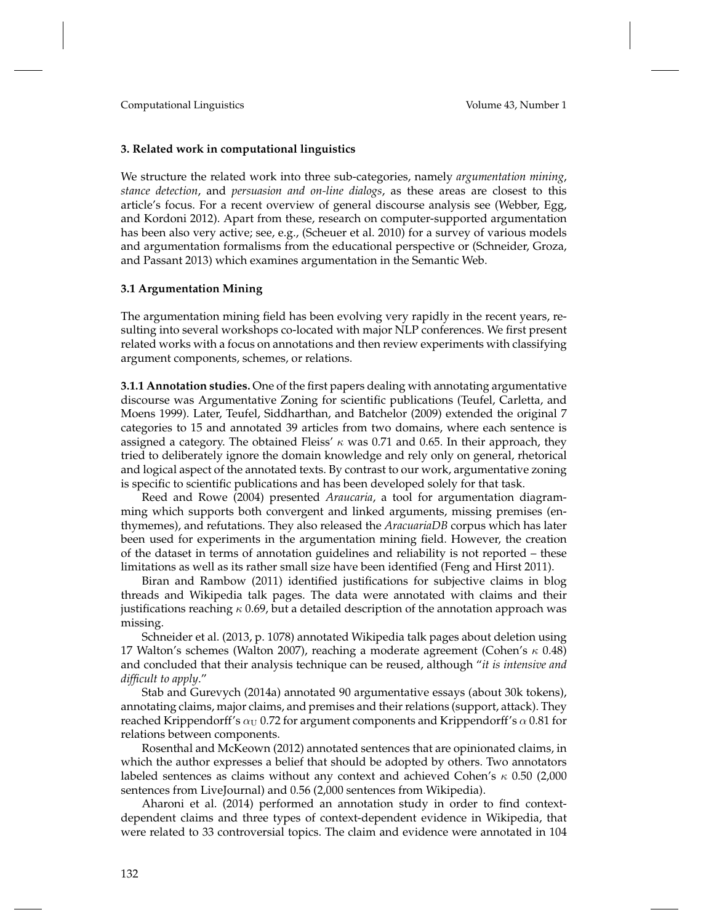# **3. Related work in computational linguistics**

We structure the related work into three sub-categories, namely *argumentation mining*, *stance detection*, and *persuasion and on-line dialogs*, as these areas are closest to this article's focus. For a recent overview of general discourse analysis see (Webber, Egg, and Kordoni 2012). Apart from these, research on computer-supported argumentation has been also very active; see, e.g., (Scheuer et al. 2010) for a survey of various models and argumentation formalisms from the educational perspective or (Schneider, Groza, and Passant 2013) which examines argumentation in the Semantic Web.

# **3.1 Argumentation Mining**

The argumentation mining field has been evolving very rapidly in the recent years, resulting into several workshops co-located with major NLP conferences. We first present related works with a focus on annotations and then review experiments with classifying argument components, schemes, or relations.

**3.1.1 Annotation studies.** One of the first papers dealing with annotating argumentative discourse was Argumentative Zoning for scientific publications (Teufel, Carletta, and Moens 1999). Later, Teufel, Siddharthan, and Batchelor (2009) extended the original 7 categories to 15 and annotated 39 articles from two domains, where each sentence is assigned a category. The obtained Fleiss'  $\kappa$  was 0.71 and 0.65. In their approach, they tried to deliberately ignore the domain knowledge and rely only on general, rhetorical and logical aspect of the annotated texts. By contrast to our work, argumentative zoning is specific to scientific publications and has been developed solely for that task.

Reed and Rowe (2004) presented *Araucaria*, a tool for argumentation diagramming which supports both convergent and linked arguments, missing premises (enthymemes), and refutations. They also released the *AracuariaDB* corpus which has later been used for experiments in the argumentation mining field. However, the creation of the dataset in terms of annotation guidelines and reliability is not reported – these limitations as well as its rather small size have been identified (Feng and Hirst 2011).

Biran and Rambow (2011) identified justifications for subjective claims in blog threads and Wikipedia talk pages. The data were annotated with claims and their justifications reaching  $\kappa$  0.69, but a detailed description of the annotation approach was missing.

Schneider et al. (2013, p. 1078) annotated Wikipedia talk pages about deletion using 17 Walton's schemes (Walton 2007), reaching a moderate agreement (Cohen's  $\kappa$  0.48) and concluded that their analysis technique can be reused, although "*it is intensive and difficult to apply*."

Stab and Gurevych (2014a) annotated 90 argumentative essays (about 30k tokens), annotating claims, major claims, and premises and their relations (support, attack). They reached Krippendorff's  $\alpha_U$  0.72 for argument components and Krippendorff's  $\alpha$  0.81 for relations between components.

Rosenthal and McKeown (2012) annotated sentences that are opinionated claims, in which the author expresses a belief that should be adopted by others. Two annotators labeled sentences as claims without any context and achieved Cohen's  $\kappa$  0.50 (2,000) sentences from LiveJournal) and 0.56 (2,000 sentences from Wikipedia).

Aharoni et al. (2014) performed an annotation study in order to find contextdependent claims and three types of context-dependent evidence in Wikipedia, that were related to 33 controversial topics. The claim and evidence were annotated in 104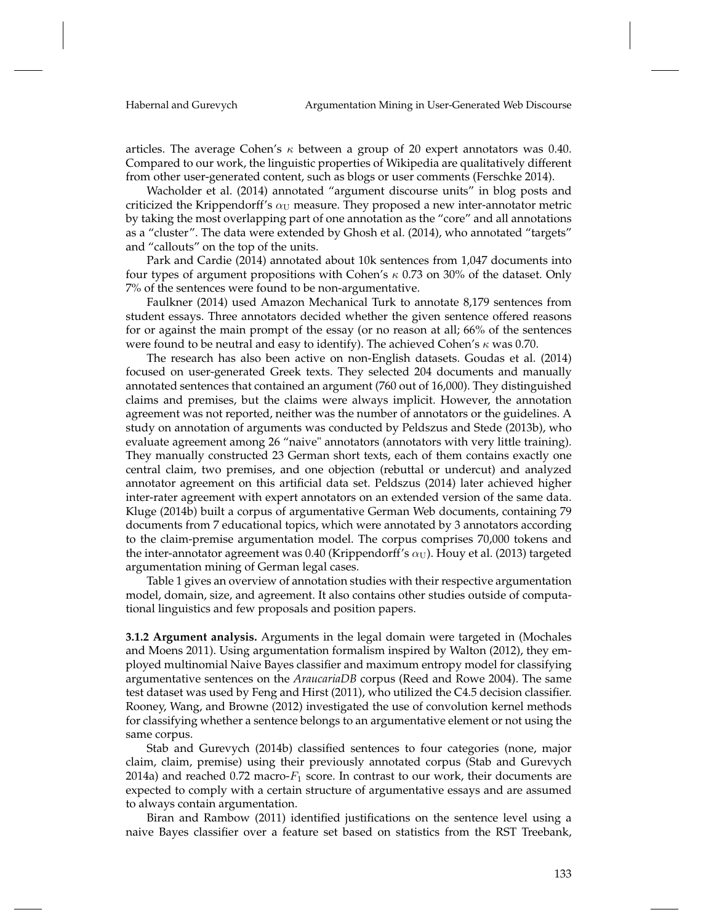articles. The average Cohen's  $\kappa$  between a group of 20 expert annotators was 0.40. Compared to our work, the linguistic properties of Wikipedia are qualitatively different from other user-generated content, such as blogs or user comments (Ferschke 2014).

Wacholder et al. (2014) annotated "argument discourse units" in blog posts and criticized the Krippendorff's  $\alpha_U$  measure. They proposed a new inter-annotator metric by taking the most overlapping part of one annotation as the "core" and all annotations as a "cluster". The data were extended by Ghosh et al. (2014), who annotated "targets" and "callouts" on the top of the units.

Park and Cardie (2014) annotated about 10k sentences from 1,047 documents into four types of argument propositions with Cohen's  $\kappa$  0.73 on 30% of the dataset. Only 7% of the sentences were found to be non-argumentative.

Faulkner (2014) used Amazon Mechanical Turk to annotate 8,179 sentences from student essays. Three annotators decided whether the given sentence offered reasons for or against the main prompt of the essay (or no reason at all; 66% of the sentences were found to be neutral and easy to identify). The achieved Cohen's  $\kappa$  was 0.70.

The research has also been active on non-English datasets. Goudas et al. (2014) focused on user-generated Greek texts. They selected 204 documents and manually annotated sentences that contained an argument (760 out of 16,000). They distinguished claims and premises, but the claims were always implicit. However, the annotation agreement was not reported, neither was the number of annotators or the guidelines. A study on annotation of arguments was conducted by Peldszus and Stede (2013b), who evaluate agreement among 26 "naive" annotators (annotators with very little training). They manually constructed 23 German short texts, each of them contains exactly one central claim, two premises, and one objection (rebuttal or undercut) and analyzed annotator agreement on this artificial data set. Peldszus (2014) later achieved higher inter-rater agreement with expert annotators on an extended version of the same data. Kluge (2014b) built a corpus of argumentative German Web documents, containing 79 documents from 7 educational topics, which were annotated by 3 annotators according to the claim-premise argumentation model. The corpus comprises 70,000 tokens and the inter-annotator agreement was 0.40 (Krippendorff's  $\alpha_U$ ). Houy et al. (2013) targeted argumentation mining of German legal cases.

Table 1 gives an overview of annotation studies with their respective argumentation model, domain, size, and agreement. It also contains other studies outside of computational linguistics and few proposals and position papers.

**3.1.2 Argument analysis.** Arguments in the legal domain were targeted in (Mochales and Moens 2011). Using argumentation formalism inspired by Walton (2012), they employed multinomial Naive Bayes classifier and maximum entropy model for classifying argumentative sentences on the *AraucariaDB* corpus (Reed and Rowe 2004). The same test dataset was used by Feng and Hirst (2011), who utilized the C4.5 decision classifier. Rooney, Wang, and Browne (2012) investigated the use of convolution kernel methods for classifying whether a sentence belongs to an argumentative element or not using the same corpus.

Stab and Gurevych (2014b) classified sentences to four categories (none, major claim, claim, premise) using their previously annotated corpus (Stab and Gurevych 2014a) and reached 0.72 macro- $F_1$  score. In contrast to our work, their documents are expected to comply with a certain structure of argumentative essays and are assumed to always contain argumentation.

Biran and Rambow (2011) identified justifications on the sentence level using a naive Bayes classifier over a feature set based on statistics from the RST Treebank,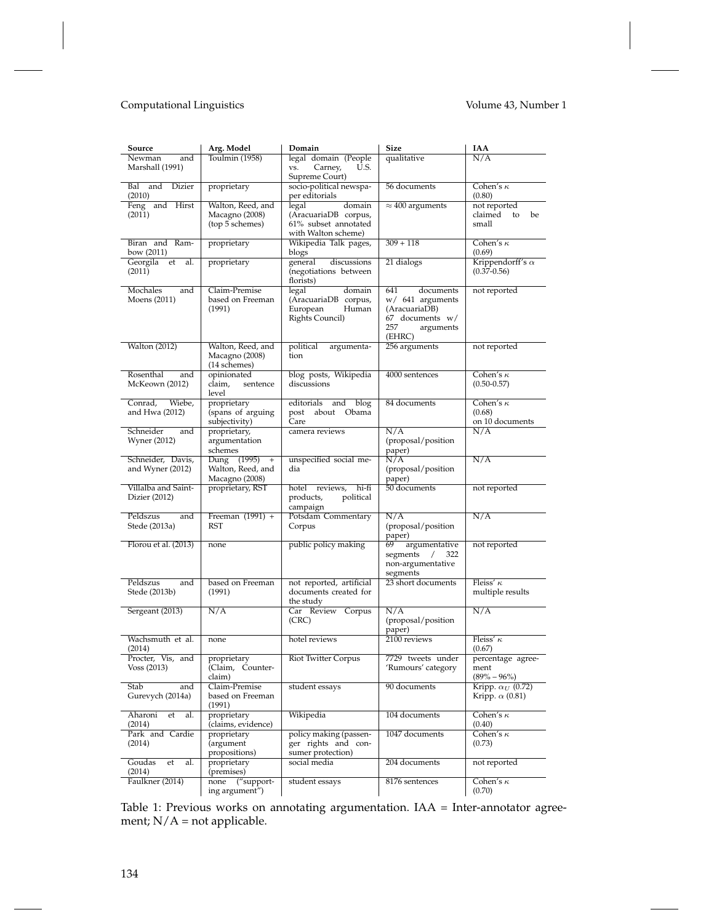| Source                                  | Arg. Model                                                | Domain                                                                                 | <b>Size</b>                                                                                            | IAA                                                |
|-----------------------------------------|-----------------------------------------------------------|----------------------------------------------------------------------------------------|--------------------------------------------------------------------------------------------------------|----------------------------------------------------|
| Newman<br>and<br>Marshall (1991)        | Toulmin (1958)                                            | legal domain (People<br>Carney,<br>U.S.<br>VS.<br>Supreme Court)                       | qualitative                                                                                            | N/A                                                |
| and<br><b>Dizier</b><br>Bal<br>(2010)   | proprietary                                               | socio-political newspa-<br>per editorials                                              | 56 documents                                                                                           | Cohen's $\kappa$<br>(0.80)                         |
| Feng and Hirst<br>(2011)                | Walton, Reed, and<br>Macagno (2008)<br>(top 5 schemes)    | legal<br>domain<br>(AracuariaDB corpus,<br>61% subset annotated<br>with Walton scheme) | $\approx$ 400 arguments                                                                                | not reported<br>claimed<br>to<br>be<br>small       |
| Biran and Ram-<br>bow $(2011)$          | proprietary                                               | Wikipedia Talk pages,<br>blogs                                                         | $309 + 118$                                                                                            | Cohen's $\kappa$<br>(0.69)                         |
| Georgila<br>et<br>al.<br>(2011)         | proprietary                                               | general<br>discussions<br>(negotiations between<br>florists)                           | 21 dialogs                                                                                             | Krippendorff's $\alpha$<br>$(0.37 - 0.56)$         |
| Mochales<br>and<br>Moens (2011)         | Claim-Premise<br>based on Freeman<br>(1991)               | legal<br>domain<br>(AracuariaDB corpus,<br>European<br>Human<br>Rights Council)        | 641<br>documents<br>w/ 641 arguments<br>(AracuariaDB)<br>67 documents w/<br>257<br>arguments<br>(EHRC) | not reported                                       |
| Walton (2012)                           | Walton, Reed, and<br>Macagno (2008)<br>(14 schemes)       | political<br>argumenta-<br>tion                                                        | 256 arguments                                                                                          | not reported                                       |
| Rosenthal<br>and<br>McKeown (2012)      | opinionated<br>claim,<br>sentence<br>level                | blog posts, Wikipedia<br>discussions                                                   | 4000 sentences                                                                                         | Cohen's $\kappa$<br>$(0.50 - 0.57)$                |
| Conrad,<br>Wiebe,<br>and Hwa (2012)     | proprietary<br>(spans of arguing<br>subjectivity)         | editorials<br>and blog<br>Obama<br>post<br>about<br>Care                               | 84 documents                                                                                           | Cohen's $\kappa$<br>(0.68)<br>on 10 documents      |
| Schneider<br>and<br><b>Wyner</b> (2012) | proprietary,<br>argumentation<br>schemes                  | camera reviews                                                                         | N/A<br>(proposal/position<br>paper)                                                                    | N/A                                                |
| Schneider, Davis,<br>and Wyner (2012)   | Dung (1995)<br>$+$<br>Walton, Reed, and<br>Macagno (2008) | unspecified social me-<br>dia                                                          | N/A<br>(proposal/position<br>paper)                                                                    | N/A                                                |
| Villalba and Saint-<br>Dizier (2012)    | proprietary, RST                                          | hotel reviews,<br>hi-fi<br>products,<br>political<br>campaign                          | 50 documents                                                                                           | not reported                                       |
| Peldszus<br>and<br>Stede (2013a)        | Freeman $(1991) +$<br>RST                                 | Potsdam Commentary<br>Corpus                                                           | N/A<br>(proposal/position<br>paper)                                                                    | N/A                                                |
| Florou et al. (2013)                    | none                                                      | public policy making                                                                   | 69<br>argumentative<br>segments<br>322<br>$\sqrt{2}$<br>non-argumentative<br>segments                  | not reported                                       |
| Peldszus<br>and<br>Stede (2013b)        | based on Freeman<br>(1991)                                | not reported, artificial<br>documents created for<br>the study                         | 23 short documents                                                                                     | Fleiss' $\kappa$<br>multiple results               |
| Sergeant (2013)                         | N/A                                                       | Car Review Corpus<br>(CRC)                                                             | N/A<br>(proposal/position<br>paper)                                                                    | N/A                                                |
| Wachsmuth et al.<br>(2014)              | none                                                      | hotel reviews                                                                          | 2100 reviews                                                                                           | Fleiss' $\kappa$<br>(0.67)                         |
| Procter, Vis, and<br>Voss (2013)        | proprietary<br>(Claim, Counter-<br>claim)                 | <b>Riot Twitter Corpus</b>                                                             | 7729 tweets under<br>'Rumours' category                                                                | percentage agree-<br>ment<br>$(89\% - 96\%)$       |
| Stab<br>and<br>Gurevych (2014a)         | Claim-Premise<br>based on Freeman<br>(1991)               | student essays                                                                         | 90 documents                                                                                           | Kripp. $\alpha_U$ (0.72)<br>Kripp. $\alpha$ (0.81) |
| Aharoni<br>et<br>al.<br>(2014)          | proprietary<br>(claims, evidence)                         | Wikipedia                                                                              | 104 documents                                                                                          | Cohen's $\kappa$<br>(0.40)                         |
| Park and Cardie<br>(2014)               | proprietary<br>(argument<br>propositions)                 | policy making (passen-<br>ger rights and con-<br>sumer protection)                     | 1047 documents                                                                                         | Cohen's $\kappa$<br>(0.73)                         |
| Goudas<br>et<br>al.<br>(2014)           | proprietary<br>(premises)                                 | social media                                                                           | 204 documents                                                                                          | not reported                                       |
| Faulkner (2014)                         | none ("support-<br>ing argument")                         | student essays                                                                         | 8176 sentences                                                                                         | Cohen's $\kappa$<br>(0.70)                         |

Table 1: Previous works on annotating argumentation. IAA = Inter-annotator agreement;  $N/A$  = not applicable.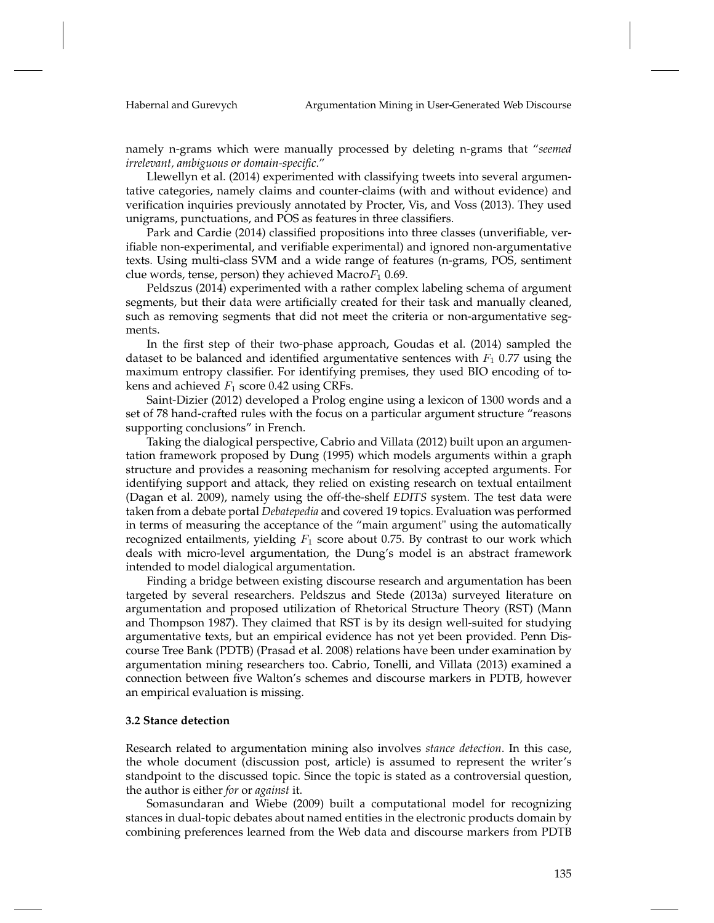namely n-grams which were manually processed by deleting n-grams that "*seemed irrelevant, ambiguous or domain-specific*."

Llewellyn et al. (2014) experimented with classifying tweets into several argumentative categories, namely claims and counter-claims (with and without evidence) and verification inquiries previously annotated by Procter, Vis, and Voss (2013). They used unigrams, punctuations, and POS as features in three classifiers.

Park and Cardie (2014) classified propositions into three classes (unverifiable, verifiable non-experimental, and verifiable experimental) and ignored non-argumentative texts. Using multi-class SVM and a wide range of features (n-grams, POS, sentiment clue words, tense, person) they achieved Macro $F_1$  0.69.

Peldszus (2014) experimented with a rather complex labeling schema of argument segments, but their data were artificially created for their task and manually cleaned, such as removing segments that did not meet the criteria or non-argumentative segments.

In the first step of their two-phase approach, Goudas et al. (2014) sampled the dataset to be balanced and identified argumentative sentences with  $F_1$  0.77 using the maximum entropy classifier. For identifying premises, they used BIO encoding of tokens and achieved  $F_1$  score 0.42 using CRFs.

Saint-Dizier (2012) developed a Prolog engine using a lexicon of 1300 words and a set of 78 hand-crafted rules with the focus on a particular argument structure "reasons supporting conclusions" in French.

Taking the dialogical perspective, Cabrio and Villata (2012) built upon an argumentation framework proposed by Dung (1995) which models arguments within a graph structure and provides a reasoning mechanism for resolving accepted arguments. For identifying support and attack, they relied on existing research on textual entailment (Dagan et al. 2009), namely using the off-the-shelf *EDITS* system. The test data were taken from a debate portal *Debatepedia* and covered 19 topics. Evaluation was performed in terms of measuring the acceptance of the "main argument" using the automatically recognized entailments, yielding  $F_1$  score about 0.75. By contrast to our work which deals with micro-level argumentation, the Dung's model is an abstract framework intended to model dialogical argumentation.

Finding a bridge between existing discourse research and argumentation has been targeted by several researchers. Peldszus and Stede (2013a) surveyed literature on argumentation and proposed utilization of Rhetorical Structure Theory (RST) (Mann and Thompson 1987). They claimed that RST is by its design well-suited for studying argumentative texts, but an empirical evidence has not yet been provided. Penn Discourse Tree Bank (PDTB) (Prasad et al. 2008) relations have been under examination by argumentation mining researchers too. Cabrio, Tonelli, and Villata (2013) examined a connection between five Walton's schemes and discourse markers in PDTB, however an empirical evaluation is missing.

# **3.2 Stance detection**

Research related to argumentation mining also involves *stance detection*. In this case, the whole document (discussion post, article) is assumed to represent the writer's standpoint to the discussed topic. Since the topic is stated as a controversial question, the author is either *for* or *against* it.

Somasundaran and Wiebe (2009) built a computational model for recognizing stances in dual-topic debates about named entities in the electronic products domain by combining preferences learned from the Web data and discourse markers from PDTB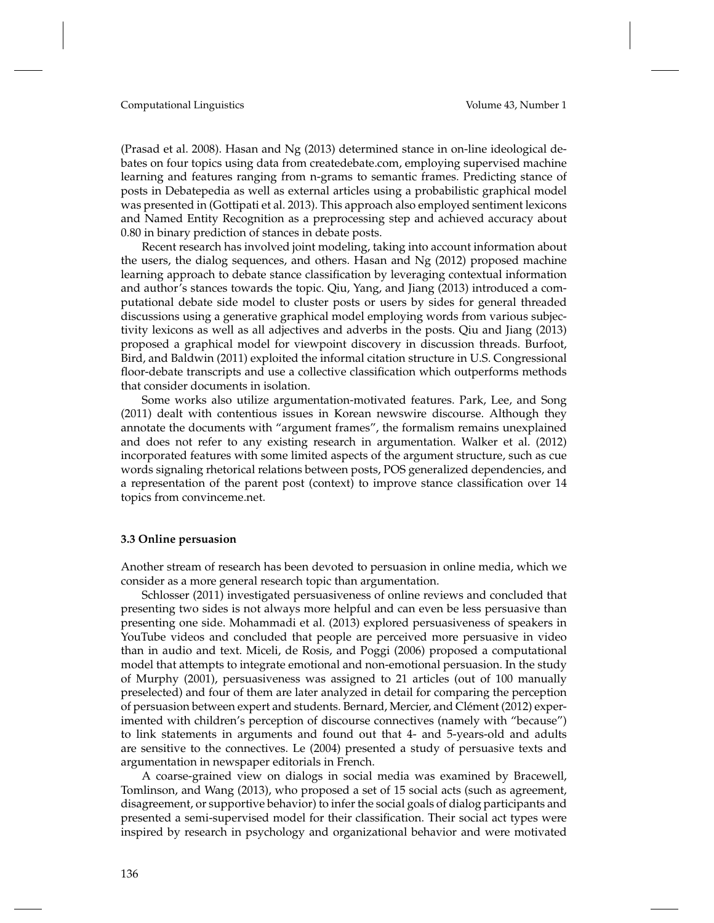(Prasad et al. 2008). Hasan and Ng (2013) determined stance in on-line ideological debates on four topics using data from createdebate.com, employing supervised machine learning and features ranging from n-grams to semantic frames. Predicting stance of posts in Debatepedia as well as external articles using a probabilistic graphical model was presented in (Gottipati et al. 2013). This approach also employed sentiment lexicons and Named Entity Recognition as a preprocessing step and achieved accuracy about 0.80 in binary prediction of stances in debate posts.

Recent research has involved joint modeling, taking into account information about the users, the dialog sequences, and others. Hasan and Ng (2012) proposed machine learning approach to debate stance classification by leveraging contextual information and author's stances towards the topic. Qiu, Yang, and Jiang (2013) introduced a computational debate side model to cluster posts or users by sides for general threaded discussions using a generative graphical model employing words from various subjectivity lexicons as well as all adjectives and adverbs in the posts. Qiu and Jiang (2013) proposed a graphical model for viewpoint discovery in discussion threads. Burfoot, Bird, and Baldwin (2011) exploited the informal citation structure in U.S. Congressional floor-debate transcripts and use a collective classification which outperforms methods that consider documents in isolation.

Some works also utilize argumentation-motivated features. Park, Lee, and Song (2011) dealt with contentious issues in Korean newswire discourse. Although they annotate the documents with "argument frames", the formalism remains unexplained and does not refer to any existing research in argumentation. Walker et al. (2012) incorporated features with some limited aspects of the argument structure, such as cue words signaling rhetorical relations between posts, POS generalized dependencies, and a representation of the parent post (context) to improve stance classification over 14 topics from convinceme.net.

## **3.3 Online persuasion**

Another stream of research has been devoted to persuasion in online media, which we consider as a more general research topic than argumentation.

Schlosser (2011) investigated persuasiveness of online reviews and concluded that presenting two sides is not always more helpful and can even be less persuasive than presenting one side. Mohammadi et al. (2013) explored persuasiveness of speakers in YouTube videos and concluded that people are perceived more persuasive in video than in audio and text. Miceli, de Rosis, and Poggi (2006) proposed a computational model that attempts to integrate emotional and non-emotional persuasion. In the study of Murphy (2001), persuasiveness was assigned to 21 articles (out of 100 manually preselected) and four of them are later analyzed in detail for comparing the perception of persuasion between expert and students. Bernard, Mercier, and Clément (2012) experimented with children's perception of discourse connectives (namely with "because") to link statements in arguments and found out that 4- and 5-years-old and adults are sensitive to the connectives. Le (2004) presented a study of persuasive texts and argumentation in newspaper editorials in French.

A coarse-grained view on dialogs in social media was examined by Bracewell, Tomlinson, and Wang (2013), who proposed a set of 15 social acts (such as agreement, disagreement, or supportive behavior) to infer the social goals of dialog participants and presented a semi-supervised model for their classification. Their social act types were inspired by research in psychology and organizational behavior and were motivated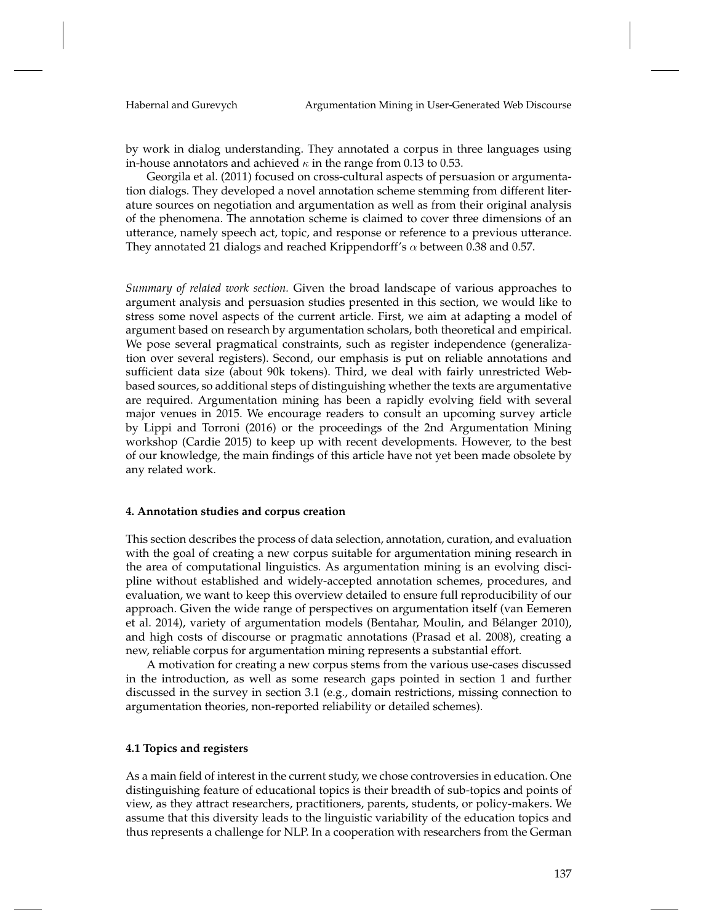by work in dialog understanding. They annotated a corpus in three languages using in-house annotators and achieved  $\kappa$  in the range from 0.13 to 0.53.

Georgila et al. (2011) focused on cross-cultural aspects of persuasion or argumentation dialogs. They developed a novel annotation scheme stemming from different literature sources on negotiation and argumentation as well as from their original analysis of the phenomena. The annotation scheme is claimed to cover three dimensions of an utterance, namely speech act, topic, and response or reference to a previous utterance. They annotated 21 dialogs and reached Krippendorff's  $\alpha$  between 0.38 and 0.57.

*Summary of related work section.* Given the broad landscape of various approaches to argument analysis and persuasion studies presented in this section, we would like to stress some novel aspects of the current article. First, we aim at adapting a model of argument based on research by argumentation scholars, both theoretical and empirical. We pose several pragmatical constraints, such as register independence (generalization over several registers). Second, our emphasis is put on reliable annotations and sufficient data size (about 90k tokens). Third, we deal with fairly unrestricted Webbased sources, so additional steps of distinguishing whether the texts are argumentative are required. Argumentation mining has been a rapidly evolving field with several major venues in 2015. We encourage readers to consult an upcoming survey article by Lippi and Torroni (2016) or the proceedings of the 2nd Argumentation Mining workshop (Cardie 2015) to keep up with recent developments. However, to the best of our knowledge, the main findings of this article have not yet been made obsolete by any related work.

# **4. Annotation studies and corpus creation**

This section describes the process of data selection, annotation, curation, and evaluation with the goal of creating a new corpus suitable for argumentation mining research in the area of computational linguistics. As argumentation mining is an evolving discipline without established and widely-accepted annotation schemes, procedures, and evaluation, we want to keep this overview detailed to ensure full reproducibility of our approach. Given the wide range of perspectives on argumentation itself (van Eemeren et al. 2014), variety of argumentation models (Bentahar, Moulin, and Bélanger 2010), and high costs of discourse or pragmatic annotations (Prasad et al. 2008), creating a new, reliable corpus for argumentation mining represents a substantial effort.

A motivation for creating a new corpus stems from the various use-cases discussed in the introduction, as well as some research gaps pointed in section 1 and further discussed in the survey in section 3.1 (e.g., domain restrictions, missing connection to argumentation theories, non-reported reliability or detailed schemes).

# **4.1 Topics and registers**

As a main field of interest in the current study, we chose controversies in education. One distinguishing feature of educational topics is their breadth of sub-topics and points of view, as they attract researchers, practitioners, parents, students, or policy-makers. We assume that this diversity leads to the linguistic variability of the education topics and thus represents a challenge for NLP. In a cooperation with researchers from the German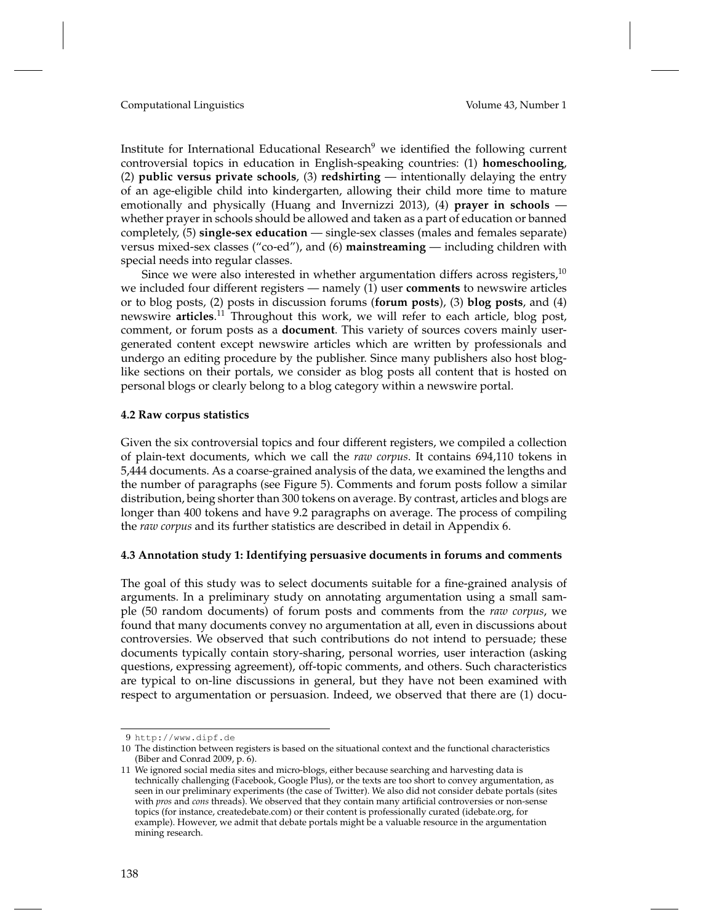Institute for International Educational Research<sup>9</sup> we identified the following current controversial topics in education in English-speaking countries: (1) **homeschooling**, (2) **public versus private schools**, (3) **redshirting** — intentionally delaying the entry of an age-eligible child into kindergarten, allowing their child more time to mature emotionally and physically (Huang and Invernizzi 2013), (4) **prayer in schools** whether prayer in schools should be allowed and taken as a part of education or banned completely, (5) **single-sex education** — single-sex classes (males and females separate) versus mixed-sex classes ("co-ed"), and (6) **mainstreaming** — including children with special needs into regular classes.

Since we were also interested in whether argumentation differs across registers, $10$ we included four different registers — namely (1) user **comments** to newswire articles or to blog posts, (2) posts in discussion forums (**forum posts**), (3) **blog posts**, and (4) newswire **articles**. <sup>11</sup> Throughout this work, we will refer to each article, blog post, comment, or forum posts as a **document**. This variety of sources covers mainly usergenerated content except newswire articles which are written by professionals and undergo an editing procedure by the publisher. Since many publishers also host bloglike sections on their portals, we consider as blog posts all content that is hosted on personal blogs or clearly belong to a blog category within a newswire portal.

# **4.2 Raw corpus statistics**

Given the six controversial topics and four different registers, we compiled a collection of plain-text documents, which we call the *raw corpus*. It contains 694,110 tokens in 5,444 documents. As a coarse-grained analysis of the data, we examined the lengths and the number of paragraphs (see Figure 5). Comments and forum posts follow a similar distribution, being shorter than 300 tokens on average. By contrast, articles and blogs are longer than 400 tokens and have 9.2 paragraphs on average. The process of compiling the *raw corpus* and its further statistics are described in detail in Appendix 6.

# **4.3 Annotation study 1: Identifying persuasive documents in forums and comments**

The goal of this study was to select documents suitable for a fine-grained analysis of arguments. In a preliminary study on annotating argumentation using a small sample (50 random documents) of forum posts and comments from the *raw corpus*, we found that many documents convey no argumentation at all, even in discussions about controversies. We observed that such contributions do not intend to persuade; these documents typically contain story-sharing, personal worries, user interaction (asking questions, expressing agreement), off-topic comments, and others. Such characteristics are typical to on-line discussions in general, but they have not been examined with respect to argumentation or persuasion. Indeed, we observed that there are (1) docu-

<sup>9</sup> http://www.dipf.de

<sup>10</sup> The distinction between registers is based on the situational context and the functional characteristics (Biber and Conrad 2009, p. 6).

<sup>11</sup> We ignored social media sites and micro-blogs, either because searching and harvesting data is technically challenging (Facebook, Google Plus), or the texts are too short to convey argumentation, as seen in our preliminary experiments (the case of Twitter). We also did not consider debate portals (sites with *pros* and *cons* threads). We observed that they contain many artificial controversies or non-sense topics (for instance, createdebate.com) or their content is professionally curated (idebate.org, for example). However, we admit that debate portals might be a valuable resource in the argumentation mining research.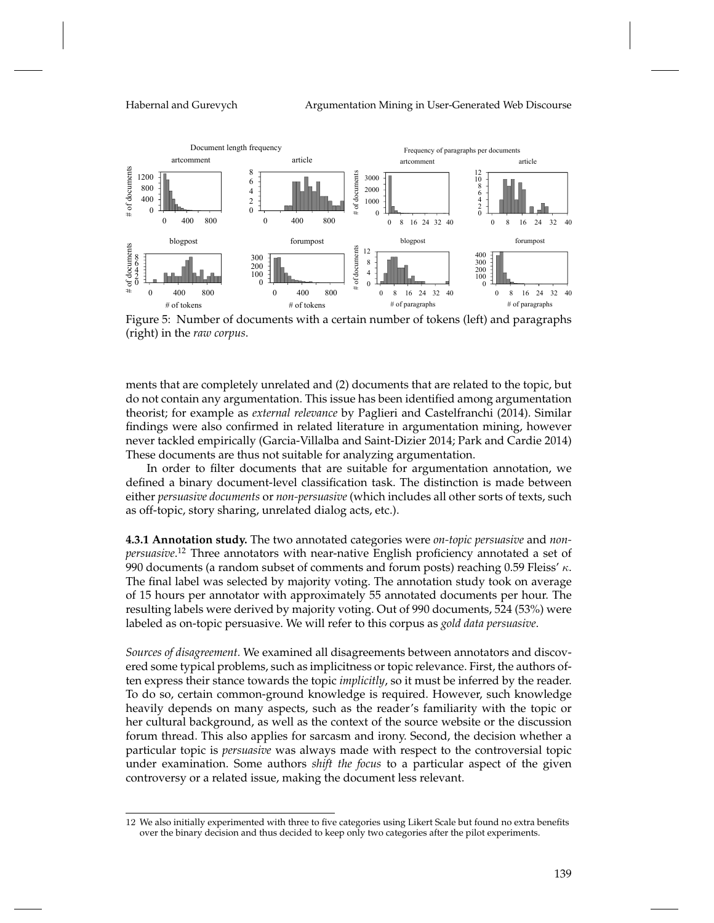

Figure 5: Number of documents with a certain number of tokens (left) and paragraphs (right) in the *raw corpus*.

ments that are completely unrelated and (2) documents that are related to the topic, but do not contain any argumentation. This issue has been identified among argumentation theorist; for example as *external relevance* by Paglieri and Castelfranchi (2014). Similar findings were also confirmed in related literature in argumentation mining, however never tackled empirically (Garcia-Villalba and Saint-Dizier 2014; Park and Cardie 2014) These documents are thus not suitable for analyzing argumentation.

In order to filter documents that are suitable for argumentation annotation, we defined a binary document-level classification task. The distinction is made between either *persuasive documents* or *non-persuasive* (which includes all other sorts of texts, such as off-topic, story sharing, unrelated dialog acts, etc.).

**4.3.1 Annotation study.** The two annotated categories were *on-topic persuasive* and *nonpersuasive*. <sup>12</sup> Three annotators with near-native English proficiency annotated a set of 990 documents (a random subset of comments and forum posts) reaching 0.59 Fleiss'  $κ$ . The final label was selected by majority voting. The annotation study took on average of 15 hours per annotator with approximately 55 annotated documents per hour. The resulting labels were derived by majority voting. Out of 990 documents, 524 (53%) were labeled as on-topic persuasive. We will refer to this corpus as *gold data persuasive*.

*Sources of disagreement.* We examined all disagreements between annotators and discovered some typical problems, such as implicitness or topic relevance. First, the authors often express their stance towards the topic *implicitly*, so it must be inferred by the reader. To do so, certain common-ground knowledge is required. However, such knowledge heavily depends on many aspects, such as the reader's familiarity with the topic or her cultural background, as well as the context of the source website or the discussion forum thread. This also applies for sarcasm and irony. Second, the decision whether a particular topic is *persuasive* was always made with respect to the controversial topic under examination. Some authors *shift the focus* to a particular aspect of the given controversy or a related issue, making the document less relevant.

<sup>12</sup> We also initially experimented with three to five categories using Likert Scale but found no extra benefits over the binary decision and thus decided to keep only two categories after the pilot experiments.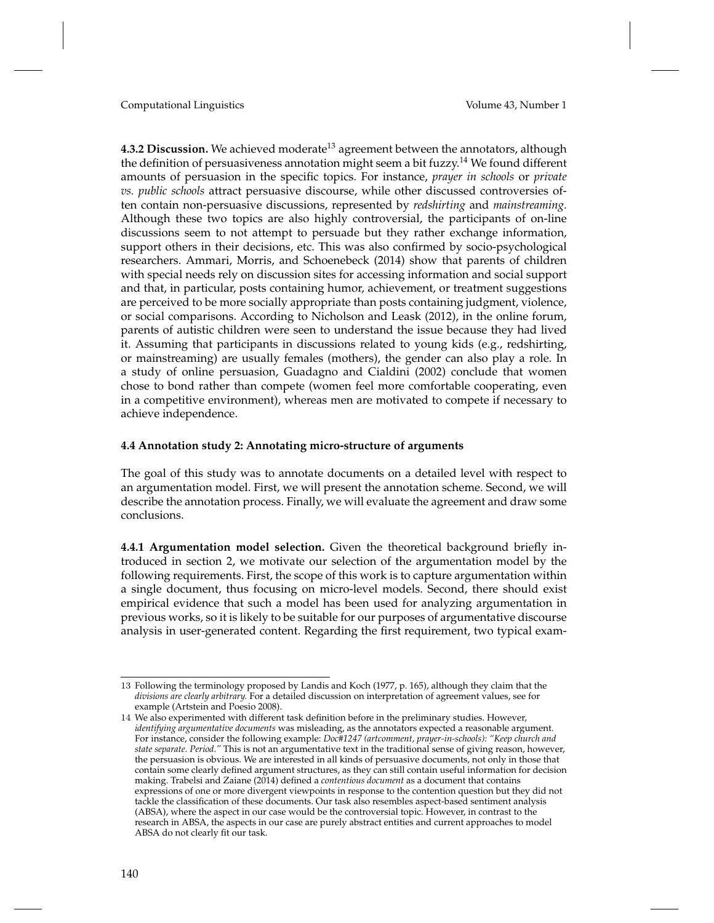**4.3.2 Discussion.** We achieved moderate<sup>13</sup> agreement between the annotators, although the definition of persuasiveness annotation might seem a bit fuzzy.<sup>14</sup> We found different amounts of persuasion in the specific topics. For instance, *prayer in schools* or *private vs. public schools* attract persuasive discourse, while other discussed controversies often contain non-persuasive discussions, represented by *redshirting* and *mainstreaming*. Although these two topics are also highly controversial, the participants of on-line discussions seem to not attempt to persuade but they rather exchange information, support others in their decisions, etc. This was also confirmed by socio-psychological researchers. Ammari, Morris, and Schoenebeck (2014) show that parents of children with special needs rely on discussion sites for accessing information and social support and that, in particular, posts containing humor, achievement, or treatment suggestions are perceived to be more socially appropriate than posts containing judgment, violence, or social comparisons. According to Nicholson and Leask (2012), in the online forum, parents of autistic children were seen to understand the issue because they had lived it. Assuming that participants in discussions related to young kids (e.g., redshirting, or mainstreaming) are usually females (mothers), the gender can also play a role. In a study of online persuasion, Guadagno and Cialdini (2002) conclude that women chose to bond rather than compete (women feel more comfortable cooperating, even in a competitive environment), whereas men are motivated to compete if necessary to achieve independence.

# **4.4 Annotation study 2: Annotating micro-structure of arguments**

The goal of this study was to annotate documents on a detailed level with respect to an argumentation model. First, we will present the annotation scheme. Second, we will describe the annotation process. Finally, we will evaluate the agreement and draw some conclusions.

**4.4.1 Argumentation model selection.** Given the theoretical background briefly introduced in section 2, we motivate our selection of the argumentation model by the following requirements. First, the scope of this work is to capture argumentation within a single document, thus focusing on micro-level models. Second, there should exist empirical evidence that such a model has been used for analyzing argumentation in previous works, so it is likely to be suitable for our purposes of argumentative discourse analysis in user-generated content. Regarding the first requirement, two typical exam-

<sup>13</sup> Following the terminology proposed by Landis and Koch (1977, p. 165), although they claim that the *divisions are clearly arbitrary.* For a detailed discussion on interpretation of agreement values, see for example (Artstein and Poesio 2008).

<sup>14</sup> We also experimented with different task definition before in the preliminary studies. However, *identifying argumentative documents* was misleading, as the annotators expected a reasonable argument. For instance, consider the following example: *Doc#1247 (artcomment, prayer-in-schools): "Keep church and state separate. Period."* This is not an argumentative text in the traditional sense of giving reason, however, the persuasion is obvious. We are interested in all kinds of persuasive documents, not only in those that contain some clearly defined argument structures, as they can still contain useful information for decision making. Trabelsi and Zaiane (2014) defined a *contentious document* as a document that contains expressions of one or more divergent viewpoints in response to the contention question but they did not tackle the classification of these documents. Our task also resembles aspect-based sentiment analysis (ABSA), where the aspect in our case would be the controversial topic. However, in contrast to the research in ABSA, the aspects in our case are purely abstract entities and current approaches to model ABSA do not clearly fit our task.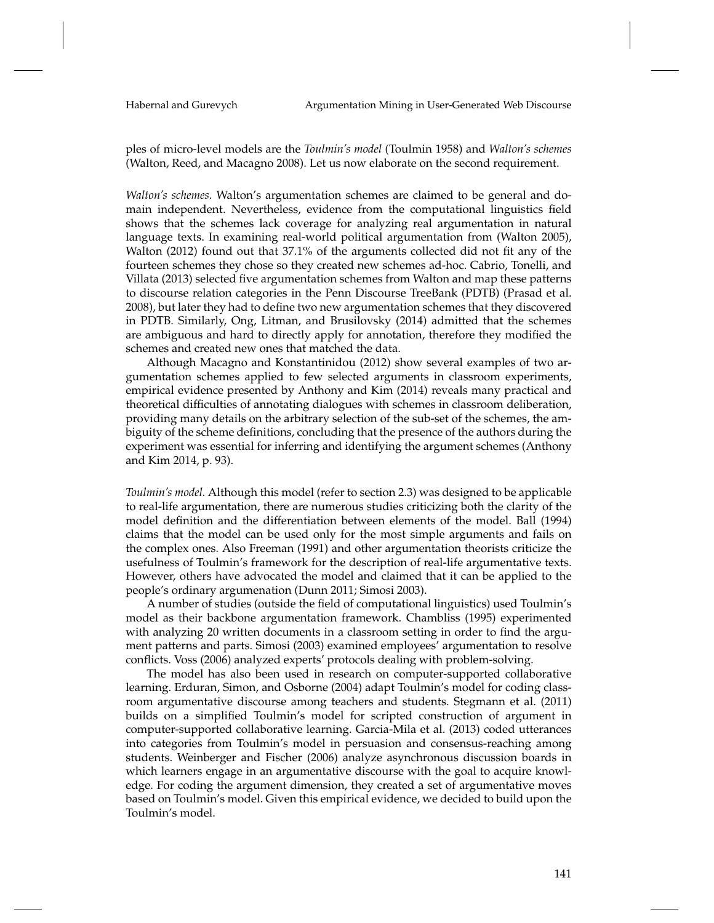ples of micro-level models are the *Toulmin's model* (Toulmin 1958) and *Walton's schemes* (Walton, Reed, and Macagno 2008). Let us now elaborate on the second requirement.

*Walton's schemes.* Walton's argumentation schemes are claimed to be general and domain independent. Nevertheless, evidence from the computational linguistics field shows that the schemes lack coverage for analyzing real argumentation in natural language texts. In examining real-world political argumentation from (Walton 2005), Walton (2012) found out that 37.1% of the arguments collected did not fit any of the fourteen schemes they chose so they created new schemes ad-hoc. Cabrio, Tonelli, and Villata (2013) selected five argumentation schemes from Walton and map these patterns to discourse relation categories in the Penn Discourse TreeBank (PDTB) (Prasad et al. 2008), but later they had to define two new argumentation schemes that they discovered in PDTB. Similarly, Ong, Litman, and Brusilovsky (2014) admitted that the schemes are ambiguous and hard to directly apply for annotation, therefore they modified the schemes and created new ones that matched the data.

Although Macagno and Konstantinidou (2012) show several examples of two argumentation schemes applied to few selected arguments in classroom experiments, empirical evidence presented by Anthony and Kim (2014) reveals many practical and theoretical difficulties of annotating dialogues with schemes in classroom deliberation, providing many details on the arbitrary selection of the sub-set of the schemes, the ambiguity of the scheme definitions, concluding that the presence of the authors during the experiment was essential for inferring and identifying the argument schemes (Anthony and Kim 2014, p. 93).

*Toulmin's model.* Although this model (refer to section 2.3) was designed to be applicable to real-life argumentation, there are numerous studies criticizing both the clarity of the model definition and the differentiation between elements of the model. Ball (1994) claims that the model can be used only for the most simple arguments and fails on the complex ones. Also Freeman (1991) and other argumentation theorists criticize the usefulness of Toulmin's framework for the description of real-life argumentative texts. However, others have advocated the model and claimed that it can be applied to the people's ordinary argumenation (Dunn 2011; Simosi 2003).

A number of studies (outside the field of computational linguistics) used Toulmin's model as their backbone argumentation framework. Chambliss (1995) experimented with analyzing 20 written documents in a classroom setting in order to find the argument patterns and parts. Simosi (2003) examined employees' argumentation to resolve conflicts. Voss (2006) analyzed experts' protocols dealing with problem-solving.

The model has also been used in research on computer-supported collaborative learning. Erduran, Simon, and Osborne (2004) adapt Toulmin's model for coding classroom argumentative discourse among teachers and students. Stegmann et al. (2011) builds on a simplified Toulmin's model for scripted construction of argument in computer-supported collaborative learning. Garcia-Mila et al. (2013) coded utterances into categories from Toulmin's model in persuasion and consensus-reaching among students. Weinberger and Fischer (2006) analyze asynchronous discussion boards in which learners engage in an argumentative discourse with the goal to acquire knowledge. For coding the argument dimension, they created a set of argumentative moves based on Toulmin's model. Given this empirical evidence, we decided to build upon the Toulmin's model.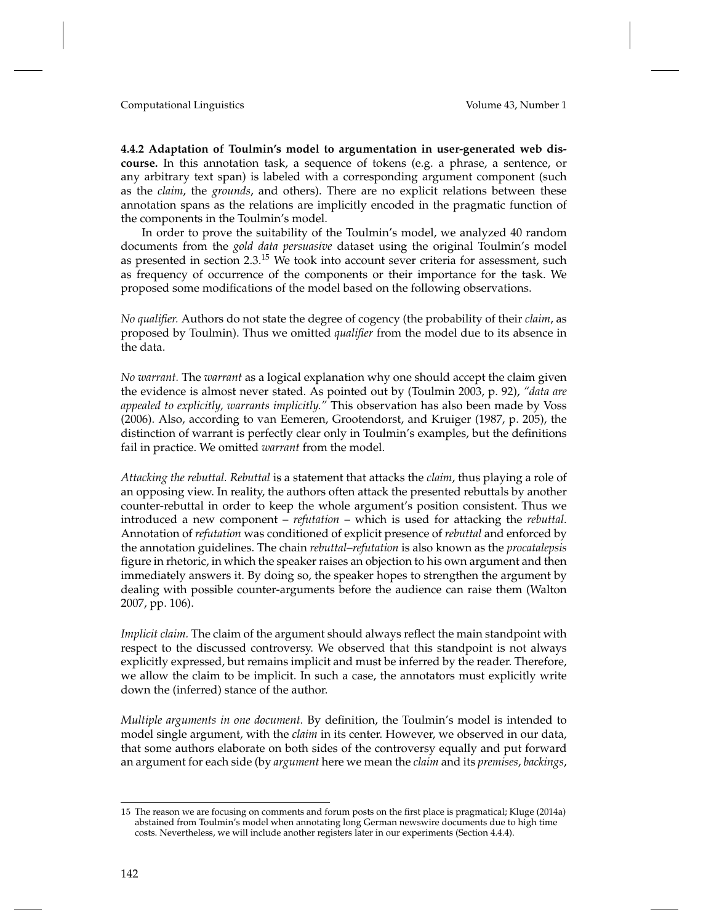**4.4.2 Adaptation of Toulmin's model to argumentation in user-generated web discourse.** In this annotation task, a sequence of tokens (e.g. a phrase, a sentence, or any arbitrary text span) is labeled with a corresponding argument component (such as the *claim*, the *grounds*, and others). There are no explicit relations between these annotation spans as the relations are implicitly encoded in the pragmatic function of the components in the Toulmin's model.

In order to prove the suitability of the Toulmin's model, we analyzed 40 random documents from the *gold data persuasive* dataset using the original Toulmin's model as presented in section 2.3.<sup>15</sup> We took into account sever criteria for assessment, such as frequency of occurrence of the components or their importance for the task. We proposed some modifications of the model based on the following observations.

*No qualifier.* Authors do not state the degree of cogency (the probability of their *claim*, as proposed by Toulmin). Thus we omitted *qualifier* from the model due to its absence in the data.

*No warrant.* The *warrant* as a logical explanation why one should accept the claim given the evidence is almost never stated. As pointed out by (Toulmin 2003, p. 92), *"data are appealed to explicitly, warrants implicitly."* This observation has also been made by Voss (2006). Also, according to van Eemeren, Grootendorst, and Kruiger (1987, p. 205), the distinction of warrant is perfectly clear only in Toulmin's examples, but the definitions fail in practice. We omitted *warrant* from the model.

*Attacking the rebuttal. Rebuttal* is a statement that attacks the *claim*, thus playing a role of an opposing view. In reality, the authors often attack the presented rebuttals by another counter-rebuttal in order to keep the whole argument's position consistent. Thus we introduced a new component – *refutation* – which is used for attacking the *rebuttal*. Annotation of *refutation* was conditioned of explicit presence of *rebuttal* and enforced by the annotation guidelines. The chain *rebuttal–refutation* is also known as the *procatalepsis* figure in rhetoric, in which the speaker raises an objection to his own argument and then immediately answers it. By doing so, the speaker hopes to strengthen the argument by dealing with possible counter-arguments before the audience can raise them (Walton 2007, pp. 106).

*Implicit claim.* The claim of the argument should always reflect the main standpoint with respect to the discussed controversy. We observed that this standpoint is not always explicitly expressed, but remains implicit and must be inferred by the reader. Therefore, we allow the claim to be implicit. In such a case, the annotators must explicitly write down the (inferred) stance of the author.

*Multiple arguments in one document.* By definition, the Toulmin's model is intended to model single argument, with the *claim* in its center. However, we observed in our data, that some authors elaborate on both sides of the controversy equally and put forward an argument for each side (by *argument* here we mean the *claim* and its *premises*, *backings*,

<sup>15</sup> The reason we are focusing on comments and forum posts on the first place is pragmatical; Kluge (2014a) abstained from Toulmin's model when annotating long German newswire documents due to high time costs. Nevertheless, we will include another registers later in our experiments (Section 4.4.4).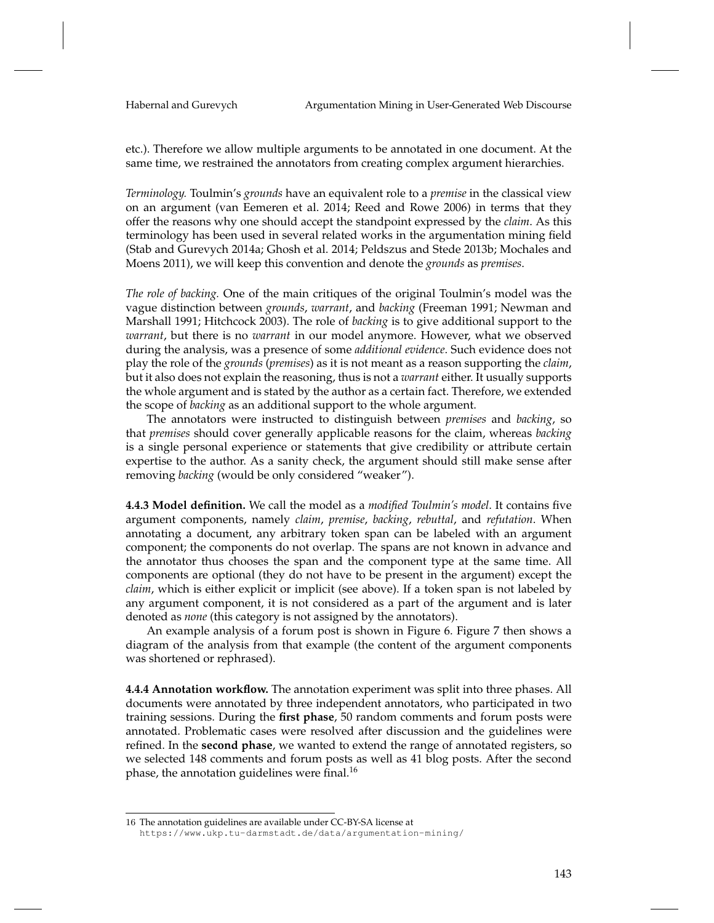etc.). Therefore we allow multiple arguments to be annotated in one document. At the same time, we restrained the annotators from creating complex argument hierarchies.

*Terminology.* Toulmin's *grounds* have an equivalent role to a *premise* in the classical view on an argument (van Eemeren et al. 2014; Reed and Rowe 2006) in terms that they offer the reasons why one should accept the standpoint expressed by the *claim*. As this terminology has been used in several related works in the argumentation mining field (Stab and Gurevych 2014a; Ghosh et al. 2014; Peldszus and Stede 2013b; Mochales and Moens 2011), we will keep this convention and denote the *grounds* as *premises*.

*The role of backing.* One of the main critiques of the original Toulmin's model was the vague distinction between *grounds*, *warrant*, and *backing* (Freeman 1991; Newman and Marshall 1991; Hitchcock 2003). The role of *backing* is to give additional support to the *warrant*, but there is no *warrant* in our model anymore. However, what we observed during the analysis, was a presence of some *additional evidence*. Such evidence does not play the role of the *grounds* (*premises*) as it is not meant as a reason supporting the *claim*, but it also does not explain the reasoning, thus is not a *warrant* either. It usually supports the whole argument and is stated by the author as a certain fact. Therefore, we extended the scope of *backing* as an additional support to the whole argument.

The annotators were instructed to distinguish between *premises* and *backing*, so that *premises* should cover generally applicable reasons for the claim, whereas *backing* is a single personal experience or statements that give credibility or attribute certain expertise to the author. As a sanity check, the argument should still make sense after removing *backing* (would be only considered "weaker").

**4.4.3 Model definition.** We call the model as a *modified Toulmin's model*. It contains five argument components, namely *claim*, *premise*, *backing*, *rebuttal*, and *refutation*. When annotating a document, any arbitrary token span can be labeled with an argument component; the components do not overlap. The spans are not known in advance and the annotator thus chooses the span and the component type at the same time. All components are optional (they do not have to be present in the argument) except the *claim*, which is either explicit or implicit (see above). If a token span is not labeled by any argument component, it is not considered as a part of the argument and is later denoted as *none* (this category is not assigned by the annotators).

An example analysis of a forum post is shown in Figure 6. Figure 7 then shows a diagram of the analysis from that example (the content of the argument components was shortened or rephrased).

**4.4.4 Annotation workflow.** The annotation experiment was split into three phases. All documents were annotated by three independent annotators, who participated in two training sessions. During the **first phase**, 50 random comments and forum posts were annotated. Problematic cases were resolved after discussion and the guidelines were refined. In the **second phase**, we wanted to extend the range of annotated registers, so we selected 148 comments and forum posts as well as 41 blog posts. After the second phase, the annotation guidelines were final.<sup>16</sup>

<sup>16</sup> The annotation guidelines are available under CC-BY-SA license at

https://www.ukp.tu-darmstadt.de/data/argumentation-mining/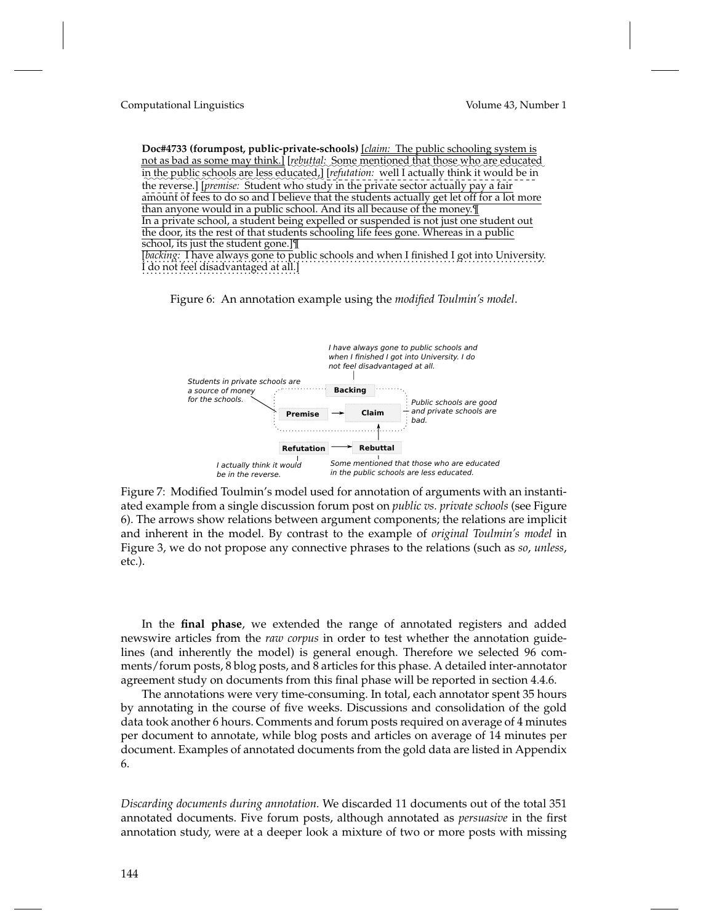**Doc#4733 (forumpost, public-private-schools)** [*claim:* The public schooling system is not as bad as some may think.] [*rebuttal:* Some mentioned that those who are educated in the public schools are less educated,] [*refutation:* well I actually think it would be in the reverse.] [*premise:* Student who study in the private sector actually pay a fair amount of fees to do so and I believe that the students actually get let off for a lot more than anyone would in a public school. And its all because of the money.¶ In a private school, a student being expelled or suspended is not just one student out the door, its the rest of that students schooling life fees gone. Whereas in a public school, its just the student gone.]¶

. . . . . . . . . . [*backing:* . . I . . . . . . have . . . . . . . . always . . . . . . . gone . . to. . . . . . . . public . . . . . . . . . schools . . . . . and. . . . . . . when. . I . . . . . . . . . finished. . I . . . . got . . . . . into. . . . . . . . . . . . . University. . I . . . . do . . . . not . . . . . feel . . . . . . . . . . . . . . . . . disadvantaged. . . at . . . . . all.]

Figure 6: An annotation example using the *modified Toulmin's model*.



Figure 7: Modified Toulmin's model used for annotation of arguments with an instantiated example from a single discussion forum post on *public vs. private schools* (see Figure 6). The arrows show relations between argument components; the relations are implicit and inherent in the model. By contrast to the example of *original Toulmin's model* in Figure 3, we do not propose any connective phrases to the relations (such as *so*, *unless*, etc.).

In the **final phase**, we extended the range of annotated registers and added newswire articles from the *raw corpus* in order to test whether the annotation guidelines (and inherently the model) is general enough. Therefore we selected 96 comments/forum posts, 8 blog posts, and 8 articles for this phase. A detailed inter-annotator agreement study on documents from this final phase will be reported in section 4.4.6.

The annotations were very time-consuming. In total, each annotator spent 35 hours by annotating in the course of five weeks. Discussions and consolidation of the gold data took another 6 hours. Comments and forum posts required on average of 4 minutes per document to annotate, while blog posts and articles on average of 14 minutes per document. Examples of annotated documents from the gold data are listed in Appendix 6.

*Discarding documents during annotation.* We discarded 11 documents out of the total 351 annotated documents. Five forum posts, although annotated as *persuasive* in the first annotation study, were at a deeper look a mixture of two or more posts with missing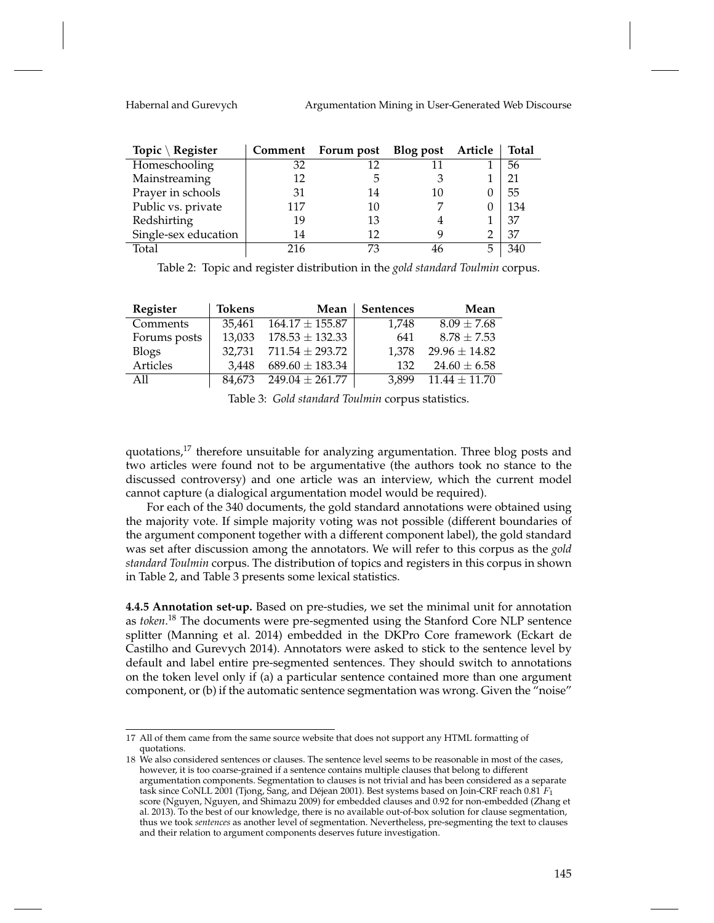| Topic $\setminus$ Register | Comment | Forum post Blog post Article |    |   | <b>Total</b>    |
|----------------------------|---------|------------------------------|----|---|-----------------|
| Homeschooling              | 32      | 12                           |    |   | 56              |
| Mainstreaming              | 12      |                              |    |   | 21              |
| Prayer in schools          | 31      | 14                           | 10 |   | 55              |
| Public vs. private         | 117     | 10                           |    |   | 134             |
| Redshirting                | 19      | 13                           |    |   | 37              |
| Single-sex education       | 14      | 12                           |    |   | 37              |
| Total                      | 216     | 73                           | 46 | 5 | 34 <sup>c</sup> |

Table 2: Topic and register distribution in the *gold standard Toulmin* corpus.

| Register     | Tokens | Mean                | <b>Sentences</b> | Mean              |
|--------------|--------|---------------------|------------------|-------------------|
| Comments     | 35.461 | $164.17 \pm 155.87$ | 1,748            | $8.09 \pm 7.68$   |
| Forums posts | 13.033 | $178.53 \pm 132.33$ | 641              | $8.78 + 7.53$     |
| <b>Blogs</b> | 32,731 | $711.54 \pm 293.72$ | 1.378            | $29.96 \pm 14.82$ |
| Articles     | 3.448  | $689.60 \pm 183.34$ | 132              | $24.60 \pm 6.58$  |
| All          | 84.673 | $249.04 \pm 261.77$ | 3.899            | $11.44 \pm 11.70$ |

Table 3: *Gold standard Toulmin* corpus statistics.

quotations, $17$  therefore unsuitable for analyzing argumentation. Three blog posts and two articles were found not to be argumentative (the authors took no stance to the discussed controversy) and one article was an interview, which the current model cannot capture (a dialogical argumentation model would be required).

For each of the 340 documents, the gold standard annotations were obtained using the majority vote. If simple majority voting was not possible (different boundaries of the argument component together with a different component label), the gold standard was set after discussion among the annotators. We will refer to this corpus as the *gold standard Toulmin* corpus. The distribution of topics and registers in this corpus in shown in Table 2, and Table 3 presents some lexical statistics.

**4.4.5 Annotation set-up.** Based on pre-studies, we set the minimal unit for annotation as *token*. <sup>18</sup> The documents were pre-segmented using the Stanford Core NLP sentence splitter (Manning et al. 2014) embedded in the DKPro Core framework (Eckart de Castilho and Gurevych 2014). Annotators were asked to stick to the sentence level by default and label entire pre-segmented sentences. They should switch to annotations on the token level only if (a) a particular sentence contained more than one argument component, or (b) if the automatic sentence segmentation was wrong. Given the "noise"

<sup>17</sup> All of them came from the same source website that does not support any HTML formatting of quotations.

<sup>18</sup> We also considered sentences or clauses. The sentence level seems to be reasonable in most of the cases, however, it is too coarse-grained if a sentence contains multiple clauses that belong to different argumentation components. Segmentation to clauses is not trivial and has been considered as a separate task since CoNLL 2001 (Tjong, Sang, and Déjean 2001). Best systems based on Join-CRF reach 0.81  $F_1$ score (Nguyen, Nguyen, and Shimazu 2009) for embedded clauses and 0.92 for non-embedded (Zhang et al. 2013). To the best of our knowledge, there is no available out-of-box solution for clause segmentation, thus we took *sentences* as another level of segmentation. Nevertheless, pre-segmenting the text to clauses and their relation to argument components deserves future investigation.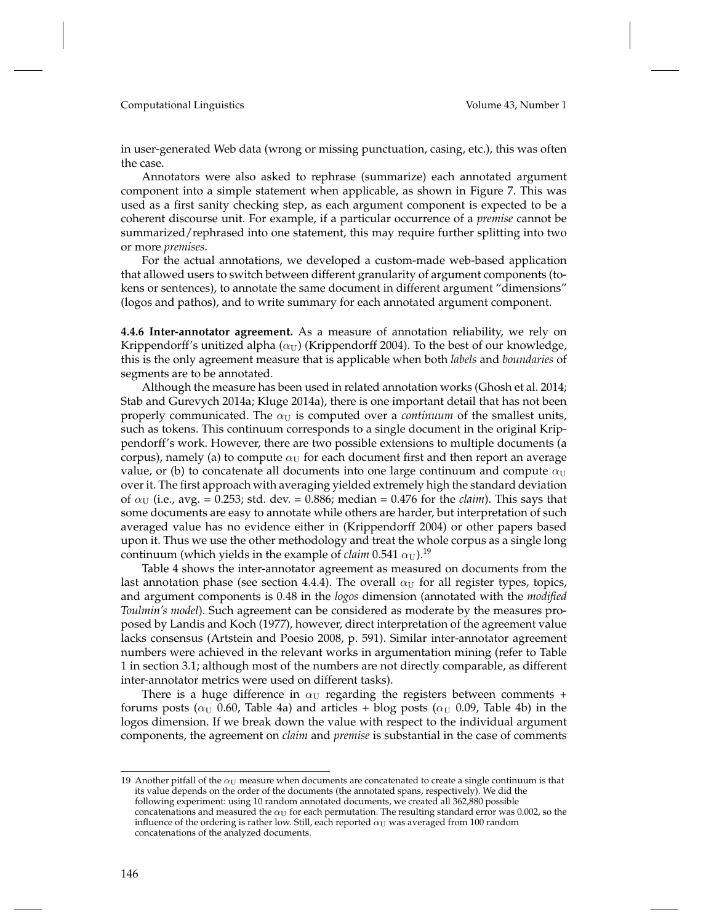in user-generated Web data (wrong or missing punctuation, casing, etc.), this was often the case.

Annotators were also asked to rephrase (summarize) each annotated argument component into a simple statement when applicable, as shown in Figure 7. This was used as a first sanity checking step, as each argument component is expected to be a coherent discourse unit. For example, if a particular occurrence of a *premise* cannot be summarized/rephrased into one statement, this may require further splitting into two or more *premises*.

For the actual annotations, we developed a custom-made web-based application that allowed users to switch between different granularity of argument components (tokens or sentences), to annotate the same document in different argument "dimensions" (logos and pathos), and to write summary for each annotated argument component.

**4.4.6 Inter-annotator agreement.** As a measure of annotation reliability, we rely on Krippendorff's unitized alpha ( $\alpha_U$ ) (Krippendorff 2004). To the best of our knowledge, this is the only agreement measure that is applicable when both *labels* and *boundaries* of segments are to be annotated.

Although the measure has been used in related annotation works (Ghosh et al. 2014; Stab and Gurevych 2014a; Kluge 2014a), there is one important detail that has not been properly communicated. The  $\alpha_U$  is computed over a *continuum* of the smallest units, such as tokens. This continuum corresponds to a single document in the original Krippendorff's work. However, there are two possible extensions to multiple documents (a corpus), namely (a) to compute  $\alpha_U$  for each document first and then report an average value, or (b) to concatenate all documents into one large continuum and compute  $\alpha_U$ over it. The first approach with averaging yielded extremely high the standard deviation of  $\alpha_U$  (i.e., avg. = 0.253; std. dev. = 0.886; median = 0.476 for the *claim*). This says that some documents are easy to annotate while others are harder, but interpretation of such averaged value has no evidence either in (Krippendorff 2004) or other papers based upon it. Thus we use the other methodology and treat the whole corpus as a single long continuum (which yields in the example of *claim* 0.541  $\alpha_U$ ).<sup>19</sup>

Table 4 shows the inter-annotator agreement as measured on documents from the last annotation phase (see section 4.4.4). The overall  $\alpha_U$  for all register types, topics, and argument components is 0.48 in the *logos* dimension (annotated with the *modified Toulmin's model*). Such agreement can be considered as moderate by the measures proposed by Landis and Koch (1977), however, direct interpretation of the agreement value lacks consensus (Artstein and Poesio 2008, p. 591). Similar inter-annotator agreement numbers were achieved in the relevant works in argumentation mining (refer to Table 1 in section 3.1; although most of the numbers are not directly comparable, as different inter-annotator metrics were used on different tasks).

There is a huge difference in  $\alpha_U$  regarding the registers between comments + forums posts ( $\alpha_U$  0.60, Table 4a) and articles + blog posts ( $\alpha_U$  0.09, Table 4b) in the logos dimension. If we break down the value with respect to the individual argument components, the agreement on *claim* and *premise* is substantial in the case of comments

<sup>19</sup> Another pitfall of the  $\alpha_U$  measure when documents are concatenated to create a single continuum is that its value depends on the order of the documents (the annotated spans, respectively). We did the following experiment: using 10 random annotated documents, we created all 362,880 possible concatenations and measured the  $\alpha_U$  for each permutation. The resulting standard error was 0.002, so the influence of the ordering is rather low. Still, each reported  $\alpha_U$  was averaged from 100 random concatenations of the analyzed documents.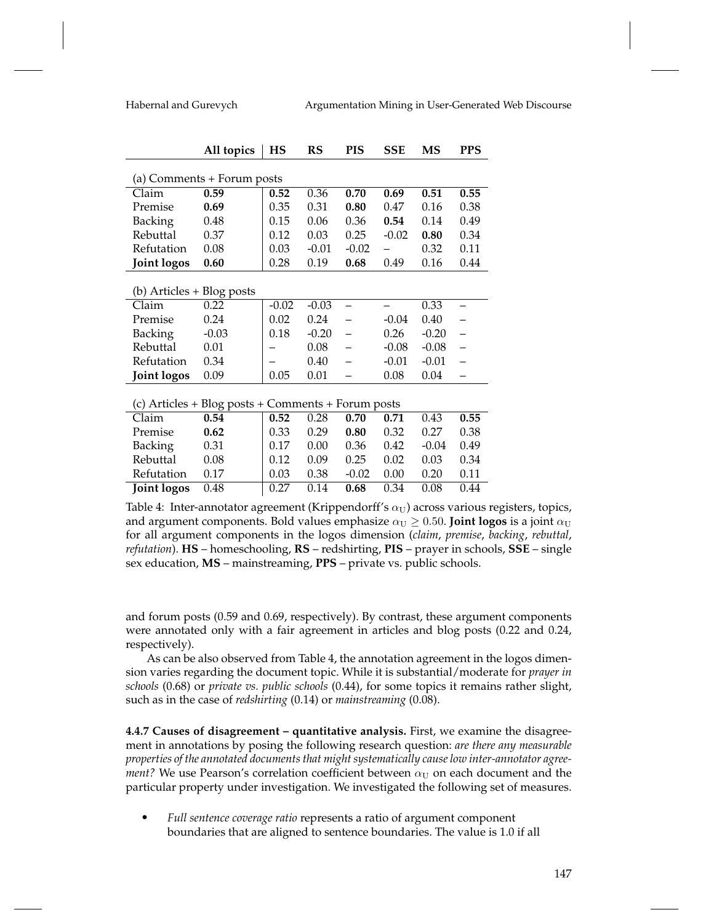|                           | All topics                                         | HS      | RS      | PIS                      | <b>SSE</b> | MS      | <b>PPS</b>               |
|---------------------------|----------------------------------------------------|---------|---------|--------------------------|------------|---------|--------------------------|
|                           |                                                    |         |         |                          |            |         |                          |
|                           | (a) Comments + Forum posts                         |         |         |                          |            |         |                          |
| Claim                     | 0.59                                               | 0.52    | 0.36    | 0.70                     | 0.69       | 0.51    | 0.55                     |
| Premise                   | 0.69                                               | 0.35    | 0.31    | 0.80                     | 0.47       | 0.16    | 0.38                     |
| <b>Backing</b>            | 0.48                                               | 0.15    | 0.06    | 0.36                     | 0.54       | 0.14    | 0.49                     |
| Rebuttal                  | 0.37                                               | 0.12    | 0.03    | 0.25                     | $-0.02$    | 0.80    | 0.34                     |
| Refutation                | 0.08                                               | 0.03    | $-0.01$ | $-0.02$                  |            | 0.32    | 0.11                     |
| Joint logos               | 0.60                                               | 0.28    | 0.19    | 0.68                     | 0.49       | 0.16    | 0.44                     |
|                           |                                                    |         |         |                          |            |         |                          |
| (b) Articles + Blog posts |                                                    |         |         |                          |            |         |                          |
| Claim                     | 0.22                                               | $-0.02$ | $-0.03$ |                          |            | 0.33    | $\overline{\phantom{0}}$ |
| Premise                   | 0.24                                               | 0.02    | 0.24    |                          | $-0.04$    | 0.40    |                          |
| <b>Backing</b>            | $-0.03$                                            | 0.18    | $-0.20$ | $\overline{\phantom{0}}$ | 0.26       | $-0.20$ |                          |
| Rebuttal                  | 0.01                                               |         | 0.08    |                          | $-0.08$    | $-0.08$ | $\overline{a}$           |
| Refutation                | 0.34                                               |         | 0.40    |                          | $-0.01$    | $-0.01$ | $\overline{\phantom{0}}$ |
| Joint logos               | 0.09                                               | 0.05    | 0.01    |                          | 0.08       | 0.04    | $\overline{\phantom{0}}$ |
|                           |                                                    |         |         |                          |            |         |                          |
|                           | (c) Articles + Blog posts + Comments + Forum posts |         |         |                          |            |         |                          |
| Claim                     | 0.54                                               | 0.52    | 0.28    | 0.70                     | 0.71       | 0.43    | 0.55                     |
| Premise                   | 0.62                                               | 0.33    | 0.29    | 0.80                     | 0.32       | 0.27    | 0.38                     |
| <b>Backing</b>            | 0.31                                               | 0.17    | 0.00    | 0.36                     | 0.42       | $-0.04$ | 0.49                     |
| Rebuttal                  | 0.08                                               | 0.12    | 0.09    | 0.25                     | 0.02       | 0.03    | 0.34                     |

Refutation 0.17 0.03 0.38 -0.02 0.00 0.20 0.11 **Joint logos** 0.48 0.27 0.14 **0.68** 0.34 0.08 0.44

Table 4: Inter-annotator agreement (Krippendorff's  $\alpha_{\mathrm{U}}$ ) across various registers, topics, and argument components. Bold values emphasize  $\alpha_U \geq 0.50$ . **Joint logos** is a joint  $\alpha_U$ for all argument components in the logos dimension (*claim*, *premise*, *backing*, *rebuttal*, *refutation*). **HS** – homeschooling, **RS** – redshirting, **PIS** – prayer in schools, **SSE** – single sex education, **MS** – mainstreaming, **PPS** – private vs. public schools.

and forum posts (0.59 and 0.69, respectively). By contrast, these argument components were annotated only with a fair agreement in articles and blog posts (0.22 and 0.24, respectively).

As can be also observed from Table 4, the annotation agreement in the logos dimension varies regarding the document topic. While it is substantial/moderate for *prayer in schools* (0.68) or *private vs. public schools* (0.44), for some topics it remains rather slight, such as in the case of *redshirting* (0.14) or *mainstreaming* (0.08).

**4.4.7 Causes of disagreement – quantitative analysis.** First, we examine the disagreement in annotations by posing the following research question: *are there any measurable properties of the annotated documents that might systematically cause low inter-annotator agreement?* We use Pearson's correlation coefficient between  $\alpha_U$  on each document and the particular property under investigation. We investigated the following set of measures.

r *Full sentence coverage ratio* represents a ratio of argument component boundaries that are aligned to sentence boundaries. The value is 1.0 if all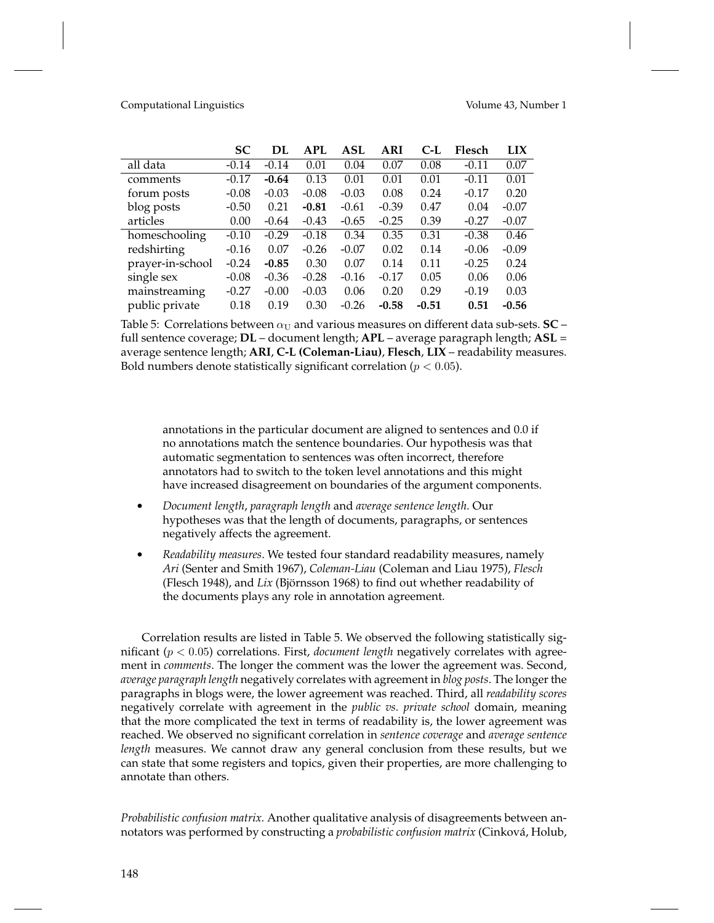|                  | <b>SC</b> | DL.     | <b>APL</b> | ASL     | ARI     | $C-L$   | Flesch  | LIX     |
|------------------|-----------|---------|------------|---------|---------|---------|---------|---------|
| all data         | $-0.14$   | $-0.14$ | 0.01       | 0.04    | 0.07    | 0.08    | $-0.11$ | 0.07    |
| comments         | $-0.17$   | $-0.64$ | 0.13       | 0.01    | 0.01    | 0.01    | $-0.11$ | 0.01    |
| forum posts      | $-0.08$   | $-0.03$ | $-0.08$    | $-0.03$ | 0.08    | 0.24    | $-0.17$ | 0.20    |
| blog posts       | $-0.50$   | 0.21    | $-0.81$    | $-0.61$ | $-0.39$ | 0.47    | 0.04    | $-0.07$ |
| articles         | 0.00      | $-0.64$ | $-0.43$    | $-0.65$ | $-0.25$ | 0.39    | $-0.27$ | $-0.07$ |
| homeschooling    | $-0.10$   | $-0.29$ | $-0.18$    | 0.34    | 0.35    | 0.31    | $-0.38$ | 0.46    |
| redshirting      | $-0.16$   | 0.07    | $-0.26$    | $-0.07$ | 0.02    | 0.14    | $-0.06$ | $-0.09$ |
| prayer-in-school | $-0.24$   | $-0.85$ | 0.30       | 0.07    | 0.14    | 0.11    | $-0.25$ | 0.24    |
| single sex       | $-0.08$   | $-0.36$ | $-0.28$    | $-0.16$ | $-0.17$ | 0.05    | 0.06    | 0.06    |
| mainstreaming    | $-0.27$   | $-0.00$ | $-0.03$    | 0.06    | 0.20    | 0.29    | $-0.19$ | 0.03    |
| public private   | 0.18      | 0.19    | 0.30       | $-0.26$ | $-0.58$ | $-0.51$ | 0.51    | $-0.56$ |

Table 5: Correlations between  $\alpha_U$  and various measures on different data sub-sets. **SC** – full sentence coverage; **DL** – document length; **APL** – average paragraph length; **ASL** = average sentence length; **ARI**, **C-L (Coleman-Liau)**, **Flesch**, **LIX** – readability measures. Bold numbers denote statistically significant correlation ( $p < 0.05$ ).

annotations in the particular document are aligned to sentences and 0.0 if no annotations match the sentence boundaries. Our hypothesis was that automatic segmentation to sentences was often incorrect, therefore annotators had to switch to the token level annotations and this might have increased disagreement on boundaries of the argument components.

- r *Document length*, *paragraph length* and *average sentence length*. Our hypotheses was that the length of documents, paragraphs, or sentences negatively affects the agreement.
- r *Readability measures*. We tested four standard readability measures, namely *Ari* (Senter and Smith 1967), *Coleman-Liau* (Coleman and Liau 1975), *Flesch* (Flesch 1948), and *Lix* (Björnsson 1968) to find out whether readability of the documents plays any role in annotation agreement.

Correlation results are listed in Table 5. We observed the following statistically significant (p < 0.05) correlations. First, *document length* negatively correlates with agreement in *comments*. The longer the comment was the lower the agreement was. Second, *average paragraph length* negatively correlates with agreement in *blog posts*. The longer the paragraphs in blogs were, the lower agreement was reached. Third, all *readability scores* negatively correlate with agreement in the *public vs. private school* domain, meaning that the more complicated the text in terms of readability is, the lower agreement was reached. We observed no significant correlation in *sentence coverage* and *average sentence length* measures. We cannot draw any general conclusion from these results, but we can state that some registers and topics, given their properties, are more challenging to annotate than others.

*Probabilistic confusion matrix.* Another qualitative analysis of disagreements between annotators was performed by constructing a *probabilistic confusion matrix* (Cinková, Holub,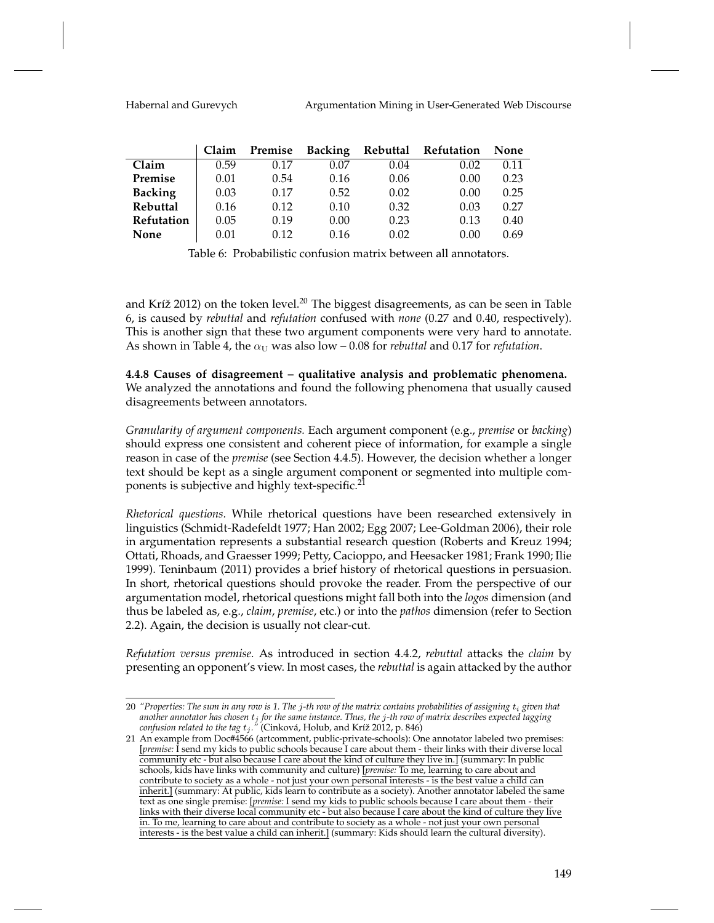|                | Claim | Premise | Backing Rebuttal |      | Refutation | <b>None</b> |
|----------------|-------|---------|------------------|------|------------|-------------|
| Claim          | 0.59  | 0.17    | 0.07             | 0.04 | 0.02       | 0.11        |
| Premise        | 0.01  | 0.54    | 0.16             | 0.06 | 0.00       | 0.23        |
| <b>Backing</b> | 0.03  | 0.17    | 0.52             | 0.02 | 0.00       | 0.25        |
| Rebuttal       | 0.16  | 0.12    | 0.10             | 0.32 | 0.03       | 0.27        |
| Refutation     | 0.05  | 0.19    | 0.00             | 0.23 | 0.13       | 0.40        |
| None           | 0.01  | 0.12    | 0.16             | 0.02 | 0.00       | 0.69        |

Table 6: Probabilistic confusion matrix between all annotators.

and Kríž 2012) on the token level. $^{20}$  The biggest disagreements, as can be seen in Table 6, is caused by *rebuttal* and *refutation* confused with *none* (0.27 and 0.40, respectively). This is another sign that these two argument components were very hard to annotate. As shown in Table 4, the  $\alpha_U$  was also low – 0.08 for *rebuttal* and 0.17 for *refutation*.

**4.4.8 Causes of disagreement – qualitative analysis and problematic phenomena.** We analyzed the annotations and found the following phenomena that usually caused disagreements between annotators.

*Granularity of argument components.* Each argument component (e.g., *premise* or *backing*) should express one consistent and coherent piece of information, for example a single reason in case of the *premise* (see Section 4.4.5). However, the decision whether a longer text should be kept as a single argument component or segmented into multiple components is subjective and highly text-specific.<sup>21</sup>

*Rhetorical questions.* While rhetorical questions have been researched extensively in linguistics (Schmidt-Radefeldt 1977; Han 2002; Egg 2007; Lee-Goldman 2006), their role in argumentation represents a substantial research question (Roberts and Kreuz 1994; Ottati, Rhoads, and Graesser 1999; Petty, Cacioppo, and Heesacker 1981; Frank 1990; Ilie 1999). Teninbaum (2011) provides a brief history of rhetorical questions in persuasion. In short, rhetorical questions should provoke the reader. From the perspective of our argumentation model, rhetorical questions might fall both into the *logos* dimension (and thus be labeled as, e.g., *claim*, *premise*, etc.) or into the *pathos* dimension (refer to Section 2.2). Again, the decision is usually not clear-cut.

*Refutation versus premise.* As introduced in section 4.4.2, *rebuttal* attacks the *claim* by presenting an opponent's view. In most cases, the *rebuttal* is again attacked by the author

<sup>20</sup> *"Properties: The sum in any row is 1. The* j*-th row of the matrix contains probabilities of assigning* t<sup>i</sup> *given that another annotator has chosen* t<sup>j</sup> *for the same instance. Thus, the* j*-th row of matrix describes expected tagging confusion related to the tag* t<sup>j</sup> *."* (Cinková, Holub, and Kríž 2012, p. 846)

<sup>21</sup> An example from Doc#4566 (artcomment, public-private-schools): One annotator labeled two premises: [*premise:* I send my kids to public schools because I care about them - their links with their diverse local community etc - but also because I care about the kind of culture they live in.] (summary: In public schools, kids have links with community and culture) [*premise:* To me, learning to care about and contribute to society as a whole - not just your own personal interests - is the best value a child can inherit.] (summary: At public, kids learn to contribute as a society). Another annotator labeled the same text as one single premise: [*premise:* I send my kids to public schools because I care about them - their links with their diverse local community etc - but also because I care about the kind of culture they live in. To me, learning to care about and contribute to society as a whole - not just your own personal interests - is the best value a child can inherit.] (summary: Kids should learn the cultural diversity).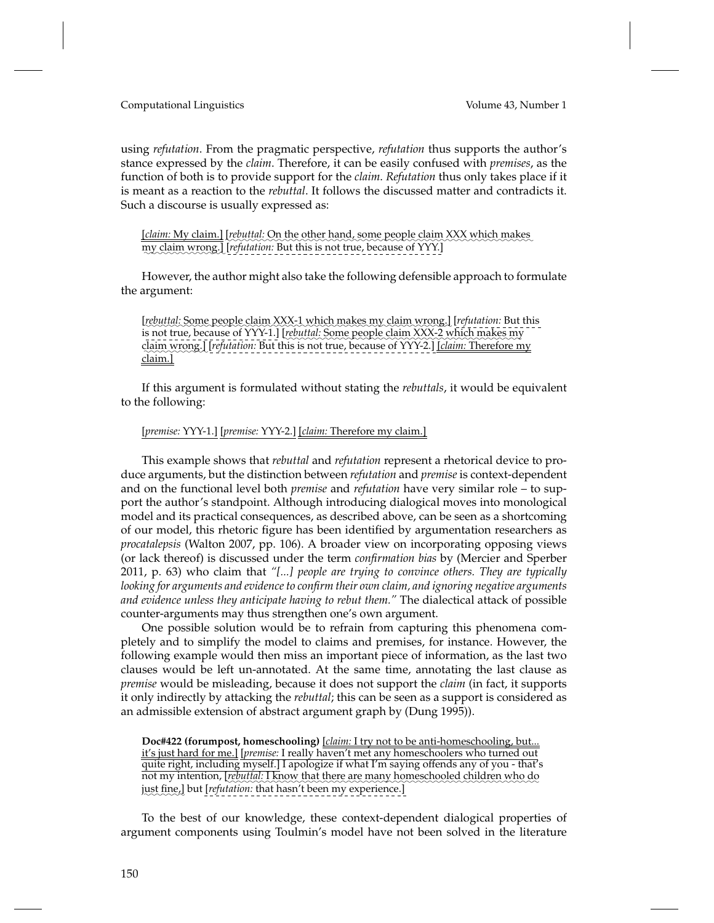using *refutation*. From the pragmatic perspective, *refutation* thus supports the author's stance expressed by the *claim*. Therefore, it can be easily confused with *premises*, as the function of both is to provide support for the *claim*. *Refutation* thus only takes place if it is meant as a reaction to the *rebuttal*. It follows the discussed matter and contradicts it. Such a discourse is usually expressed as:

[*claim:* My claim.] ✿✿✿✿✿✿✿ [*rebuttal:* ✿✿✿ On ✿✿✿ the ✿✿✿✿ other✿✿✿✿✿ hand,✿✿✿✿✿ some✿✿✿✿✿✿ people ✿✿✿✿✿ claim ✿✿✿✿ XXX ✿✿✿✿✿ which✿✿✿✿✿✿ makes my claim wrong.] [*refutation:* But this is not true, because of YYY.]

However, the author might also take the following defensible approach to formulate the argument:

✿✿✿✿✿✿ [*rebuttal:*✿✿✿✿✿ Some✿✿✿✿✿✿ people✿✿✿✿✿ claim✿✿✿✿✿ XXX-1✿✿✿✿✿✿ which ✿✿✿✿✿ makes✿✿✿my✿✿✿✿✿ claim✿✿✿✿✿✿✿ wrong.] [*refutation:* But this is not true, because of YYY-1.] [*rebuttal:* Some people claim XXX-2 which makes my claim wrong.] [*refutation:* But this is not true, because of YYY-2.] <u>[*claim:* Therefore my</u> claim.]

If this argument is formulated without stating the *rebuttals*, it would be equivalent to the following:

# [*premise:* YYY-1.] [*premise:* YYY-2.] [*claim:* Therefore my claim.]

This example shows that *rebuttal* and *refutation* represent a rhetorical device to produce arguments, but the distinction between *refutation* and *premise* is context-dependent and on the functional level both *premise* and *refutation* have very similar role – to support the author's standpoint. Although introducing dialogical moves into monological model and its practical consequences, as described above, can be seen as a shortcoming of our model, this rhetoric figure has been identified by argumentation researchers as *procatalepsis* (Walton 2007, pp. 106). A broader view on incorporating opposing views (or lack thereof) is discussed under the term *confirmation bias* by (Mercier and Sperber 2011, p. 63) who claim that *"[...] people are trying to convince others. They are typically looking for arguments and evidence to confirm their own claim, and ignoring negative arguments and evidence unless they anticipate having to rebut them."* The dialectical attack of possible counter-arguments may thus strengthen one's own argument.

One possible solution would be to refrain from capturing this phenomena completely and to simplify the model to claims and premises, for instance. However, the following example would then miss an important piece of information, as the last two clauses would be left un-annotated. At the same time, annotating the last clause as *premise* would be misleading, because it does not support the *claim* (in fact, it supports it only indirectly by attacking the *rebuttal*; this can be seen as a support is considered as an admissible extension of abstract argument graph by (Dung 1995)).

**Doc#422 (forumpost, homeschooling)** [*claim:* I try not to be anti-homeschooling, but... it's just hard for me.] [*premise:* I really haven't met any homeschoolers who turned out quite right, including myself.] I apologize if what I'm saying offends any of you - that's not my intention, [*rebuttal:* I know that there are many homeschooled children who do j<u>ust fine,]</u> but *[refutation:* that hasn't been my experience.]

To the best of our knowledge, these context-dependent dialogical properties of argument components using Toulmin's model have not been solved in the literature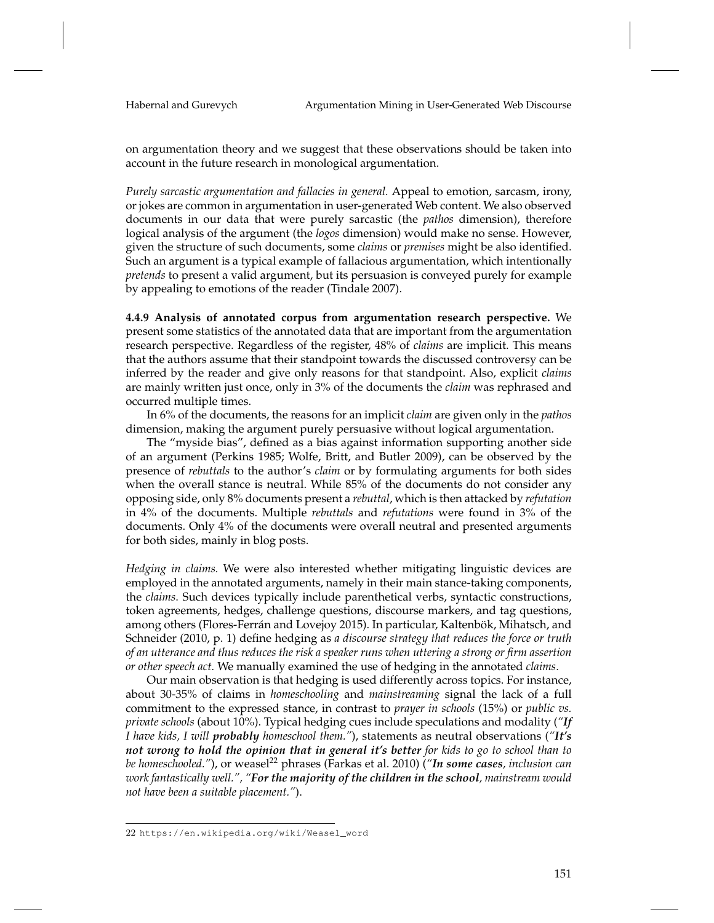Habernal and Gurevych Argumentation Mining in User-Generated Web Discourse

on argumentation theory and we suggest that these observations should be taken into account in the future research in monological argumentation.

*Purely sarcastic argumentation and fallacies in general.* Appeal to emotion, sarcasm, irony, or jokes are common in argumentation in user-generated Web content. We also observed documents in our data that were purely sarcastic (the *pathos* dimension), therefore logical analysis of the argument (the *logos* dimension) would make no sense. However, given the structure of such documents, some *claims* or *premises* might be also identified. Such an argument is a typical example of fallacious argumentation, which intentionally *pretends* to present a valid argument, but its persuasion is conveyed purely for example by appealing to emotions of the reader (Tindale 2007).

**4.4.9 Analysis of annotated corpus from argumentation research perspective.** We present some statistics of the annotated data that are important from the argumentation research perspective. Regardless of the register, 48% of *claims* are implicit. This means that the authors assume that their standpoint towards the discussed controversy can be inferred by the reader and give only reasons for that standpoint. Also, explicit *claims* are mainly written just once, only in 3% of the documents the *claim* was rephrased and occurred multiple times.

In 6% of the documents, the reasons for an implicit *claim* are given only in the *pathos* dimension, making the argument purely persuasive without logical argumentation.

The "myside bias", defined as a bias against information supporting another side of an argument (Perkins 1985; Wolfe, Britt, and Butler 2009), can be observed by the presence of *rebuttals* to the author's *claim* or by formulating arguments for both sides when the overall stance is neutral. While 85% of the documents do not consider any opposing side, only 8% documents present a *rebuttal*, which is then attacked by *refutation* in 4% of the documents. Multiple *rebuttals* and *refutations* were found in 3% of the documents. Only 4% of the documents were overall neutral and presented arguments for both sides, mainly in blog posts.

*Hedging in claims.* We were also interested whether mitigating linguistic devices are employed in the annotated arguments, namely in their main stance-taking components, the *claims*. Such devices typically include parenthetical verbs, syntactic constructions, token agreements, hedges, challenge questions, discourse markers, and tag questions, among others (Flores-Ferrán and Lovejoy 2015). In particular, Kaltenbök, Mihatsch, and Schneider (2010, p. 1) define hedging as *a discourse strategy that reduces the force or truth of an utterance and thus reduces the risk a speaker runs when uttering a strong or firm assertion or other speech act.* We manually examined the use of hedging in the annotated *claims*.

Our main observation is that hedging is used differently across topics. For instance, about 30-35% of claims in *homeschooling* and *mainstreaming* signal the lack of a full commitment to the expressed stance, in contrast to *prayer in schools* (15%) or *public vs. private schools* (about 10%). Typical hedging cues include speculations and modality (*"If I have kids, I will probably homeschool them."*), statements as neutral observations (*"It's not wrong to hold the opinion that in general it's better for kids to go to school than to be homeschooled."*), or weasel<sup>22</sup> phrases (Farkas et al. 2010) ("In some cases, inclusion can *work fantastically well.", "For the majority of the children in the school, mainstream would not have been a suitable placement."*).

<sup>22</sup> https://en.wikipedia.org/wiki/Weasel\_word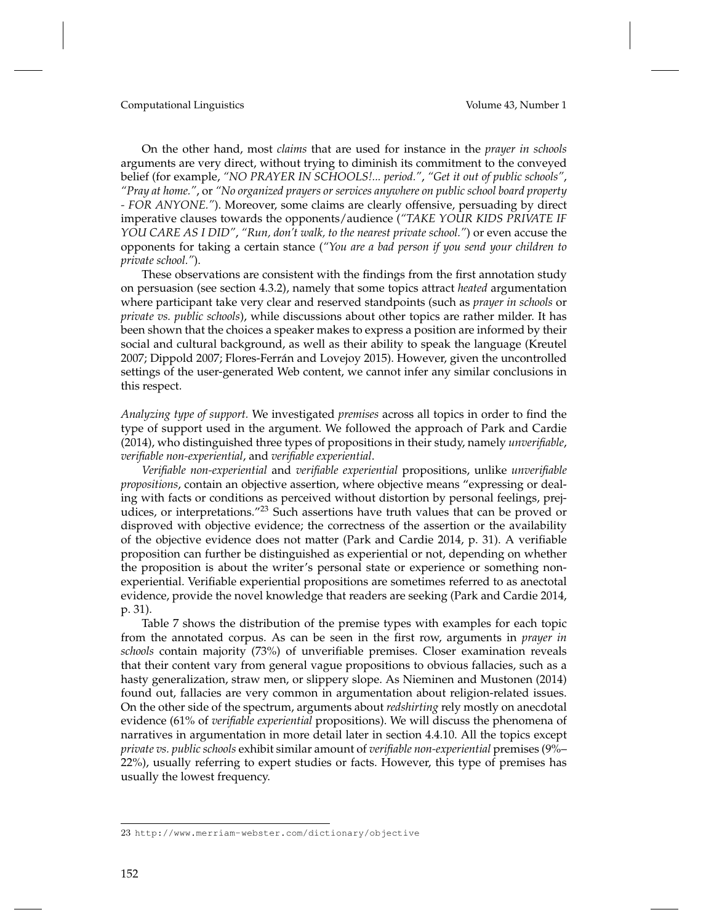On the other hand, most *claims* that are used for instance in the *prayer in schools* arguments are very direct, without trying to diminish its commitment to the conveyed belief (for example, *"NO PRAYER IN SCHOOLS!... period."*, *"Get it out of public schools"*, *"Pray at home."*, or *"No organized prayers or services anywhere on public school board property - FOR ANYONE."*). Moreover, some claims are clearly offensive, persuading by direct imperative clauses towards the opponents/audience (*"TAKE YOUR KIDS PRIVATE IF YOU CARE AS I DID"*, *"Run, don't walk, to the nearest private school."*) or even accuse the opponents for taking a certain stance (*"You are a bad person if you send your children to private school."*).

These observations are consistent with the findings from the first annotation study on persuasion (see section 4.3.2), namely that some topics attract *heated* argumentation where participant take very clear and reserved standpoints (such as *prayer in schools* or *private vs. public schools*), while discussions about other topics are rather milder. It has been shown that the choices a speaker makes to express a position are informed by their social and cultural background, as well as their ability to speak the language (Kreutel 2007; Dippold 2007; Flores-Ferrán and Lovejoy 2015). However, given the uncontrolled settings of the user-generated Web content, we cannot infer any similar conclusions in this respect.

*Analyzing type of support.* We investigated *premises* across all topics in order to find the type of support used in the argument. We followed the approach of Park and Cardie (2014), who distinguished three types of propositions in their study, namely *unverifiable*, *verifiable non-experiential*, and *verifiable experiential*.

*Verifiable non-experiential* and *verifiable experiential* propositions, unlike *unverifiable propositions*, contain an objective assertion, where objective means "expressing or dealing with facts or conditions as perceived without distortion by personal feelings, prejudices, or interpretations."<sup>23</sup> Such assertions have truth values that can be proved or disproved with objective evidence; the correctness of the assertion or the availability of the objective evidence does not matter (Park and Cardie 2014, p. 31). A verifiable proposition can further be distinguished as experiential or not, depending on whether the proposition is about the writer's personal state or experience or something nonexperiential. Verifiable experiential propositions are sometimes referred to as anectotal evidence, provide the novel knowledge that readers are seeking (Park and Cardie 2014, p. 31).

Table 7 shows the distribution of the premise types with examples for each topic from the annotated corpus. As can be seen in the first row, arguments in *prayer in schools* contain majority (73%) of unverifiable premises. Closer examination reveals that their content vary from general vague propositions to obvious fallacies, such as a hasty generalization, straw men, or slippery slope. As Nieminen and Mustonen (2014) found out, fallacies are very common in argumentation about religion-related issues. On the other side of the spectrum, arguments about *redshirting* rely mostly on anecdotal evidence (61% of *verifiable experiential* propositions). We will discuss the phenomena of narratives in argumentation in more detail later in section 4.4.10. All the topics except *private vs. public schools* exhibit similar amount of *verifiable non-experiential* premises (9%– 22%), usually referring to expert studies or facts. However, this type of premises has usually the lowest frequency.

<sup>23</sup> http://www.merriam-webster.com/dictionary/objective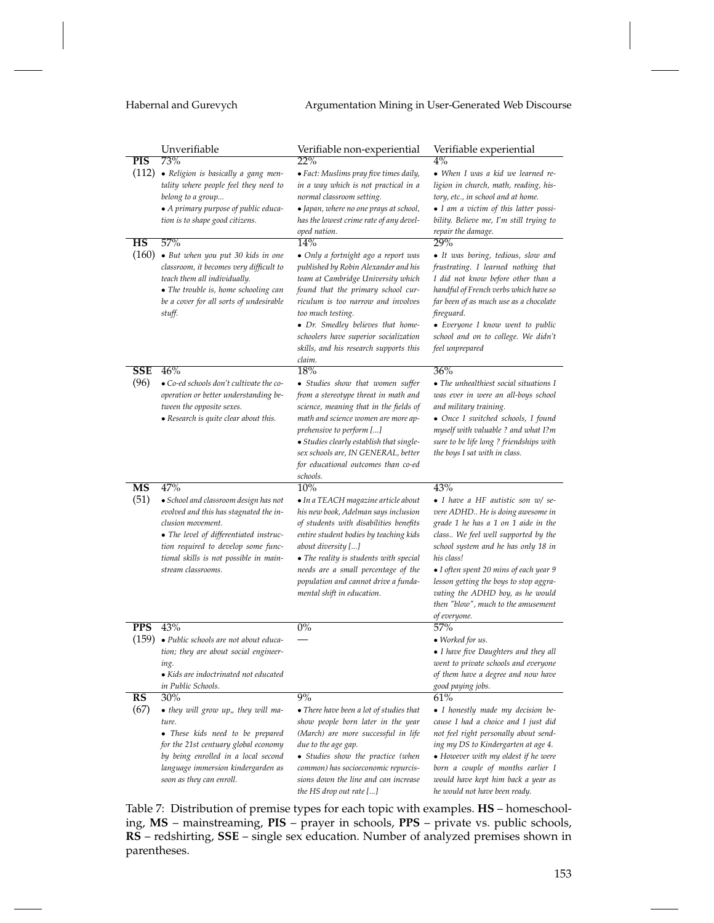# Habernal and Gurevych **Argumentation Mining in User-Generated Web Discourse**

|                        | Unverifiable                                                                                                                                                                                                                                          | Verifiable non-experiential                                                                                                                                                                                                                                                                                                                          | Verifiable experiential                                                                                                                                                                                                                                                                                                                                                                |
|------------------------|-------------------------------------------------------------------------------------------------------------------------------------------------------------------------------------------------------------------------------------------------------|------------------------------------------------------------------------------------------------------------------------------------------------------------------------------------------------------------------------------------------------------------------------------------------------------------------------------------------------------|----------------------------------------------------------------------------------------------------------------------------------------------------------------------------------------------------------------------------------------------------------------------------------------------------------------------------------------------------------------------------------------|
| <b>PIS</b>             | 73%                                                                                                                                                                                                                                                   | 22%                                                                                                                                                                                                                                                                                                                                                  | 4%                                                                                                                                                                                                                                                                                                                                                                                     |
| (112)                  | • Religion is basically a gang men-                                                                                                                                                                                                                   | • Fact: Muslims pray five times daily,                                                                                                                                                                                                                                                                                                               | • When I was a kid we learned re-                                                                                                                                                                                                                                                                                                                                                      |
|                        | tality where people feel they need to                                                                                                                                                                                                                 | in a way which is not practical in a                                                                                                                                                                                                                                                                                                                 | ligion in church, math, reading, his-                                                                                                                                                                                                                                                                                                                                                  |
|                        | belong to a group                                                                                                                                                                                                                                     | normal classroom setting.                                                                                                                                                                                                                                                                                                                            | tory, etc., in school and at home.                                                                                                                                                                                                                                                                                                                                                     |
|                        | • A primary purpose of public educa-                                                                                                                                                                                                                  | · Japan, where no one prays at school,                                                                                                                                                                                                                                                                                                               | • I am a victim of this latter possi-                                                                                                                                                                                                                                                                                                                                                  |
|                        | tion is to shape good citizens.                                                                                                                                                                                                                       | has the lowest crime rate of any devel-<br>oped nation.                                                                                                                                                                                                                                                                                              | bility. Believe me, I'm still trying to<br>repair the damage.                                                                                                                                                                                                                                                                                                                          |
| HS                     | 57%                                                                                                                                                                                                                                                   | 14%                                                                                                                                                                                                                                                                                                                                                  | 29%                                                                                                                                                                                                                                                                                                                                                                                    |
|                        | (160) • But when you put 30 kids in one<br>classroom, it becomes very difficult to<br>teach them all individually.<br>• The trouble is, home schooling can<br>be a cover for all sorts of undesirable<br>stuff.                                       | • Only a fortnight ago a report was<br>published by Robin Alexander and his<br>team at Cambridge University which<br>found that the primary school cur-<br>riculum is too narrow and involves<br>too much testing.<br>• Dr. Smedley believes that home-<br>schoolers have superior socialization<br>skills, and his research supports this<br>claim. | · It was boring, tedious, slow and<br>frustrating. I learned nothing that<br>I did not know before other than a<br>handful of French verbs which have so<br>far been of as much use as a chocolate<br>fireguard.<br>• Everyone I know went to public<br>school and on to college. We didn't<br>feel unprepared                                                                         |
| <b>SSE</b>             | 46%                                                                                                                                                                                                                                                   | 18%                                                                                                                                                                                                                                                                                                                                                  | 36%                                                                                                                                                                                                                                                                                                                                                                                    |
| (96)                   | • Co-ed schools don't cultivate the co-<br>operation or better understanding be-<br>tween the opposite sexes.<br>• Research is quite clear about this.                                                                                                | • Studies show that women suffer<br>from a stereotype threat in math and<br>science, meaning that in the fields of<br>math and science women are more ap-<br>prehensive to perform []<br>• Studies clearly establish that single-<br>sex schools are, IN GENERAL, better<br>for educational outcomes than co-ed<br>schools.                          | • The unhealthiest social situations I<br>was ever in were an all-boys school<br>and military training.<br>• Once I switched schools, I found<br>myself with valuable ? and what I?m<br>sure to be life long ? friendships with<br>the boys I sat with in class.                                                                                                                       |
| $\overline{\text{MS}}$ | 47%                                                                                                                                                                                                                                                   | 10%                                                                                                                                                                                                                                                                                                                                                  | 43%                                                                                                                                                                                                                                                                                                                                                                                    |
| (51)                   | · School and classroom design has not<br>evolved and this has stagnated the in-<br>clusion movement.<br>• The level of differentiated instruc-<br>tion required to develop some func-<br>tional skills is not possible in main-<br>stream classrooms. | $\bullet$ In a TEACH magazine article about<br>his new book, Adelman says inclusion<br>of students with disabilities benefits<br>entire student bodies by teaching kids<br>about diversity []<br>• The reality is students with special<br>needs are a small percentage of the<br>population and cannot drive a funda-<br>mental shift in education. | · I have a HF autistic son w/ se-<br>vere ADHD He is doing awesome in<br>grade 1 he has a 1 on 1 aide in the<br>class We feel well supported by the<br>school system and he has only 18 in<br>his class!<br>• I often spent 20 mins of each year 9<br>lesson getting the boys to stop aggra-<br>vating the ADHD boy, as he would<br>then "blow", much to the amusement<br>of everyone. |
| <b>PPS</b>             | 43%                                                                                                                                                                                                                                                   | $0\%$                                                                                                                                                                                                                                                                                                                                                | 57%                                                                                                                                                                                                                                                                                                                                                                                    |
| (159)                  | • Public schools are not about educa-<br>tion; they are about social engineer-<br>ıng.<br>• Kids are indoctrinated not educated<br>in Public Schools.                                                                                                 |                                                                                                                                                                                                                                                                                                                                                      | • Worked for us.<br>• I have five Daughters and they all<br>went to private schools and everyone<br>of them have a degree and now have<br>good paying jobs.                                                                                                                                                                                                                            |
| RS                     | 30%                                                                                                                                                                                                                                                   | 9%                                                                                                                                                                                                                                                                                                                                                   | 61%                                                                                                                                                                                                                                                                                                                                                                                    |
| (67)                   | • they will grow up,, they will ma-<br>ture.<br>$\bullet$ These kids need to be prepared<br>for the 21st centuary global economy<br>by being enrolled in a local second<br>language immersion kindergarden as<br>soon as they can enroll.             | • There have been a lot of studies that<br>show people born later in the year<br>(March) are more successful in life<br>due to the age gap.<br>• Studies show the practice (when<br>common) has socioeconomic repurcis-<br>sions down the line and can increase<br>the HS drop out rate []                                                           | • I honestly made my decision be-<br>cause I had a choice and I just did<br>not feel right personally about send-<br>ing my DS to Kindergarten at age 4.<br>• However with my oldest if he were<br>born a couple of months earlier I<br>would have kept him back a year as<br>he would not have been ready.                                                                            |

Table 7: Distribution of premise types for each topic with examples. **HS** – homeschooling, **MS** – mainstreaming, **PIS** – prayer in schools, **PPS** – private vs. public schools, **RS** – redshirting, **SSE** – single sex education. Number of analyzed premises shown in parentheses.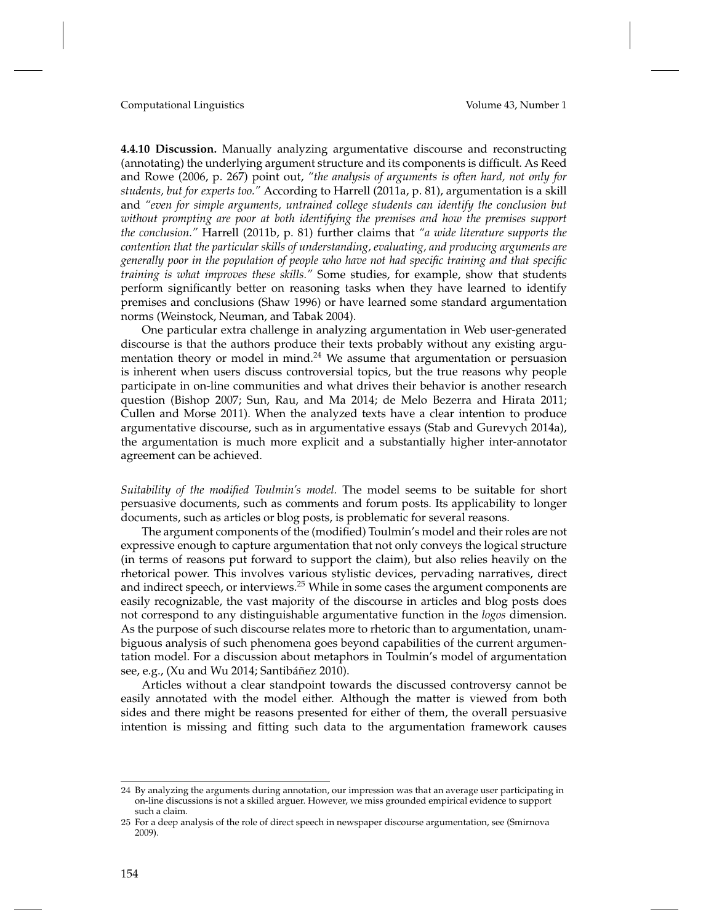**4.4.10 Discussion.** Manually analyzing argumentative discourse and reconstructing (annotating) the underlying argument structure and its components is difficult. As Reed and Rowe (2006, p. 267) point out, *"the analysis of arguments is often hard, not only for students, but for experts too."* According to Harrell (2011a, p. 81), argumentation is a skill and *"even for simple arguments, untrained college students can identify the conclusion but without prompting are poor at both identifying the premises and how the premises support the conclusion."* Harrell (2011b, p. 81) further claims that *"a wide literature supports the contention that the particular skills of understanding, evaluating, and producing arguments are generally poor in the population of people who have not had specific training and that specific training is what improves these skills."* Some studies, for example, show that students perform significantly better on reasoning tasks when they have learned to identify premises and conclusions (Shaw 1996) or have learned some standard argumentation norms (Weinstock, Neuman, and Tabak 2004).

One particular extra challenge in analyzing argumentation in Web user-generated discourse is that the authors produce their texts probably without any existing argumentation theory or model in mind. $^{24}$  We assume that argumentation or persuasion is inherent when users discuss controversial topics, but the true reasons why people participate in on-line communities and what drives their behavior is another research question (Bishop 2007; Sun, Rau, and Ma 2014; de Melo Bezerra and Hirata 2011; Cullen and Morse 2011). When the analyzed texts have a clear intention to produce argumentative discourse, such as in argumentative essays (Stab and Gurevych 2014a), the argumentation is much more explicit and a substantially higher inter-annotator agreement can be achieved.

*Suitability of the modified Toulmin's model.* The model seems to be suitable for short persuasive documents, such as comments and forum posts. Its applicability to longer documents, such as articles or blog posts, is problematic for several reasons.

The argument components of the (modified) Toulmin's model and their roles are not expressive enough to capture argumentation that not only conveys the logical structure (in terms of reasons put forward to support the claim), but also relies heavily on the rhetorical power. This involves various stylistic devices, pervading narratives, direct and indirect speech, or interviews.<sup>25</sup> While in some cases the argument components are easily recognizable, the vast majority of the discourse in articles and blog posts does not correspond to any distinguishable argumentative function in the *logos* dimension. As the purpose of such discourse relates more to rhetoric than to argumentation, unambiguous analysis of such phenomena goes beyond capabilities of the current argumentation model. For a discussion about metaphors in Toulmin's model of argumentation see, e.g., (Xu and Wu 2014; Santibáñez 2010).

Articles without a clear standpoint towards the discussed controversy cannot be easily annotated with the model either. Although the matter is viewed from both sides and there might be reasons presented for either of them, the overall persuasive intention is missing and fitting such data to the argumentation framework causes

<sup>24</sup> By analyzing the arguments during annotation, our impression was that an average user participating in on-line discussions is not a skilled arguer. However, we miss grounded empirical evidence to support such a claim.

<sup>25</sup> For a deep analysis of the role of direct speech in newspaper discourse argumentation, see (Smirnova 2009).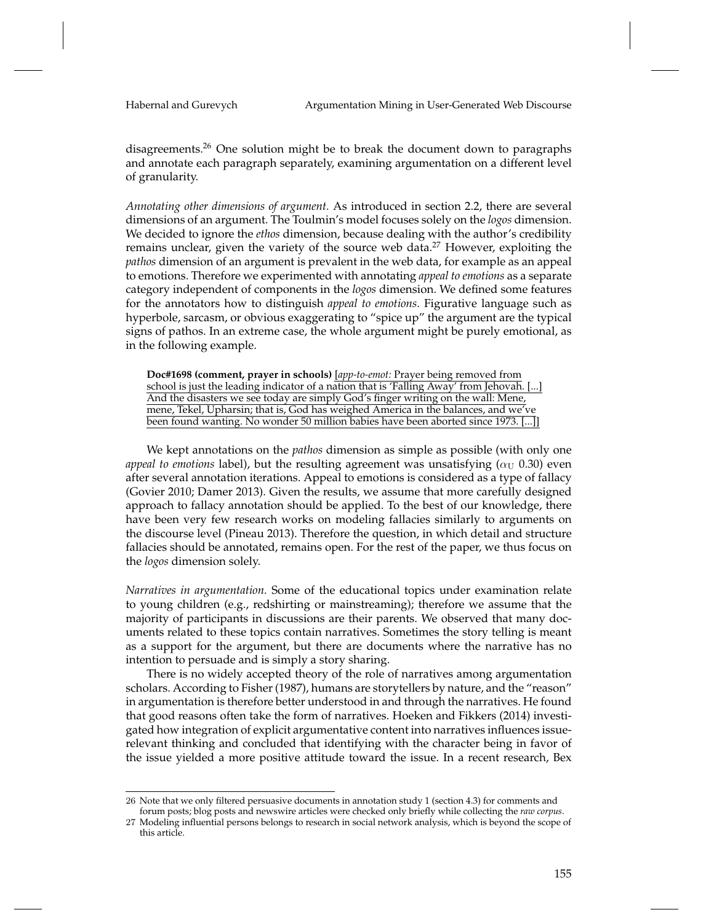disagreements.<sup>26</sup> One solution might be to break the document down to paragraphs and annotate each paragraph separately, examining argumentation on a different level of granularity.

*Annotating other dimensions of argument.* As introduced in section 2.2, there are several dimensions of an argument. The Toulmin's model focuses solely on the *logos* dimension. We decided to ignore the *ethos* dimension, because dealing with the author's credibility remains unclear, given the variety of the source web data.<sup>27</sup> However, exploiting the *pathos* dimension of an argument is prevalent in the web data, for example as an appeal to emotions. Therefore we experimented with annotating *appeal to emotions* as a separate category independent of components in the *logos* dimension. We defined some features for the annotators how to distinguish *appeal to emotions*. Figurative language such as hyperbole, sarcasm, or obvious exaggerating to "spice up" the argument are the typical signs of pathos. In an extreme case, the whole argument might be purely emotional, as in the following example.

**Doc#1698 (comment, prayer in schools)** [*app-to-emot:* Prayer being removed from school is just the leading indicator of a nation that is 'Falling Away' from Jehovah. [...] And the disasters we see today are simply God's finger writing on the wall: Mene, mene, Tekel, Upharsin; that is, God has weighed America in the balances, and we've been found wanting. No wonder 50 million babies have been aborted since 1973. [...]]

We kept annotations on the *pathos* dimension as simple as possible (with only one *appeal to emotions* label), but the resulting agreement was unsatisfying  $(\alpha_U, 0.30)$  even after several annotation iterations. Appeal to emotions is considered as a type of fallacy (Govier 2010; Damer 2013). Given the results, we assume that more carefully designed approach to fallacy annotation should be applied. To the best of our knowledge, there have been very few research works on modeling fallacies similarly to arguments on the discourse level (Pineau 2013). Therefore the question, in which detail and structure fallacies should be annotated, remains open. For the rest of the paper, we thus focus on the *logos* dimension solely.

*Narratives in argumentation.* Some of the educational topics under examination relate to young children (e.g., redshirting or mainstreaming); therefore we assume that the majority of participants in discussions are their parents. We observed that many documents related to these topics contain narratives. Sometimes the story telling is meant as a support for the argument, but there are documents where the narrative has no intention to persuade and is simply a story sharing.

There is no widely accepted theory of the role of narratives among argumentation scholars. According to Fisher (1987), humans are storytellers by nature, and the "reason" in argumentation is therefore better understood in and through the narratives. He found that good reasons often take the form of narratives. Hoeken and Fikkers (2014) investigated how integration of explicit argumentative content into narratives influences issuerelevant thinking and concluded that identifying with the character being in favor of the issue yielded a more positive attitude toward the issue. In a recent research, Bex

<sup>26</sup> Note that we only filtered persuasive documents in annotation study 1 (section 4.3) for comments and forum posts; blog posts and newswire articles were checked only briefly while collecting the *raw corpus*.

<sup>27</sup> Modeling influential persons belongs to research in social network analysis, which is beyond the scope of this article.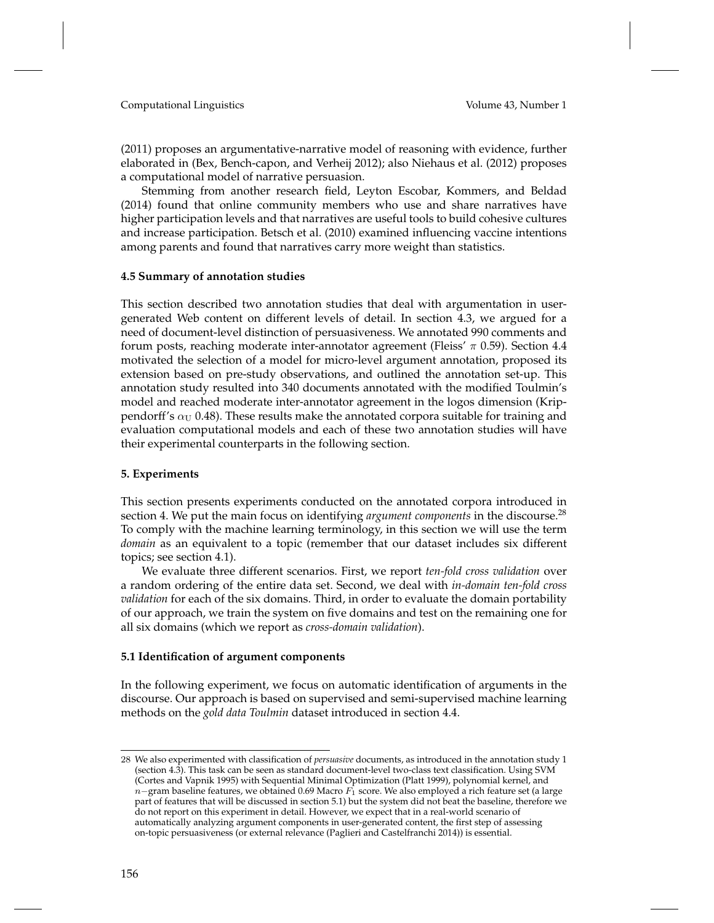(2011) proposes an argumentative-narrative model of reasoning with evidence, further elaborated in (Bex, Bench-capon, and Verheij 2012); also Niehaus et al. (2012) proposes a computational model of narrative persuasion.

Stemming from another research field, Leyton Escobar, Kommers, and Beldad (2014) found that online community members who use and share narratives have higher participation levels and that narratives are useful tools to build cohesive cultures and increase participation. Betsch et al. (2010) examined influencing vaccine intentions among parents and found that narratives carry more weight than statistics.

# **4.5 Summary of annotation studies**

This section described two annotation studies that deal with argumentation in usergenerated Web content on different levels of detail. In section 4.3, we argued for a need of document-level distinction of persuasiveness. We annotated 990 comments and forum posts, reaching moderate inter-annotator agreement (Fleiss'  $\pi$  0.59). Section 4.4 motivated the selection of a model for micro-level argument annotation, proposed its extension based on pre-study observations, and outlined the annotation set-up. This annotation study resulted into 340 documents annotated with the modified Toulmin's model and reached moderate inter-annotator agreement in the logos dimension (Krippendorff's  $\alpha_U$  0.48). These results make the annotated corpora suitable for training and evaluation computational models and each of these two annotation studies will have their experimental counterparts in the following section.

# **5. Experiments**

This section presents experiments conducted on the annotated corpora introduced in section 4. We put the main focus on identifying *argument components* in the discourse.<sup>28</sup> To comply with the machine learning terminology, in this section we will use the term *domain* as an equivalent to a topic (remember that our dataset includes six different topics; see section 4.1).

We evaluate three different scenarios. First, we report *ten-fold cross validation* over a random ordering of the entire data set. Second, we deal with *in-domain ten-fold cross validation* for each of the six domains. Third, in order to evaluate the domain portability of our approach, we train the system on five domains and test on the remaining one for all six domains (which we report as *cross-domain validation*).

### **5.1 Identification of argument components**

In the following experiment, we focus on automatic identification of arguments in the discourse. Our approach is based on supervised and semi-supervised machine learning methods on the *gold data Toulmin* dataset introduced in section 4.4.

<sup>28</sup> We also experimented with classification of *persuasive* documents, as introduced in the annotation study 1 (section 4.3). This task can be seen as standard document-level two-class text classification. Using SVM (Cortes and Vapnik 1995) with Sequential Minimal Optimization (Platt 1999), polynomial kernel, and n−gram baseline features, we obtained 0.69 Macro  $\overline{F_1}$  score. We also employed a rich feature set (a large part of features that will be discussed in section 5.1) but the system did not beat the baseline, therefore we do not report on this experiment in detail. However, we expect that in a real-world scenario of automatically analyzing argument components in user-generated content, the first step of assessing on-topic persuasiveness (or external relevance (Paglieri and Castelfranchi 2014)) is essential.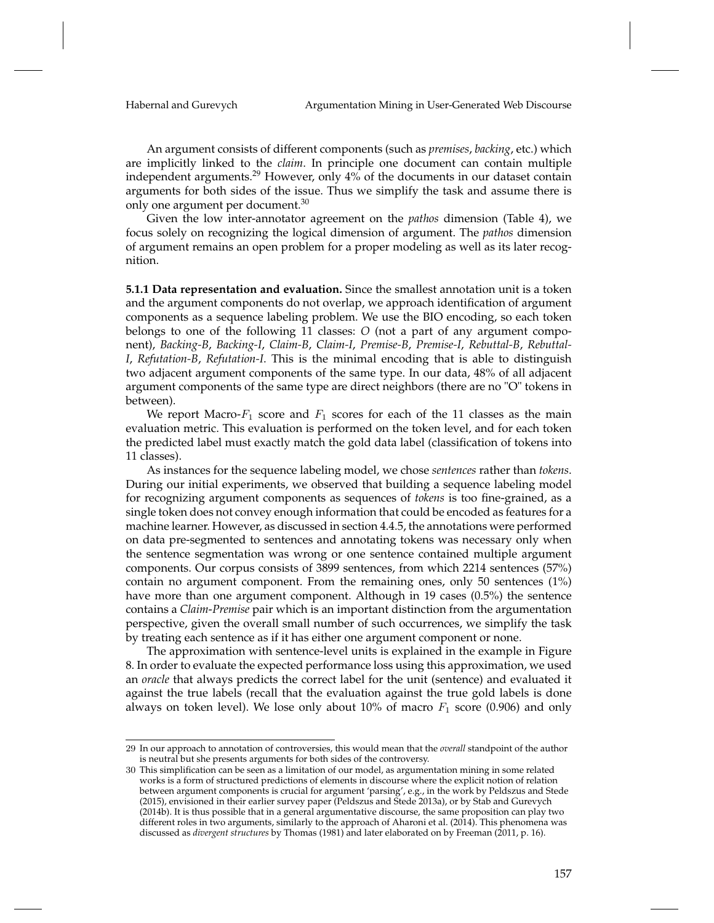An argument consists of different components (such as *premises*, *backing*, etc.) which are implicitly linked to the *claim*. In principle one document can contain multiple independent arguments.<sup>29</sup> However, only 4% of the documents in our dataset contain arguments for both sides of the issue. Thus we simplify the task and assume there is only one argument per document.<sup>30</sup>

Given the low inter-annotator agreement on the *pathos* dimension (Table 4), we focus solely on recognizing the logical dimension of argument. The *pathos* dimension of argument remains an open problem for a proper modeling as well as its later recognition.

**5.1.1 Data representation and evaluation.** Since the smallest annotation unit is a token and the argument components do not overlap, we approach identification of argument components as a sequence labeling problem. We use the BIO encoding, so each token belongs to one of the following 11 classes: *O* (not a part of any argument component), *Backing-B*, *Backing-I*, *Claim-B*, *Claim-I*, *Premise-B*, *Premise-I*, *Rebuttal-B*, *Rebuttal-I*, *Refutation-B*, *Refutation-I*. This is the minimal encoding that is able to distinguish two adjacent argument components of the same type. In our data, 48% of all adjacent argument components of the same type are direct neighbors (there are no "O" tokens in between).

We report Macro- $F_1$  score and  $F_1$  scores for each of the 11 classes as the main evaluation metric. This evaluation is performed on the token level, and for each token the predicted label must exactly match the gold data label (classification of tokens into 11 classes).

As instances for the sequence labeling model, we chose *sentences* rather than *tokens*. During our initial experiments, we observed that building a sequence labeling model for recognizing argument components as sequences of *tokens* is too fine-grained, as a single token does not convey enough information that could be encoded as features for a machine learner. However, as discussed in section 4.4.5, the annotations were performed on data pre-segmented to sentences and annotating tokens was necessary only when the sentence segmentation was wrong or one sentence contained multiple argument components. Our corpus consists of 3899 sentences, from which 2214 sentences (57%) contain no argument component. From the remaining ones, only 50 sentences (1%) have more than one argument component. Although in 19 cases (0.5%) the sentence contains a *Claim*-*Premise* pair which is an important distinction from the argumentation perspective, given the overall small number of such occurrences, we simplify the task by treating each sentence as if it has either one argument component or none.

The approximation with sentence-level units is explained in the example in Figure 8. In order to evaluate the expected performance loss using this approximation, we used an *oracle* that always predicts the correct label for the unit (sentence) and evaluated it against the true labels (recall that the evaluation against the true gold labels is done always on token level). We lose only about 10% of macro  $F_1$  score (0.906) and only

<sup>29</sup> In our approach to annotation of controversies, this would mean that the *overall* standpoint of the author is neutral but she presents arguments for both sides of the controversy.

<sup>30</sup> This simplification can be seen as a limitation of our model, as argumentation mining in some related works is a form of structured predictions of elements in discourse where the explicit notion of relation between argument components is crucial for argument 'parsing', e.g., in the work by Peldszus and Stede (2015), envisioned in their earlier survey paper (Peldszus and Stede 2013a), or by Stab and Gurevych (2014b). It is thus possible that in a general argumentative discourse, the same proposition can play two different roles in two arguments, similarly to the approach of Aharoni et al. (2014). This phenomena was discussed as *divergent structures* by Thomas (1981) and later elaborated on by Freeman (2011, p. 16).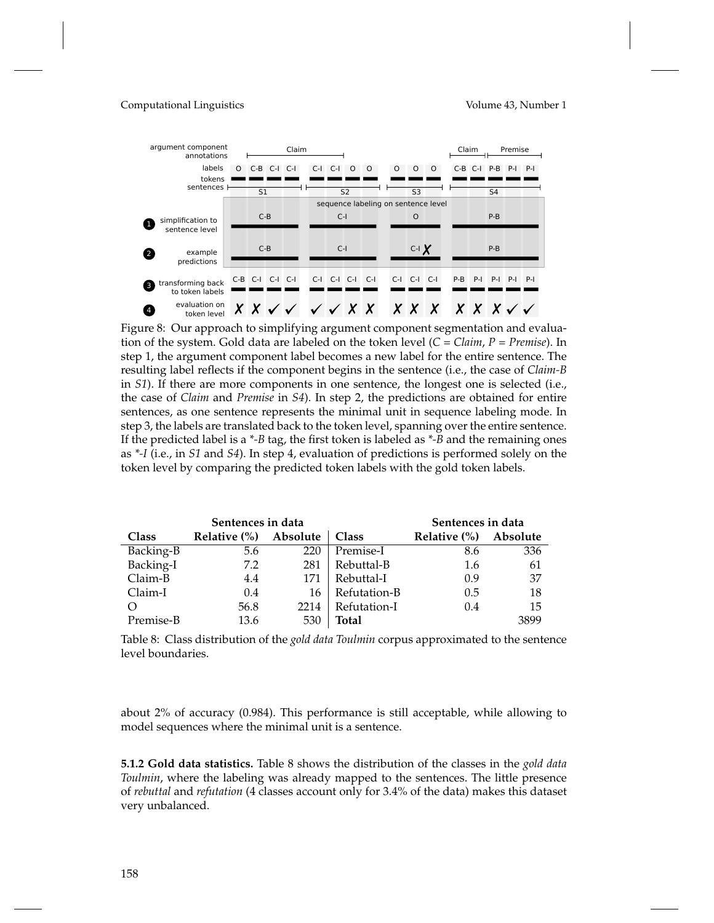

Figure 8: Our approach to simplifying argument component segmentation and evaluation of the system. Gold data are labeled on the token level (*C* = *Claim*, *P* = *Premise*). In step 1, the argument component label becomes a new label for the entire sentence. The resulting label reflects if the component begins in the sentence (i.e., the case of *Claim-B* in *S1*). If there are more components in one sentence, the longest one is selected (i.e., the case of *Claim* and *Premise* in *S4*). In step 2, the predictions are obtained for entire sentences, as one sentence represents the minimal unit in sequence labeling mode. In step 3, the labels are translated back to the token level, spanning over the entire sentence. If the predicted label is a *\*-B* tag, the first token is labeled as *\*-B* and the remaining ones as *\*-I* (i.e., in *S1* and *S4*). In step 4, evaluation of predictions is performed solely on the token level by comparing the predicted token labels with the gold token labels.

|              | Sentences in data |          |              | Sentences in data |          |  |  |  |
|--------------|-------------------|----------|--------------|-------------------|----------|--|--|--|
| <b>Class</b> | Relative $(\%)$   | Absolute | <b>Class</b> | Relative $(\% )$  | Absolute |  |  |  |
| Backing-B    | 5.6               | 220      | Premise-I    | 8.6               | 336      |  |  |  |
| Backing-I    | 7.2               | 281      | Rebuttal-B   | 1.6               | 61       |  |  |  |
| Claim-B      | 4.4               | 171      | Rebuttal-I   | 0.9               | 37       |  |  |  |
| Claim-I      | 0.4               | 16       | Refutation-B | 0.5               | 18       |  |  |  |
|              | 56.8              | 2214     | Refutation-I | 0.4               | 15       |  |  |  |
| Premise-B    | 13.6              | 530      | Total        |                   | 3899     |  |  |  |

Table 8: Class distribution of the *gold data Toulmin* corpus approximated to the sentence level boundaries.

about 2% of accuracy (0.984). This performance is still acceptable, while allowing to model sequences where the minimal unit is a sentence.

**5.1.2 Gold data statistics.** Table 8 shows the distribution of the classes in the *gold data Toulmin*, where the labeling was already mapped to the sentences. The little presence of *rebuttal* and *refutation* (4 classes account only for 3.4% of the data) makes this dataset very unbalanced.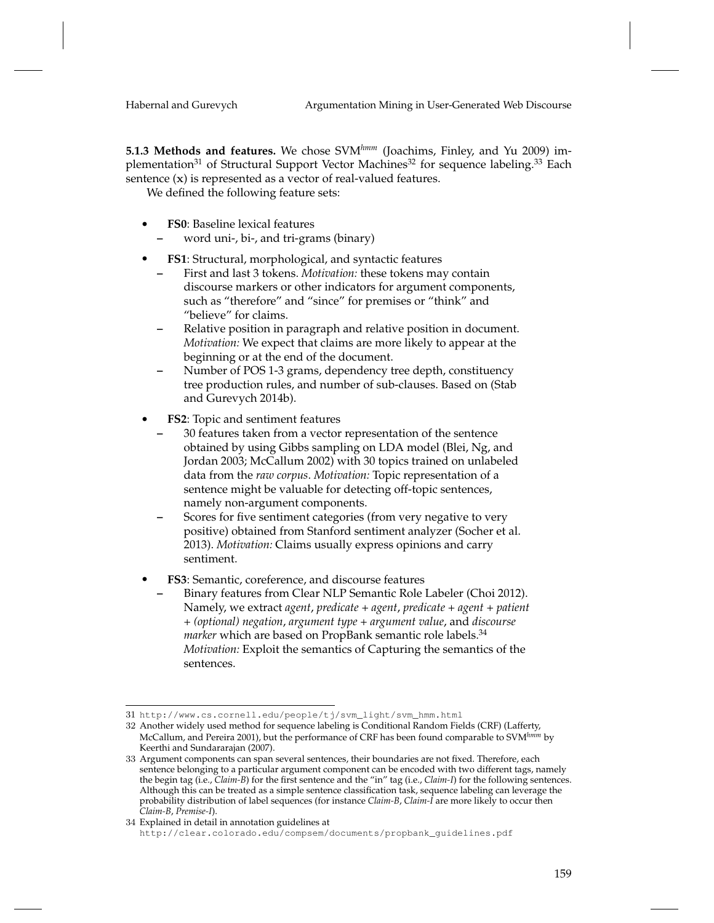**5.1.3 Methods and features.** We chose SVM*hmm* (Joachims, Finley, and Yu 2009) implementation<sup>31</sup> of Structural Support Vector Machines<sup>32</sup> for sequence labeling.<sup>33</sup> Each sentence (x) is represented as a vector of real-valued features.

We defined the following feature sets:

- r **FS0**: Baseline lexical features
	- **–** word uni-, bi-, and tri-grams (binary)
- **FS1**: Structural, morphological, and syntactic features
	- **–** First and last 3 tokens. *Motivation:* these tokens may contain discourse markers or other indicators for argument components, such as "therefore" and "since" for premises or "think" and "believe" for claims.
	- **–** Relative position in paragraph and relative position in document. *Motivation:* We expect that claims are more likely to appear at the beginning or at the end of the document.
	- **–** Number of POS 1-3 grams, dependency tree depth, constituency tree production rules, and number of sub-clauses. Based on (Stab and Gurevych 2014b).
- **FS2**: Topic and sentiment features
	- **–** 30 features taken from a vector representation of the sentence obtained by using Gibbs sampling on LDA model (Blei, Ng, and Jordan 2003; McCallum 2002) with 30 topics trained on unlabeled data from the *raw corpus*. *Motivation:* Topic representation of a sentence might be valuable for detecting off-topic sentences, namely non-argument components.
	- **–** Scores for five sentiment categories (from very negative to very positive) obtained from Stanford sentiment analyzer (Socher et al. 2013). *Motivation:* Claims usually express opinions and carry sentiment.
- r **FS3**: Semantic, coreference, and discourse features
	- **–** Binary features from Clear NLP Semantic Role Labeler (Choi 2012). Namely, we extract *agent*, *predicate + agent*, *predicate + agent + patient + (optional) negation*, *argument type + argument value*, and *discourse marker* which are based on PropBank semantic role labels.<sup>34</sup> *Motivation:* Exploit the semantics of Capturing the semantics of the sentences.

<sup>31</sup> http://www.cs.cornell.edu/people/tj/svm\_light/svm\_hmm.html

<sup>32</sup> Another widely used method for sequence labeling is Conditional Random Fields (CRF) (Lafferty, McCallum, and Pereira 2001), but the performance of CRF has been found comparable to SVM*hmm* by Keerthi and Sundararajan (2007).

<sup>33</sup> Argument components can span several sentences, their boundaries are not fixed. Therefore, each sentence belonging to a particular argument component can be encoded with two different tags, namely the begin tag (i.e., *Claim-B*) for the first sentence and the "in" tag (i.e., *Claim-I*) for the following sentences. Although this can be treated as a simple sentence classification task, sequence labeling can leverage the probability distribution of label sequences (for instance *Claim-B*, *Claim-I* are more likely to occur then *Claim-B*, *Premise-I*).

<sup>34</sup> Explained in detail in annotation guidelines at

http://clear.colorado.edu/compsem/documents/propbank\_guidelines.pdf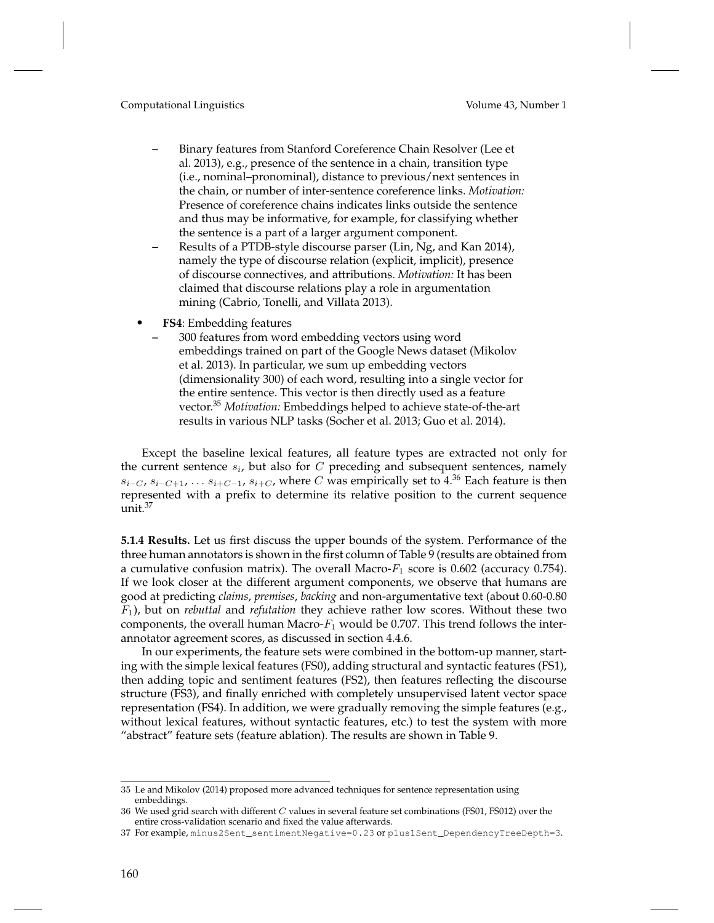- **–** Binary features from Stanford Coreference Chain Resolver (Lee et al. 2013), e.g., presence of the sentence in a chain, transition type (i.e., nominal–pronominal), distance to previous/next sentences in the chain, or number of inter-sentence coreference links. *Motivation:* Presence of coreference chains indicates links outside the sentence and thus may be informative, for example, for classifying whether the sentence is a part of a larger argument component.
- **–** Results of a PTDB-style discourse parser (Lin, Ng, and Kan 2014), namely the type of discourse relation (explicit, implicit), presence of discourse connectives, and attributions. *Motivation:* It has been claimed that discourse relations play a role in argumentation mining (Cabrio, Tonelli, and Villata 2013).
- **FS4**: Embedding features
	- **–** 300 features from word embedding vectors using word embeddings trained on part of the Google News dataset (Mikolov et al. 2013). In particular, we sum up embedding vectors (dimensionality 300) of each word, resulting into a single vector for the entire sentence. This vector is then directly used as a feature vector.<sup>35</sup> *Motivation:* Embeddings helped to achieve state-of-the-art results in various NLP tasks (Socher et al. 2013; Guo et al. 2014).

Except the baseline lexical features, all feature types are extracted not only for the current sentence  $s_i$ , but also for  $C$  preceding and subsequent sentences, namely  $s_{i-C}$ ,  $s_{i-C+1}$ , ...  $s_{i+C-1}$ ,  $s_{i+C}$ , where C was empirically set to 4.<sup>36</sup> Each feature is then represented with a prefix to determine its relative position to the current sequence  $unit.<sup>37</sup>$ 

**5.1.4 Results.** Let us first discuss the upper bounds of the system. Performance of the three human annotators is shown in the first column of Table 9 (results are obtained from a cumulative confusion matrix). The overall Macro- $F_1$  score is 0.602 (accuracy 0.754). If we look closer at the different argument components, we observe that humans are good at predicting *claims*, *premises*, *backing* and non-argumentative text (about 0.60-0.80 F1), but on *rebuttal* and *refutation* they achieve rather low scores. Without these two components, the overall human Macro- $F_1$  would be 0.707. This trend follows the interannotator agreement scores, as discussed in section 4.4.6.

In our experiments, the feature sets were combined in the bottom-up manner, starting with the simple lexical features (FS0), adding structural and syntactic features (FS1), then adding topic and sentiment features (FS2), then features reflecting the discourse structure (FS3), and finally enriched with completely unsupervised latent vector space representation (FS4). In addition, we were gradually removing the simple features (e.g., without lexical features, without syntactic features, etc.) to test the system with more "abstract" feature sets (feature ablation). The results are shown in Table 9.

<sup>35</sup> Le and Mikolov (2014) proposed more advanced techniques for sentence representation using embeddings.

<sup>36</sup> We used grid search with different C values in several feature set combinations (FS01, FS012) over the entire cross-validation scenario and fixed the value afterwards.

<sup>37</sup> For example, minus2Sent\_sentimentNegative=0.23 or plus1Sent\_DependencyTreeDepth=3.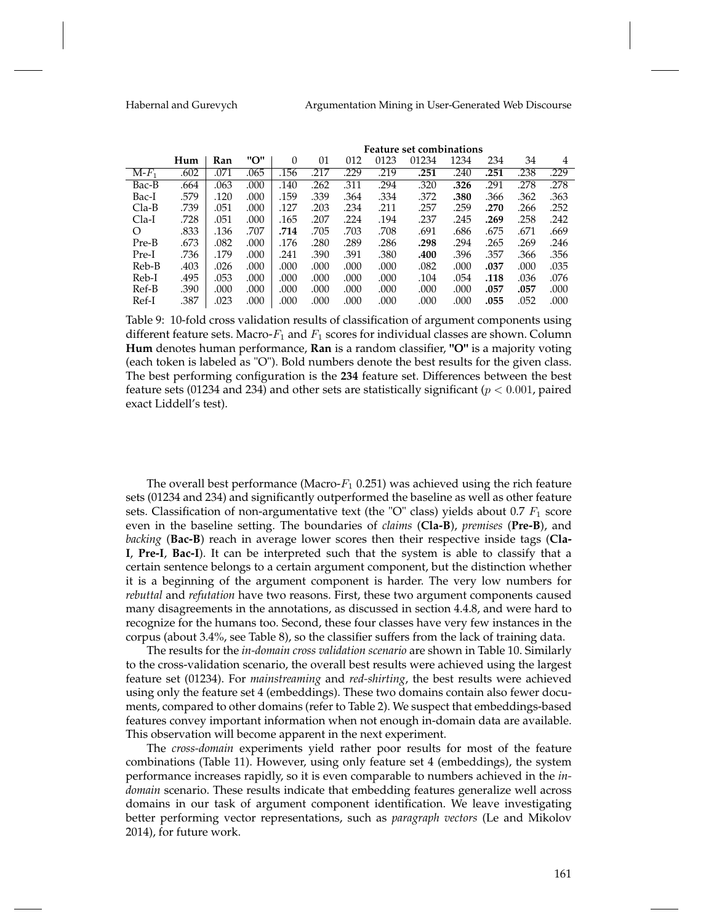|         |      |      |      |      | <b>Feature set combinations</b> |      |      |       |      |      |      |      |
|---------|------|------|------|------|---------------------------------|------|------|-------|------|------|------|------|
|         | Hum  | Ran  | "О"  | 0    | 01                              | 012  | 0123 | 01234 | 1234 | 234  | 34   | 4    |
| $M-F_1$ | .602 | .071 | .065 | .156 | .217                            | .229 | .219 | .251  | .240 | .251 | .238 | .229 |
| Bac-B   | .664 | .063 | .000 | .140 | .262                            | .311 | .294 | .320  | .326 | .291 | .278 | .278 |
| Bac-I   | .579 | .120 | .000 | .159 | .339                            | .364 | .334 | .372  | .380 | .366 | .362 | .363 |
| $Cla-B$ | .739 | .051 | .000 | .127 | .203                            | .234 | .211 | .257  | .259 | .270 | .266 | .252 |
| $Cla-I$ | .728 | .051 | .000 | .165 | .207                            | .224 | .194 | .237  | .245 | .269 | .258 | .242 |
| O       | .833 | .136 | .707 | .714 | .705                            | .703 | .708 | .691  | .686 | .675 | .671 | .669 |
| Pre-B   | .673 | .082 | .000 | .176 | .280                            | .289 | .286 | .298  | .294 | .265 | .269 | .246 |
| Pre-I   | .736 | .179 | .000 | .241 | .390                            | .391 | .380 | .400  | .396 | .357 | .366 | .356 |
| Reb-B   | .403 | .026 | .000 | .000 | .000                            | .000 | .000 | .082  | .000 | .037 | .000 | .035 |
| Reb-I   | .495 | .053 | .000 | .000 | .000                            | .000 | .000 | .104  | .054 | .118 | .036 | .076 |
| Ref-B   | .390 | .000 | .000 | .000 | .000                            | .000 | .000 | .000  | .000 | .057 | .057 | .000 |
| Ref-I   | .387 | .023 | .000 | .000 | .000                            | .000 | .000 | .000  | .000 | .055 | .052 | .000 |

Table 9: 10-fold cross validation results of classification of argument components using different feature sets. Macro- $F_1$  and  $F_1$  scores for individual classes are shown. Column **Hum** denotes human performance, **Ran** is a random classifier, **"O"** is a majority voting (each token is labeled as "O"). Bold numbers denote the best results for the given class. The best performing configuration is the **234** feature set. Differences between the best feature sets (01234 and 234) and other sets are statistically significant ( $p < 0.001$ , paired exact Liddell's test).

The overall best performance (Macro- $F_1$  0.251) was achieved using the rich feature sets (01234 and 234) and significantly outperformed the baseline as well as other feature sets. Classification of non-argumentative text (the "O" class) yields about 0.7  $F_1$  score even in the baseline setting. The boundaries of *claims* (**Cla-B**), *premises* (**Pre-B**), and *backing* (**Bac-B**) reach in average lower scores then their respective inside tags (**Cla-I**, **Pre-I**, **Bac-I**). It can be interpreted such that the system is able to classify that a certain sentence belongs to a certain argument component, but the distinction whether it is a beginning of the argument component is harder. The very low numbers for *rebuttal* and *refutation* have two reasons. First, these two argument components caused many disagreements in the annotations, as discussed in section 4.4.8, and were hard to recognize for the humans too. Second, these four classes have very few instances in the corpus (about 3.4%, see Table 8), so the classifier suffers from the lack of training data.

The results for the *in-domain cross validation scenario* are shown in Table 10. Similarly to the cross-validation scenario, the overall best results were achieved using the largest feature set (01234). For *mainstreaming* and *red-shirting*, the best results were achieved using only the feature set 4 (embeddings). These two domains contain also fewer documents, compared to other domains (refer to Table 2). We suspect that embeddings-based features convey important information when not enough in-domain data are available. This observation will become apparent in the next experiment.

The *cross-domain* experiments yield rather poor results for most of the feature combinations (Table 11). However, using only feature set 4 (embeddings), the system performance increases rapidly, so it is even comparable to numbers achieved in the *indomain* scenario. These results indicate that embedding features generalize well across domains in our task of argument component identification. We leave investigating better performing vector representations, such as *paragraph vectors* (Le and Mikolov 2014), for future work.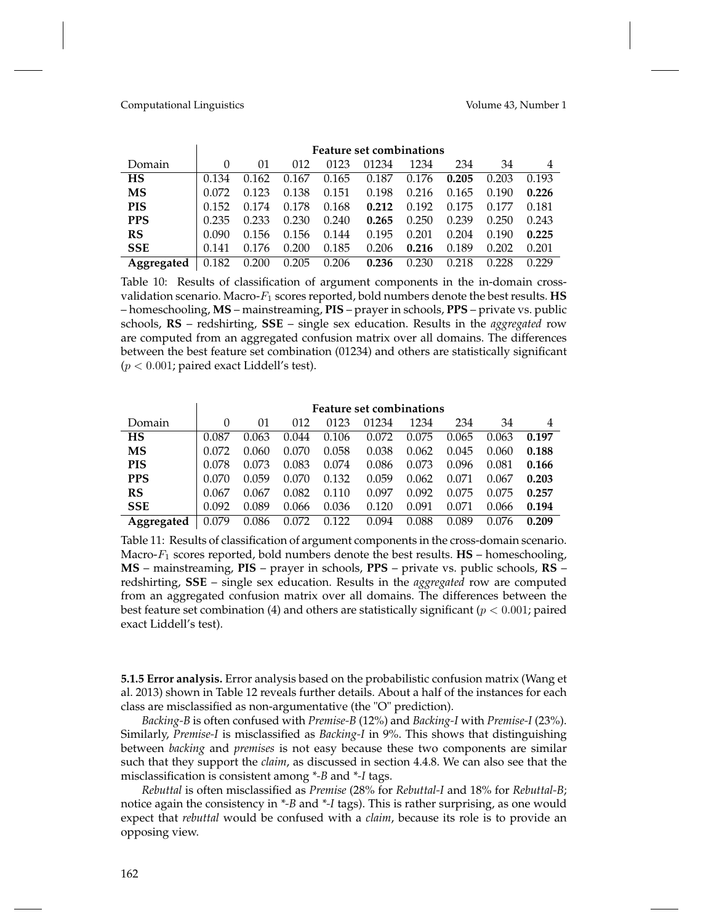|            |       | <b>Feature set combinations</b> |       |       |       |       |       |       |       |  |  |  |
|------------|-------|---------------------------------|-------|-------|-------|-------|-------|-------|-------|--|--|--|
| Domain     |       | 01                              | 012   | 0123  | 01234 | 1234  | 234   | 34    | 4     |  |  |  |
| HS         | 0.134 | 0.162                           | 0.167 | 0.165 | 0.187 | 0.176 | 0.205 | 0.203 | 0.193 |  |  |  |
| MS         | 0.072 | 0.123                           | 0.138 | 0.151 | 0.198 | 0.216 | 0.165 | 0.190 | 0.226 |  |  |  |
| <b>PIS</b> | 0.152 | 0.174                           | 0.178 | 0.168 | 0.212 | 0.192 | 0.175 | 0.177 | 0.181 |  |  |  |
| <b>PPS</b> | 0.235 | 0.233                           | 0.230 | 0.240 | 0.265 | 0.250 | 0.239 | 0.250 | 0.243 |  |  |  |
| RS         | 0.090 | 0.156                           | 0.156 | 0.144 | 0.195 | 0.201 | 0.204 | 0.190 | 0.225 |  |  |  |
| <b>SSE</b> | 0.141 | 0.176                           | 0.200 | 0.185 | 0.206 | 0.216 | 0.189 | 0.202 | 0.201 |  |  |  |
| Aggregated | 182   | 0.200                           | 0.205 | 0.206 | 0.236 | 0.230 | 0.218 | 0.228 | 0.229 |  |  |  |

Table 10: Results of classification of argument components in the in-domain crossvalidation scenario. Macro-F<sup>1</sup> scores reported, bold numbers denote the best results. **HS** – homeschooling, **MS** – mainstreaming, **PIS** – prayer in schools, **PPS** – private vs. public schools, **RS** – redshirting, **SSE** – single sex education. Results in the *aggregated* row are computed from an aggregated confusion matrix over all domains. The differences between the best feature set combination (01234) and others are statistically significant  $(p < 0.001$ ; paired exact Liddell's test).

|            |          | <b>Feature set combinations</b> |       |                  |       |       |       |       |       |  |  |  |  |
|------------|----------|---------------------------------|-------|------------------|-------|-------|-------|-------|-------|--|--|--|--|
| Domain     | $\theta$ | 01                              | 012   | 0123             | 01234 | 1234  | 234   | 34    | 4     |  |  |  |  |
| HS         | 0.087    | 0.063                           | 0.044 | 0.106            | 0.072 | 0.075 | 0.065 | 0.063 | 0.197 |  |  |  |  |
| MS         | 0.072    | 0.060                           | 0.070 | 0.058            | 0.038 | 0.062 | 0.045 | 0.060 | 0.188 |  |  |  |  |
| <b>PIS</b> | 0.078    | 0.073                           | 0.083 | 0.074            | 0.086 | 0.073 | 0.096 | 0.081 | 0.166 |  |  |  |  |
| <b>PPS</b> | 0.070    | 0.059                           | 0.070 | 0.132            | 0.059 | 0.062 | 0.071 | 0.067 | 0.203 |  |  |  |  |
| RS         | 0.067    | 0.067                           | 0.082 | 0.110            | 0.097 | 0.092 | 0.075 | 0.075 | 0.257 |  |  |  |  |
| <b>SSE</b> | 0.092    | 0.089                           | 0.066 | 0.036            | 0.120 | 0.091 | 0.071 | 0.066 | 0.194 |  |  |  |  |
| Aggregated | 0.079    | 0.086                           | 0.072 | .122<br>$\Omega$ | 0.094 | 0.088 | 0.089 | 0.076 | 0.209 |  |  |  |  |

Table 11: Results of classification of argument components in the cross-domain scenario. Macro-F<sup>1</sup> scores reported, bold numbers denote the best results. **HS** – homeschooling, **MS** – mainstreaming, **PIS** – prayer in schools, **PPS** – private vs. public schools, **RS** – redshirting, **SSE** – single sex education. Results in the *aggregated* row are computed from an aggregated confusion matrix over all domains. The differences between the best feature set combination (4) and others are statistically significant ( $p < 0.001$ ; paired exact Liddell's test).

**5.1.5 Error analysis.** Error analysis based on the probabilistic confusion matrix (Wang et al. 2013) shown in Table 12 reveals further details. About a half of the instances for each class are misclassified as non-argumentative (the "O" prediction).

*Backing-B* is often confused with *Premise-B* (12%) and *Backing-I* with *Premise-I* (23%). Similarly, *Premise-I* is misclassified as *Backing-I* in 9%. This shows that distinguishing between *backing* and *premises* is not easy because these two components are similar such that they support the *claim*, as discussed in section 4.4.8. We can also see that the misclassification is consistent among *\*-B* and *\*-I* tags.

*Rebuttal* is often misclassified as *Premise* (28% for *Rebuttal-I* and 18% for *Rebuttal-B*; notice again the consistency in *\*-B* and *\*-I* tags). This is rather surprising, as one would expect that *rebuttal* would be confused with a *claim*, because its role is to provide an opposing view.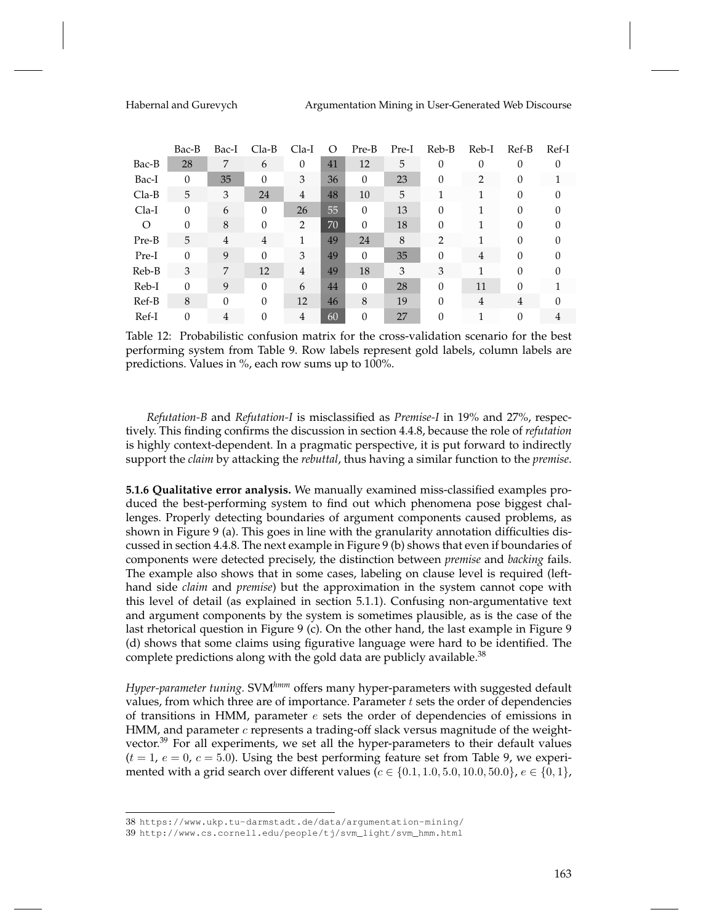|         | Bac-B    | Bac-I          | $Cla-B$        | $Cla-I$  | O  | Pre-B    | Pre-I | Reb-B          | Reb-I    | Ref-B    | Ref-I             |
|---------|----------|----------------|----------------|----------|----|----------|-------|----------------|----------|----------|-------------------|
| Bac-B   | 28       | $\overline{7}$ | 6              | $\theta$ | 41 | 12       | 5     | $\theta$       | $\Omega$ | $\theta$ | $\Omega$          |
| Bac-I   | $\Omega$ | 35             | $\theta$       | 3        | 36 | $\theta$ | 23    | 0              | 2        | 0        |                   |
| $Cla-B$ | 5        | 3              | 24             | 4        | 48 | 10       | 5     |                |          | $\theta$ |                   |
| $Cla-I$ | $\Omega$ | 6              | $\theta$       | 26       | 55 | $\theta$ | 13    | 0              |          | $\theta$ | $\mathbf{0}$      |
| $\circ$ | $\Omega$ | 8              | $\theta$       | 2        | 70 | $\theta$ | 18    | $\Omega$       |          | $\Omega$ | $\mathbf{\Omega}$ |
| Pre-B   | 5        | 4              | $\overline{4}$ |          | 49 | 24       | 8     | $\overline{2}$ |          | $\Omega$ |                   |
| Pre-I   | $\Omega$ | 9              | $\Omega$       | 3        | 49 | $\Omega$ | 35    | $\theta$       | 4        | $\theta$ |                   |
| Reb-B   | 3        | 7              | 12             | 4        | 49 | 18       | 3     | 3              |          | $\theta$ | $\theta$          |
| Reb-I   | $\Omega$ | 9              | $\theta$       | 6        | 44 | $\Omega$ | 28    | $\theta$       | 11       | $\Omega$ |                   |
| Ref-B   | 8        | $\theta$       | $\Omega$       | 12       | 46 | 8        | 19    | $\theta$       | 4        | 4        | 0                 |
| Ref-I   | $\Omega$ | 4              | 0              | 4        | 60 | $\Omega$ | 27    | 0              |          | $\theta$ | 4                 |

Table 12: Probabilistic confusion matrix for the cross-validation scenario for the best performing system from Table 9. Row labels represent gold labels, column labels are predictions. Values in %, each row sums up to 100%.

*Refutation-B* and *Refutation-I* is misclassified as *Premise-I* in 19% and 27%, respectively. This finding confirms the discussion in section 4.4.8, because the role of *refutation* is highly context-dependent. In a pragmatic perspective, it is put forward to indirectly support the *claim* by attacking the *rebuttal*, thus having a similar function to the *premise*.

**5.1.6 Qualitative error analysis.** We manually examined miss-classified examples produced the best-performing system to find out which phenomena pose biggest challenges. Properly detecting boundaries of argument components caused problems, as shown in Figure 9 (a). This goes in line with the granularity annotation difficulties discussed in section 4.4.8. The next example in Figure 9 (b) shows that even if boundaries of components were detected precisely, the distinction between *premise* and *backing* fails. The example also shows that in some cases, labeling on clause level is required (lefthand side *claim* and *premise*) but the approximation in the system cannot cope with this level of detail (as explained in section 5.1.1). Confusing non-argumentative text and argument components by the system is sometimes plausible, as is the case of the last rhetorical question in Figure 9 (c). On the other hand, the last example in Figure 9 (d) shows that some claims using figurative language were hard to be identified. The complete predictions along with the gold data are publicly available. $38$ 

*Hyper-parameter tuning.* SVM*hmm* offers many hyper-parameters with suggested default values, from which three are of importance. Parameter  $t$  sets the order of dependencies of transitions in HMM, parameter  $e$  sets the order of dependencies of emissions in HMM, and parameter c represents a trading-off slack versus magnitude of the weightvector.<sup>39</sup> For all experiments, we set all the hyper-parameters to their default values  $(t = 1, e = 0, c = 5.0)$ . Using the best performing feature set from Table 9, we experimented with a grid search over different values ( $c \in \{0.1, 1.0, 5.0, 10.0, 50.0\}$ ,  $e \in \{0, 1\}$ ,

<sup>38</sup> https://www.ukp.tu-darmstadt.de/data/argumentation-mining/

<sup>39</sup> http://www.cs.cornell.edu/people/tj/svm\_light/svm\_hmm.html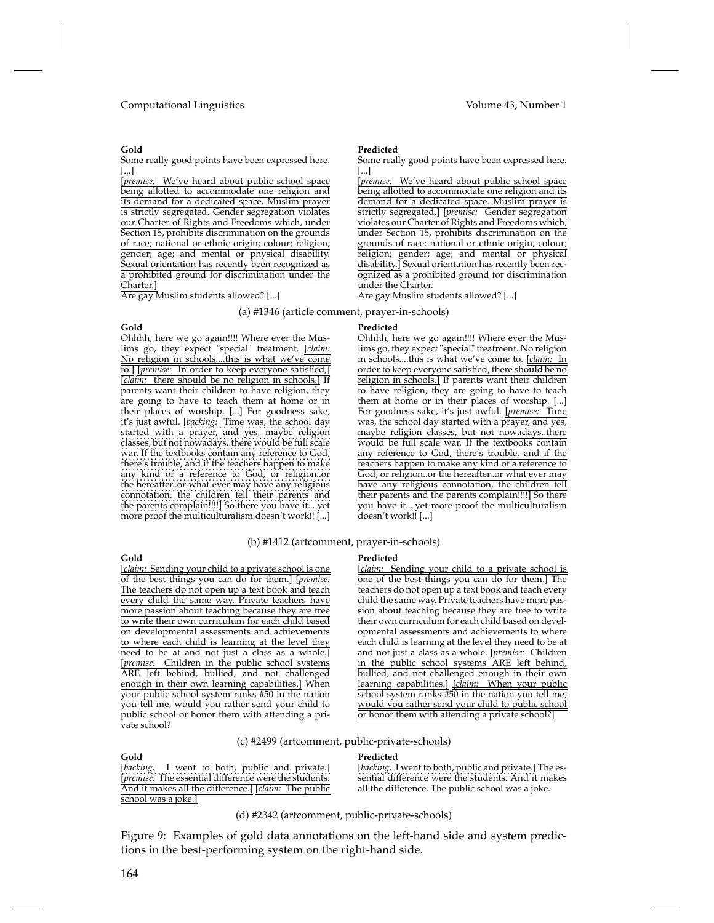#### **Gold**

Some really good points have been expressed here. [...]

[*premise:* We've heard about public school space being allotted to accommodate one religion and its demand for a dedicated space. Muslim prayer is strictly segregated. Gender segregation violates our Charter of Rights and Freedoms which, under Section 15, prohibits discrimination on the grounds of race; national or ethnic origin; colour; religion; gender; age; and mental or physical disability. Sexual orientation has recently been recognized as a prohibited ground for discrimination under the Charter.]

Are gay Muslim students allowed? [...]

(a) #1346 (article comment, prayer-in-schools)

### **Gold**

Ohhhh, here we go again!!!! Where ever the Muslims go, they expect "special" treatment. [*claim:* No religion in schools....this is what we've come to.] [*premise:* In order to keep everyone satisfied,] [*claim:* there should be no religion in schools.] If parents want their children to have religion, they are going to have to teach them at home or in their places of worship. [...] For goodness sake, it's just awful. [*backing*: Time was, the school day started with a prayer, and yes, maybe religion classes, but not nowadays..there would be full scale war. If the textbooks contain any reference to God, there s trouble, and if the teachers happen there's trouble, and if the teachers happen to make any kind of a reference to God, or religion..or . . . . the . . . . . . . . . . . . . . hereafter..or . . . . . . what . . . . . . ever . . . . . . may . . . . . . have . . . . . any. . . . . . . . . . . religious connotation, the children tell their parents and the parents complain!!!!] So there you have it....yet more proof the multiculturalism doesn't work!! [...]

#### **Gold**

[*claim:* Sending your child to a private school is one of the best things you can do for them.] [*premise:* The teachers do not open up a text book and teach every child the same way. Private teachers have more passion about teaching because they are free to write their own curriculum for each child based on developmental assessments and achievements to where each child is learning at the level they need to be at and not just a class as a whole.] [*premise:* Children in the public school systems ARE left behind, bullied, and not challenged enough in their own learning capabilities.] When your public school system ranks #50 in the nation you tell me, would you rather send your child to public school or honor them with attending a private school?

#### **Predicted**

Some really good points have been expressed here. [...]

[*premise:* We've heard about public school space being allotted to accommodate one religion and its demand for a dedicated space. Muslim prayer is strictly segregated.] [*premise:* Gender segregation violates our Charter of Rights and Freedoms which, under Section 15, prohibits discrimination on the grounds of race; national or ethnic origin; colour; religion; gender; age; and mental or physical disability.] Sexual orientation has recently been recognized as a prohibited ground for discrimination under the Charter.

Are gay Muslim students allowed? [...]

#### **Predicted**

Ohhhh, here we go again!!!! Where ever the Muslims go, they expect "special" treatment. No religion in schools....this is what we've come to. [*claim:* In order to keep everyone satisfied, there should be no religion in schools.] If parents want their children to have religion, they are going to have to teach them at home or in their places of worship. [...] For goodness sake, it's just awful. [*premise:* Time was, the school day started with a prayer, and yes, maybe religion classes, but not nowadays..there would be full scale war. If the textbooks contain any reference to God, there's trouble, and if the teachers happen to make any kind of a reference to God, or religion..or the hereafter..or what ever may have any religious connotation, the children tell their parents and the parents complain!!!!] So there you have it....yet more proof the multiculturalism doesn't work!! [...]

#### (b) #1412 (artcomment, prayer-in-schools)

#### **Predicted**

[*claim:* Sending your child to a private school is one of the best things you can do for them.] The teachers do not open up a text book and teach every child the same way. Private teachers have more passion about teaching because they are free to write their own curriculum for each child based on developmental assessments and achievements to where each child is learning at the level they need to be at and not just a class as a whole. [*premise:* Children in the public school systems ARE left behind, bullied, and not challenged enough in their own learning capabilities.] [*claim:* When your public school system ranks #50 in the nation you tell me, would you rather send your child to public school or honor them with attending a private school?]

### (c) #2499 (artcomment, public-private-schools)

**Predicted**

#### **Gold**

[backing: I went to both, public and private.]<br>[*premise:* The essential difference were the students. I went to both, public and private.] And it makes all the difference.] [*claim:* The public school was a joke.]

[backing: I went to both, public and private.] The essential difference were the students. And it makes all the difference. The public school was a joke.

(d) #2342 (artcomment, public-private-schools)

Figure 9: Examples of gold data annotations on the left-hand side and system predictions in the best-performing system on the right-hand side.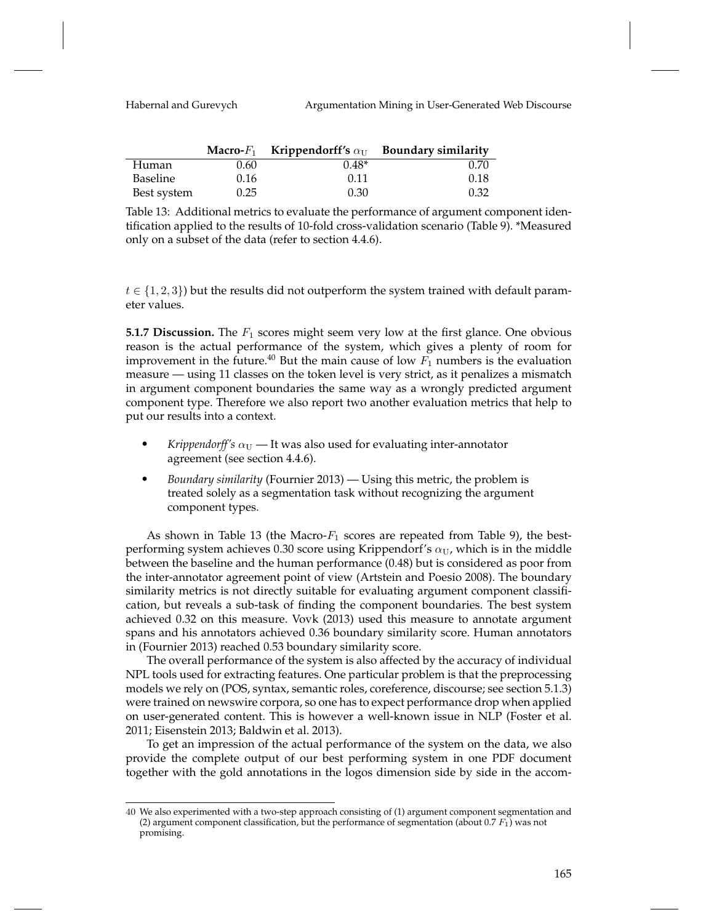### Habernal and Gurevych Argumentation Mining in User-Generated Web Discourse

|                 | Macro- $F_1$ | Krippendorff's $\alpha_{\rm U}$ | <b>Boundary similarity</b> |
|-----------------|--------------|---------------------------------|----------------------------|
| Human           | 0.60         | $0.48*$                         | 0.70                       |
| <b>Baseline</b> | 0.16         | 0.11                            | 0.18                       |
| Best system     | 0.25         | 0.30                            | 0.32                       |

Table 13: Additional metrics to evaluate the performance of argument component identification applied to the results of 10-fold cross-validation scenario (Table 9). \*Measured only on a subset of the data (refer to section 4.4.6).

 $t \in \{1, 2, 3\}$  but the results did not outperform the system trained with default parameter values.

**5.1.7 Discussion.** The  $F_1$  scores might seem very low at the first glance. One obvious reason is the actual performance of the system, which gives a plenty of room for improvement in the future.<sup>40</sup> But the main cause of low  $F_1$  numbers is the evaluation measure — using 11 classes on the token level is very strict, as it penalizes a mismatch in argument component boundaries the same way as a wrongly predicted argument component type. Therefore we also report two another evaluation metrics that help to put our results into a context.

- *Krippendorff's*  $\alpha_U$  It was also used for evaluating inter-annotator agreement (see section 4.4.6).
- r *Boundary similarity* (Fournier 2013) Using this metric, the problem is treated solely as a segmentation task without recognizing the argument component types.

As shown in Table 13 (the Macro- $F_1$  scores are repeated from Table 9), the bestperforming system achieves 0.30 score using Krippendorf's  $\alpha_U$ , which is in the middle between the baseline and the human performance (0.48) but is considered as poor from the inter-annotator agreement point of view (Artstein and Poesio 2008). The boundary similarity metrics is not directly suitable for evaluating argument component classification, but reveals a sub-task of finding the component boundaries. The best system achieved 0.32 on this measure. Vovk (2013) used this measure to annotate argument spans and his annotators achieved 0.36 boundary similarity score. Human annotators in (Fournier 2013) reached 0.53 boundary similarity score.

The overall performance of the system is also affected by the accuracy of individual NPL tools used for extracting features. One particular problem is that the preprocessing models we rely on (POS, syntax, semantic roles, coreference, discourse; see section 5.1.3) were trained on newswire corpora, so one has to expect performance drop when applied on user-generated content. This is however a well-known issue in NLP (Foster et al. 2011; Eisenstein 2013; Baldwin et al. 2013).

To get an impression of the actual performance of the system on the data, we also provide the complete output of our best performing system in one PDF document together with the gold annotations in the logos dimension side by side in the accom-

<sup>40</sup> We also experimented with a two-step approach consisting of (1) argument component segmentation and (2) argument component classification, but the performance of segmentation (about  $0.7 F_1$ ) was not promising.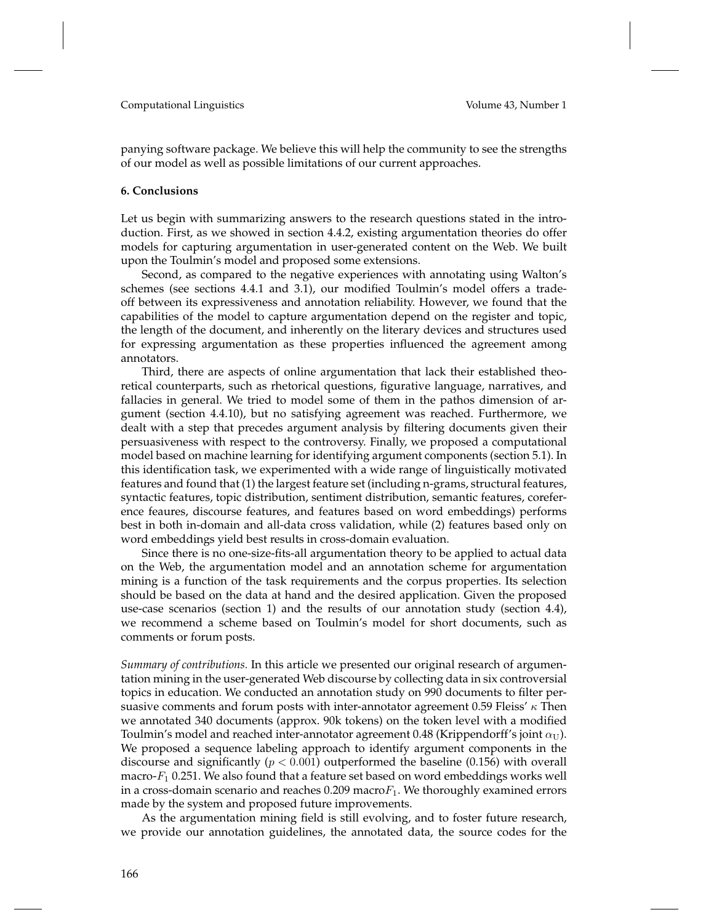panying software package. We believe this will help the community to see the strengths of our model as well as possible limitations of our current approaches.

# **6. Conclusions**

Let us begin with summarizing answers to the research questions stated in the introduction. First, as we showed in section 4.4.2, existing argumentation theories do offer models for capturing argumentation in user-generated content on the Web. We built upon the Toulmin's model and proposed some extensions.

Second, as compared to the negative experiences with annotating using Walton's schemes (see sections 4.4.1 and 3.1), our modified Toulmin's model offers a tradeoff between its expressiveness and annotation reliability. However, we found that the capabilities of the model to capture argumentation depend on the register and topic, the length of the document, and inherently on the literary devices and structures used for expressing argumentation as these properties influenced the agreement among annotators.

Third, there are aspects of online argumentation that lack their established theoretical counterparts, such as rhetorical questions, figurative language, narratives, and fallacies in general. We tried to model some of them in the pathos dimension of argument (section 4.4.10), but no satisfying agreement was reached. Furthermore, we dealt with a step that precedes argument analysis by filtering documents given their persuasiveness with respect to the controversy. Finally, we proposed a computational model based on machine learning for identifying argument components (section 5.1). In this identification task, we experimented with a wide range of linguistically motivated features and found that (1) the largest feature set (including n-grams, structural features, syntactic features, topic distribution, sentiment distribution, semantic features, coreference feaures, discourse features, and features based on word embeddings) performs best in both in-domain and all-data cross validation, while (2) features based only on word embeddings yield best results in cross-domain evaluation.

Since there is no one-size-fits-all argumentation theory to be applied to actual data on the Web, the argumentation model and an annotation scheme for argumentation mining is a function of the task requirements and the corpus properties. Its selection should be based on the data at hand and the desired application. Given the proposed use-case scenarios (section 1) and the results of our annotation study (section 4.4), we recommend a scheme based on Toulmin's model for short documents, such as comments or forum posts.

*Summary of contributions.* In this article we presented our original research of argumentation mining in the user-generated Web discourse by collecting data in six controversial topics in education. We conducted an annotation study on 990 documents to filter persuasive comments and forum posts with inter-annotator agreement 0.59 Fleiss'  $\kappa$  Then we annotated 340 documents (approx. 90k tokens) on the token level with a modified Toulmin's model and reached inter-annotator agreement 0.48 (Krippendorff's joint  $\alpha_U$ ). We proposed a sequence labeling approach to identify argument components in the discourse and significantly ( $p < 0.001$ ) outperformed the baseline (0.156) with overall macro- $F_1$  0.251. We also found that a feature set based on word embeddings works well in a cross-domain scenario and reaches  $0.209$  macro $F_1$ . We thoroughly examined errors made by the system and proposed future improvements.

As the argumentation mining field is still evolving, and to foster future research, we provide our annotation guidelines, the annotated data, the source codes for the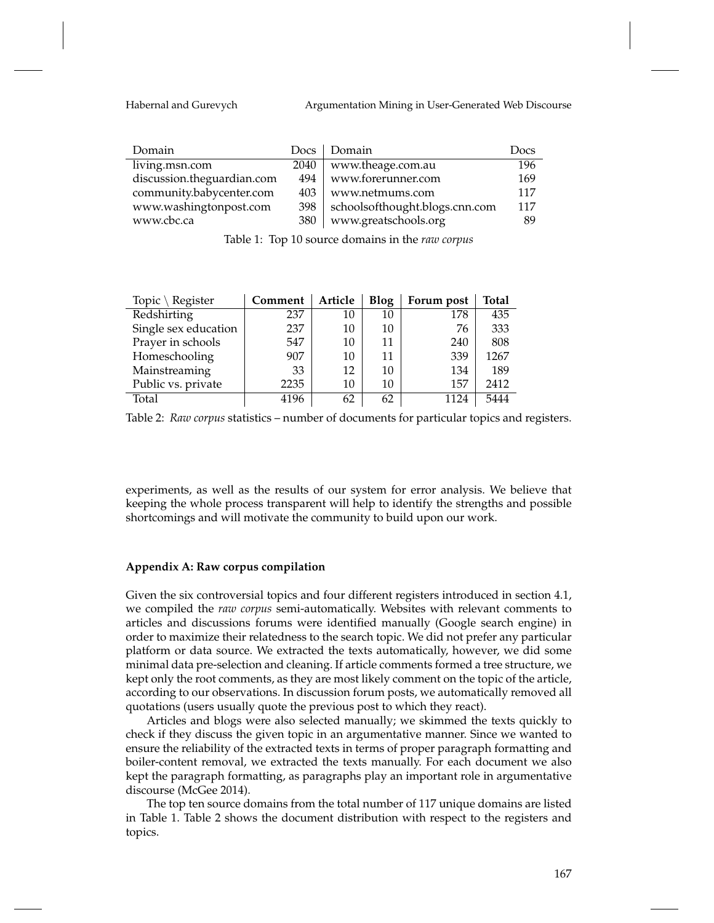Habernal and Gurevych Argumentation Mining in User-Generated Web Discourse

| Domain                     | <b>Docs</b> | Domain                         | Docs |
|----------------------------|-------------|--------------------------------|------|
| living.msn.com             | 2040        | www.theage.com.au              | 196  |
| discussion.theguardian.com |             | 494   www.forerunner.com       | 169  |
| community.babycenter.com   | 403         | www.netmums.com                | 117  |
| www.washingtonpost.com     | 398         | schoolsofthought.blogs.cnn.com | 117  |
| www.cbc.ca                 | 380         | www.greatschools.org           | 89   |

Table 1: Top 10 source domains in the *raw corpus*

| Topic $\setminus$ Register | Comment | Article | <b>Blog</b> | Forum post | Total |
|----------------------------|---------|---------|-------------|------------|-------|
| Redshirting                | 237     | 10      | 10          | 178        | 435   |
| Single sex education       | 237     | 10      | 10          | 76         | 333   |
| Prayer in schools          | 547     | 10      | 11          | 240        | 808   |
| Homeschooling              | 907     | 10      | 11          | 339        | 1267  |
| Mainstreaming              | 33      | 12      | 10          | 134        | 189   |
| Public vs. private         | 2235    | 10      | 10          | 157        | 2412  |
| Total                      | 4196    | 62      | 62          | 1124       | 5444  |

Table 2: *Raw corpus* statistics – number of documents for particular topics and registers.

experiments, as well as the results of our system for error analysis. We believe that keeping the whole process transparent will help to identify the strengths and possible shortcomings and will motivate the community to build upon our work.

# **Appendix A: Raw corpus compilation**

Given the six controversial topics and four different registers introduced in section 4.1, we compiled the *raw corpus* semi-automatically. Websites with relevant comments to articles and discussions forums were identified manually (Google search engine) in order to maximize their relatedness to the search topic. We did not prefer any particular platform or data source. We extracted the texts automatically, however, we did some minimal data pre-selection and cleaning. If article comments formed a tree structure, we kept only the root comments, as they are most likely comment on the topic of the article, according to our observations. In discussion forum posts, we automatically removed all quotations (users usually quote the previous post to which they react).

Articles and blogs were also selected manually; we skimmed the texts quickly to check if they discuss the given topic in an argumentative manner. Since we wanted to ensure the reliability of the extracted texts in terms of proper paragraph formatting and boiler-content removal, we extracted the texts manually. For each document we also kept the paragraph formatting, as paragraphs play an important role in argumentative discourse (McGee 2014).

The top ten source domains from the total number of 117 unique domains are listed in Table 1. Table 2 shows the document distribution with respect to the registers and topics.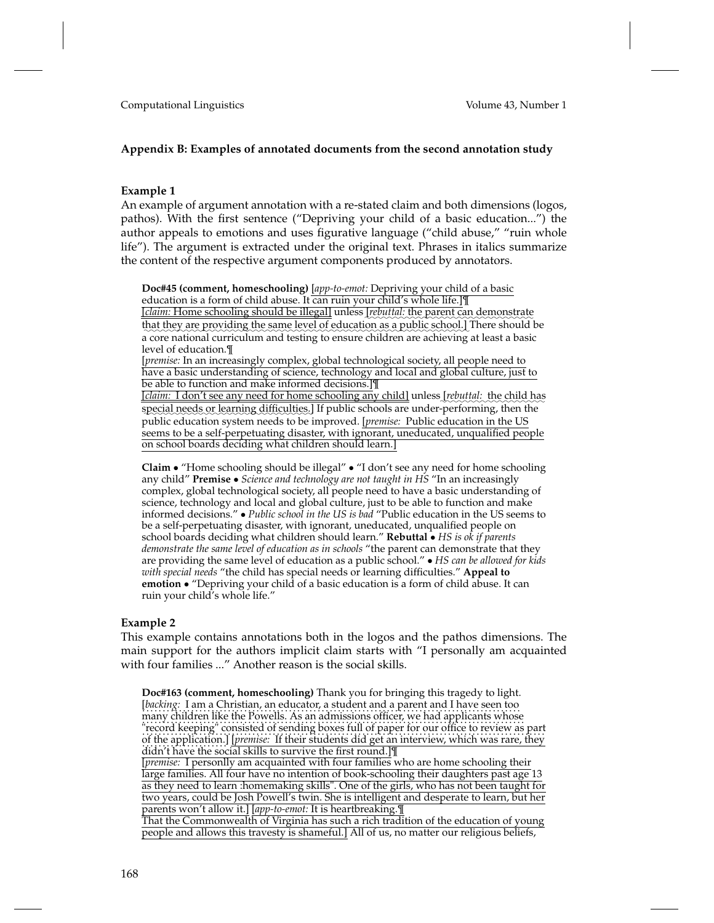# **Appendix B: Examples of annotated documents from the second annotation study**

# **Example 1**

An example of argument annotation with a re-stated claim and both dimensions (logos, pathos). With the first sentence ("Depriving your child of a basic education...") the author appeals to emotions and uses figurative language ("child abuse," "ruin whole life"). The argument is extracted under the original text. Phrases in italics summarize the content of the respective argument components produced by annotators.

**Doc#45 (comment, homeschooling)** [*app-to-emot:* Depriving your child of a basic education is a form of child abuse. It can ruin your child's whole life.]¶

[*claim:* Home schooling should be illegal] unless [*rebuttal: t*he parent can demonstrate that they are providing the same level of education as a public school.] There should be a core national curriculum and testing to ensure children are achieving at least a basic level of education.¶

[*premise:* In an increasingly complex, global technological society, all people need to have a basic understanding of science, technology and local and global culture, just to be able to function and make informed decisions.]¶

[*claim:* I don't see any need for home schooling any child] unless [*rebuttal: the child has* special needs or learning difficulties.] If public schools are under-performing, then the public education system needs to be improved. [*premise:* Public education in the US seems to be a self-perpetuating disaster, with ignorant, uneducated, unqualified people on school boards deciding what children should learn.]

**Claim** • "Home schooling should be illegal" • "I don't see any need for home schooling any child" **Premise** • *Science and technology are not taught in HS* "In an increasingly complex, global technological society, all people need to have a basic understanding of science, technology and local and global culture, just to be able to function and make informed decisions." • *Public school in the US is bad* "Public education in the US seems to be a self-perpetuating disaster, with ignorant, uneducated, unqualified people on school boards deciding what children should learn." **Rebuttal** • *HS is ok if parents demonstrate the same level of education as in schools* "the parent can demonstrate that they are providing the same level of education as a public school." • *HS can be allowed for kids with special needs* "the child has special needs or learning difficulties." **Appeal to emotion** • "Depriving your child of a basic education is a form of child abuse. It can ruin your child's whole life."

# **Example 2**

This example contains annotations both in the logos and the pathos dimensions. The main support for the authors implicit claim starts with "I personally am acquainted with four families ..." Another reason is the social skills.

**Doc#163 (comment, homeschooling)** Thank you for bringing this tragedy to light. *[backing: I* am a Christian, an educator, a student and a parent and I have seen too many children like the Powells. As an admissions officer, we had applicants whose<br>" "record keeping" consisted of sending boxes full of paper for our office to review as part<br>We will be a consistent with the constant of the constant of the constant of the constant of the constant of t . . of . . . . . the . . . . . . . . . . . . . . application.] [*premise:* If their students did get an interview, which was rare, they didn't have the social skills to survive the first round.]¶ [*premise:* I personlly am acquainted with four families who are home schooling their large families. All four have no intention of book-schooling their daughters past age 13 as they need to learn :homemaking skills". One of the girls, who has not been taught for two years, could be Josh Powell's twin. She is intelligent and desperate to learn, but her parents won't allow it.] [*app-to-emot:* It is heartbreaking.¶ That the Commonwealth of Virginia has such a rich tradition of the education of young

people and allows this travesty is shameful.] All of us, no matter our religious beliefs,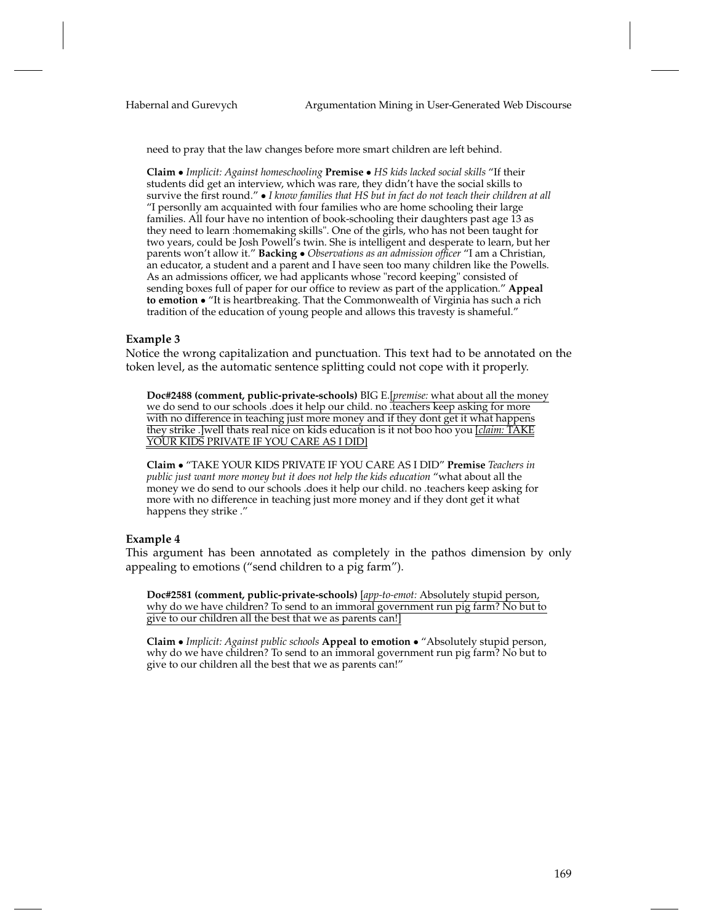need to pray that the law changes before more smart children are left behind.

**Claim** • *Implicit: Against homeschooling* **Premise** • *HS kids lacked social skills* "If their students did get an interview, which was rare, they didn't have the social skills to survive the first round." • *I know families that HS but in fact do not teach their children at all* "I personlly am acquainted with four families who are home schooling their large families. All four have no intention of book-schooling their daughters past age 13 as they need to learn :homemaking skills". One of the girls, who has not been taught for two years, could be Josh Powell's twin. She is intelligent and desperate to learn, but her parents won't allow it." **Backing** • *Observations as an admission officer* "I am a Christian, an educator, a student and a parent and I have seen too many children like the Powells. As an admissions officer, we had applicants whose "record keeping" consisted of sending boxes full of paper for our office to review as part of the application." **Appeal to emotion** • "It is heartbreaking. That the Commonwealth of Virginia has such a rich tradition of the education of young people and allows this travesty is shameful."

# **Example 3**

Notice the wrong capitalization and punctuation. This text had to be annotated on the token level, as the automatic sentence splitting could not cope with it properly.

**Doc#2488 (comment, public-private-schools)** BIG E.[*premise:* what about all the money we do send to our schools .does it help our child. no .teachers keep asking for more with no difference in teaching just more money and if they dont get it what happens they strike .]well thats real nice on kids education is it not boo hoo you [*claim:* TAKE YOUR KIDS PRIVATE IF YOU CARE AS I DID]

**Claim** • "TAKE YOUR KIDS PRIVATE IF YOU CARE AS I DID" **Premise** *Teachers in public just want more money but it does not help the kids education* "what about all the money we do send to our schools .does it help our child. no .teachers keep asking for more with no difference in teaching just more money and if they dont get it what happens they strike ."

# **Example 4**

This argument has been annotated as completely in the pathos dimension by only appealing to emotions ("send children to a pig farm").

**Doc#2581 (comment, public-private-schools)** [*app-to-emot:* Absolutely stupid person, why do we have children? To send to an immoral government run pig farm? No but to give to our children all the best that we as parents can!]

**Claim** • *Implicit: Against public schools* **Appeal to emotion** • "Absolutely stupid person, why do we have children? To send to an immoral government run pig farm? No but to give to our children all the best that we as parents can!"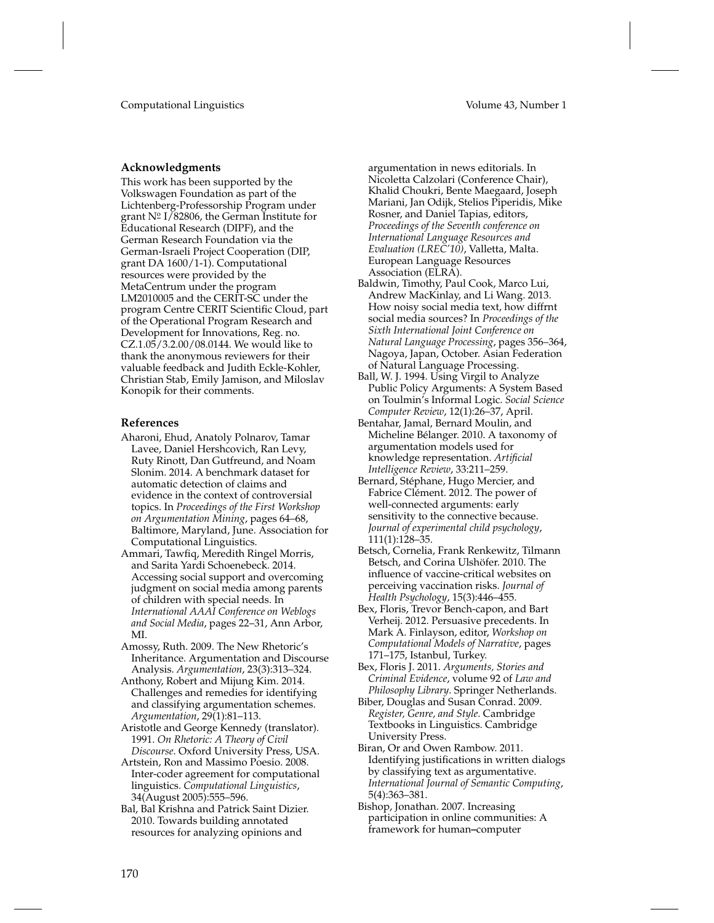#### **Acknowledgments**

This work has been supported by the Volkswagen Foundation as part of the Lichtenberg-Professorship Program under grant  $N^{\underline{o}}$  I/82806, the German Institute for Educational Research (DIPF), and the German Research Foundation via the German-Israeli Project Cooperation (DIP, grant DA 1600/1-1). Computational resources were provided by the MetaCentrum under the program LM2010005 and the CERIT-SC under the program Centre CERIT Scientific Cloud, part of the Operational Program Research and Development for Innovations, Reg. no. CZ.1.05/3.2.00/08.0144. We would like to thank the anonymous reviewers for their valuable feedback and Judith Eckle-Kohler, Christian Stab, Emily Jamison, and Miloslav Konopik for their comments.

### **References**

- Aharoni, Ehud, Anatoly Polnarov, Tamar Lavee, Daniel Hershcovich, Ran Levy, Ruty Rinott, Dan Gutfreund, and Noam Slonim. 2014. A benchmark dataset for automatic detection of claims and evidence in the context of controversial topics. In *Proceedings of the First Workshop on Argumentation Mining*, pages 64–68, Baltimore, Maryland, June. Association for Computational Linguistics.
- Ammari, Tawfiq, Meredith Ringel Morris, and Sarita Yardi Schoenebeck. 2014. Accessing social support and overcoming judgment on social media among parents of children with special needs. In *International AAAI Conference on Weblogs and Social Media*, pages 22–31, Ann Arbor, MI.
- Amossy, Ruth. 2009. The New Rhetoric's Inheritance. Argumentation and Discourse Analysis. *Argumentation*, 23(3):313–324.
- Anthony, Robert and Mijung Kim. 2014. Challenges and remedies for identifying and classifying argumentation schemes. *Argumentation*, 29(1):81–113.
- Aristotle and George Kennedy (translator). 1991. *On Rhetoric: A Theory of Civil Discourse*. Oxford University Press, USA.
- Artstein, Ron and Massimo Poesio. 2008. Inter-coder agreement for computational linguistics. *Computational Linguistics*, 34(August 2005):555–596.
- Bal, Bal Krishna and Patrick Saint Dizier. 2010. Towards building annotated resources for analyzing opinions and

argumentation in news editorials. In Nicoletta Calzolari (Conference Chair), Khalid Choukri, Bente Maegaard, Joseph Mariani, Jan Odijk, Stelios Piperidis, Mike Rosner, and Daniel Tapias, editors, *Proceedings of the Seventh conference on International Language Resources and Evaluation (LREC'10)*, Valletta, Malta. European Language Resources Association (ELRA).

- Baldwin, Timothy, Paul Cook, Marco Lui, Andrew MacKinlay, and Li Wang. 2013. How noisy social media text, how diffrnt social media sources? In *Proceedings of the Sixth International Joint Conference on Natural Language Processing*, pages 356–364, Nagoya, Japan, October. Asian Federation of Natural Language Processing.
- Ball, W. J. 1994. Using Virgil to Analyze Public Policy Arguments: A System Based on Toulmin's Informal Logic. *Social Science Computer Review*, 12(1):26–37, April.
- Bentahar, Jamal, Bernard Moulin, and Micheline Bélanger. 2010. A taxonomy of argumentation models used for knowledge representation. *Artificial Intelligence Review*, 33:211–259.
- Bernard, Stéphane, Hugo Mercier, and Fabrice Clément. 2012. The power of well-connected arguments: early sensitivity to the connective because. *Journal of experimental child psychology*, 111(1):128–35.
- Betsch, Cornelia, Frank Renkewitz, Tilmann Betsch, and Corina Ulshöfer. 2010. The influence of vaccine-critical websites on perceiving vaccination risks. *Journal of Health Psychology*, 15(3):446–455.
- Bex, Floris, Trevor Bench-capon, and Bart Verheij. 2012. Persuasive precedents. In Mark A. Finlayson, editor, *Workshop on Computational Models of Narrative*, pages 171–175, Istanbul, Turkey.
- Bex, Floris J. 2011. *Arguments, Stories and Criminal Evidence*, volume 92 of *Law and Philosophy Library*. Springer Netherlands.
- Biber, Douglas and Susan Conrad. 2009. *Register, Genre, and Style*. Cambridge Textbooks in Linguistics. Cambridge University Press.
- Biran, Or and Owen Rambow. 2011. Identifying justifications in written dialogs by classifying text as argumentative. *International Journal of Semantic Computing*, 5(4):363–381.
- Bishop, Jonathan. 2007. Increasing participation in online communities: A framework for human**–**computer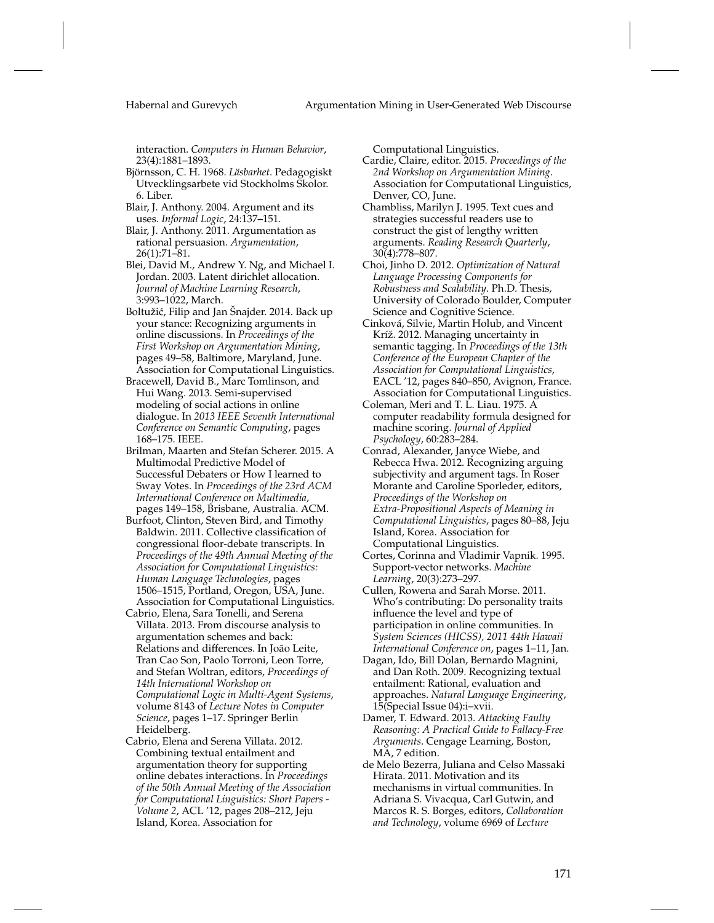interaction. *Computers in Human Behavior*, 23(4):1881–1893.

- Björnsson, C. H. 1968. *Läsbarhet*. Pedagogiskt Utvecklingsarbete vid Stockholms Skolor. 6. Liber.
- Blair, J. Anthony. 2004. Argument and its uses. *Informal Logic*, 24:137**–**151.
- Blair, J. Anthony. 2011. Argumentation as rational persuasion. *Argumentation*, 26(1):71–81.
- Blei, David M., Andrew Y. Ng, and Michael I. Jordan. 2003. Latent dirichlet allocation. *Journal of Machine Learning Research*, 3:993–1022, March.
- Boltužić, Filip and Jan Šnajder. 2014. Back up your stance: Recognizing arguments in online discussions. In *Proceedings of the First Workshop on Argumentation Mining*, pages 49–58, Baltimore, Maryland, June. Association for Computational Linguistics.
- Bracewell, David B., Marc Tomlinson, and Hui Wang. 2013. Semi-supervised modeling of social actions in online dialogue. In *2013 IEEE Seventh International Conference on Semantic Computing*, pages 168–175. IEEE.
- Brilman, Maarten and Stefan Scherer. 2015. A Multimodal Predictive Model of Successful Debaters or How I learned to Sway Votes. In *Proceedings of the 23rd ACM International Conference on Multimedia*, pages 149–158, Brisbane, Australia. ACM.
- Burfoot, Clinton, Steven Bird, and Timothy Baldwin. 2011. Collective classification of congressional floor-debate transcripts. In *Proceedings of the 49th Annual Meeting of the Association for Computational Linguistics: Human Language Technologies*, pages 1506–1515, Portland, Oregon, USA, June. Association for Computational Linguistics.
- Cabrio, Elena, Sara Tonelli, and Serena Villata. 2013. From discourse analysis to argumentation schemes and back: Relations and differences. In João Leite, Tran Cao Son, Paolo Torroni, Leon Torre, and Stefan Woltran, editors, *Proceedings of 14th International Workshop on Computational Logic in Multi-Agent Systems*, volume 8143 of *Lecture Notes in Computer Science*, pages 1–17. Springer Berlin Heidelberg.
- Cabrio, Elena and Serena Villata. 2012. Combining textual entailment and argumentation theory for supporting online debates interactions. In *Proceedings of the 50th Annual Meeting of the Association for Computational Linguistics: Short Papers - Volume 2*, ACL '12, pages 208–212, Jeju Island, Korea. Association for

Computational Linguistics.

- Cardie, Claire, editor. 2015. *Proceedings of the 2nd Workshop on Argumentation Mining*. Association for Computational Linguistics, Denver, CO, June.
- Chambliss, Marilyn J. 1995. Text cues and strategies successful readers use to construct the gist of lengthy written arguments. *Reading Research Quarterly*, 30(4):778–807.
- Choi, Jinho D. 2012. *Optimization of Natural Language Processing Components for Robustness and Scalability*. Ph.D. Thesis, University of Colorado Boulder, Computer Science and Cognitive Science.
- Cinková, Silvie, Martin Holub, and Vincent Kríž. 2012. Managing uncertainty in semantic tagging. In *Proceedings of the 13th Conference of the European Chapter of the Association for Computational Linguistics*, EACL '12, pages 840–850, Avignon, France. Association for Computational Linguistics.
- Coleman, Meri and T. L. Liau. 1975. A computer readability formula designed for machine scoring. *Journal of Applied Psychology*, 60:283–284.
- Conrad, Alexander, Janyce Wiebe, and Rebecca Hwa. 2012. Recognizing arguing subjectivity and argument tags. In Roser Morante and Caroline Sporleder, editors, *Proceedings of the Workshop on Extra-Propositional Aspects of Meaning in Computational Linguistics*, pages 80–88, Jeju Island, Korea. Association for Computational Linguistics.
- Cortes, Corinna and Vladimir Vapnik. 1995. Support-vector networks. *Machine Learning*, 20(3):273–297.
- Cullen, Rowena and Sarah Morse. 2011. Who's contributing: Do personality traits influence the level and type of participation in online communities. In *System Sciences (HICSS), 2011 44th Hawaii International Conference on*, pages 1–11, Jan.
- Dagan, Ido, Bill Dolan, Bernardo Magnini, and Dan Roth. 2009. Recognizing textual entailment: Rational, evaluation and approaches. *Natural Language Engineering*, 15(Special Issue 04):i–xvii.
- Damer, T. Edward. 2013. *Attacking Faulty Reasoning: A Practical Guide to Fallacy-Free Arguments*. Cengage Learning, Boston, MA, 7 edition.
- de Melo Bezerra, Juliana and Celso Massaki Hirata. 2011. Motivation and its mechanisms in virtual communities. In Adriana S. Vivacqua, Carl Gutwin, and Marcos R. S. Borges, editors, *Collaboration and Technology*, volume 6969 of *Lecture*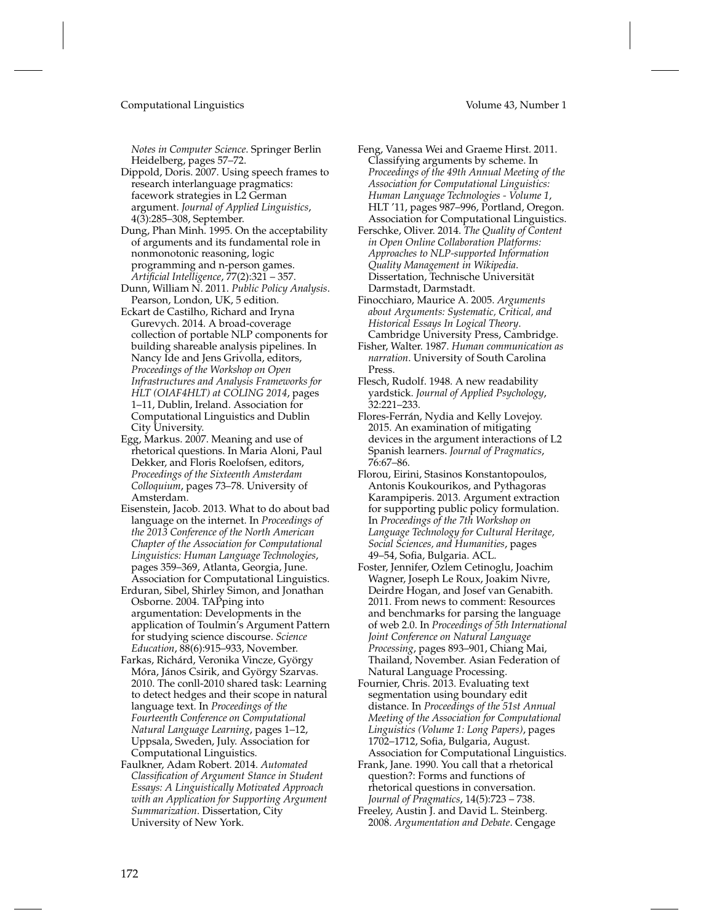*Notes in Computer Science*. Springer Berlin Heidelberg, pages 57–72.

- Dippold, Doris. 2007. Using speech frames to research interlanguage pragmatics: facework strategies in L2 German argument. *Journal of Applied Linguistics*, 4(3):285–308, September.
- Dung, Phan Minh. 1995. On the acceptability of arguments and its fundamental role in nonmonotonic reasoning, logic programming and n-person games. *Artificial Intelligence*, 77(2):321 – 357.
- Dunn, William N. 2011. *Public Policy Analysis*. Pearson, London, UK, 5 edition.
- Eckart de Castilho, Richard and Iryna Gurevych. 2014. A broad-coverage collection of portable NLP components for building shareable analysis pipelines. In Nancy Ide and Jens Grivolla, editors, *Proceedings of the Workshop on Open Infrastructures and Analysis Frameworks for HLT (OIAF4HLT) at COLING 2014*, pages 1–11, Dublin, Ireland. Association for Computational Linguistics and Dublin City University.
- Egg, Markus. 2007. Meaning and use of rhetorical questions. In Maria Aloni, Paul Dekker, and Floris Roelofsen, editors, *Proceedings of the Sixteenth Amsterdam Colloquium*, pages 73–78. University of Amsterdam.
- Eisenstein, Jacob. 2013. What to do about bad language on the internet. In *Proceedings of the 2013 Conference of the North American Chapter of the Association for Computational Linguistics: Human Language Technologies*, pages 359–369, Atlanta, Georgia, June. Association for Computational Linguistics.
- Erduran, Sibel, Shirley Simon, and Jonathan Osborne. 2004. TAPping into argumentation: Developments in the application of Toulmin's Argument Pattern for studying science discourse. *Science Education*, 88(6):915–933, November.
- Farkas, Richárd, Veronika Vincze, György Móra, János Csirik, and György Szarvas. 2010. The conll-2010 shared task: Learning to detect hedges and their scope in natural language text. In *Proceedings of the Fourteenth Conference on Computational Natural Language Learning*, pages 1–12, Uppsala, Sweden, July. Association for Computational Linguistics.
- Faulkner, Adam Robert. 2014. *Automated Classification of Argument Stance in Student Essays: A Linguistically Motivated Approach with an Application for Supporting Argument Summarization*. Dissertation, City University of New York.
- Feng, Vanessa Wei and Graeme Hirst. 2011. Classifying arguments by scheme. In *Proceedings of the 49th Annual Meeting of the Association for Computational Linguistics: Human Language Technologies - Volume 1*, HLT '11, pages 987–996, Portland, Oregon. Association for Computational Linguistics.
- Ferschke, Oliver. 2014. *The Quality of Content in Open Online Collaboration Platforms: Approaches to NLP-supported Information Quality Management in Wikipedia*. Dissertation, Technische Universität Darmstadt, Darmstadt.
- Finocchiaro, Maurice A. 2005. *Arguments about Arguments: Systematic, Critical, and Historical Essays In Logical Theory*. Cambridge University Press, Cambridge.
- Fisher, Walter. 1987. *Human communication as narration*. University of South Carolina Press.
- Flesch, Rudolf. 1948. A new readability yardstick. *Journal of Applied Psychology*, 32:221–233.
- Flores-Ferrán, Nydia and Kelly Lovejoy. 2015. An examination of mitigating devices in the argument interactions of L2 Spanish learners. *Journal of Pragmatics*, 76:67–86.
- Florou, Eirini, Stasinos Konstantopoulos, Antonis Koukourikos, and Pythagoras Karampiperis. 2013. Argument extraction for supporting public policy formulation. In *Proceedings of the 7th Workshop on Language Technology for Cultural Heritage, Social Sciences, and Humanities*, pages 49–54, Sofia, Bulgaria. ACL.
- Foster, Jennifer, Ozlem Cetinoglu, Joachim Wagner, Joseph Le Roux, Joakim Nivre, Deirdre Hogan, and Josef van Genabith. 2011. From news to comment: Resources and benchmarks for parsing the language of web 2.0. In *Proceedings of 5th International Joint Conference on Natural Language Processing*, pages 893–901, Chiang Mai, Thailand, November. Asian Federation of Natural Language Processing.
- Fournier, Chris. 2013. Evaluating text segmentation using boundary edit distance. In *Proceedings of the 51st Annual Meeting of the Association for Computational Linguistics (Volume 1: Long Papers)*, pages 1702–1712, Sofia, Bulgaria, August.
- Association for Computational Linguistics. Frank, Jane. 1990. You call that a rhetorical question?: Forms and functions of rhetorical questions in conversation. *Journal of Pragmatics*, 14(5):723 – 738.
- Freeley, Austin J. and David L. Steinberg. 2008. *Argumentation and Debate*. Cengage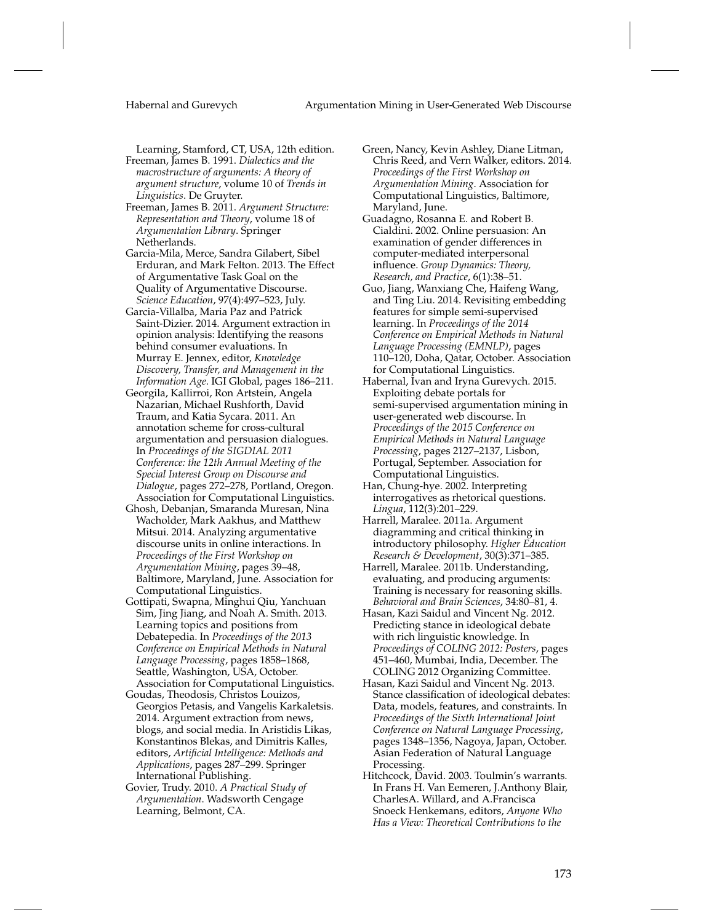Learning, Stamford, CT, USA, 12th edition. Freeman, James B. 1991. *Dialectics and the macrostructure of arguments: A theory of*

- *argument structure*, volume 10 of *Trends in Linguistics*. De Gruyter.
- Freeman, James B. 2011. *Argument Structure: Representation and Theory*, volume 18 of *Argumentation Library*. Springer Netherlands.
- Garcia-Mila, Merce, Sandra Gilabert, Sibel Erduran, and Mark Felton. 2013. The Effect of Argumentative Task Goal on the Quality of Argumentative Discourse. *Science Education*, 97(4):497–523, July.
- Garcia-Villalba, Maria Paz and Patrick Saint-Dizier. 2014. Argument extraction in opinion analysis: Identifying the reasons behind consumer evaluations. In Murray E. Jennex, editor, *Knowledge Discovery, Transfer, and Management in the Information Age*. IGI Global, pages 186–211.
- Georgila, Kallirroi, Ron Artstein, Angela Nazarian, Michael Rushforth, David Traum, and Katia Sycara. 2011. An annotation scheme for cross-cultural argumentation and persuasion dialogues. In *Proceedings of the SIGDIAL 2011 Conference: the 12th Annual Meeting of the Special Interest Group on Discourse and Dialogue*, pages 272–278, Portland, Oregon. Association for Computational Linguistics.
- Ghosh, Debanjan, Smaranda Muresan, Nina Wacholder, Mark Aakhus, and Matthew Mitsui. 2014. Analyzing argumentative discourse units in online interactions. In *Proceedings of the First Workshop on Argumentation Mining*, pages 39–48, Baltimore, Maryland, June. Association for Computational Linguistics.
- Gottipati, Swapna, Minghui Qiu, Yanchuan Sim, Jing Jiang, and Noah A. Smith. 2013. Learning topics and positions from Debatepedia. In *Proceedings of the 2013 Conference on Empirical Methods in Natural Language Processing*, pages 1858–1868, Seattle, Washington, USA, October. Association for Computational Linguistics.
- Goudas, Theodosis, Christos Louizos, Georgios Petasis, and Vangelis Karkaletsis. 2014. Argument extraction from news, blogs, and social media. In Aristidis Likas, Konstantinos Blekas, and Dimitris Kalles, editors, *Artificial Intelligence: Methods and Applications*, pages 287–299. Springer International Publishing.
- Govier, Trudy. 2010. *A Practical Study of Argumentation*. Wadsworth Cengage Learning, Belmont, CA.
- Green, Nancy, Kevin Ashley, Diane Litman, Chris Reed, and Vern Walker, editors. 2014. *Proceedings of the First Workshop on Argumentation Mining*. Association for Computational Linguistics, Baltimore, Maryland, June.
- Guadagno, Rosanna E. and Robert B. Cialdini. 2002. Online persuasion: An examination of gender differences in computer-mediated interpersonal influence. *Group Dynamics: Theory, Research, and Practice*, 6(1):38–51.
- Guo, Jiang, Wanxiang Che, Haifeng Wang, and Ting Liu. 2014. Revisiting embedding features for simple semi-supervised learning. In *Proceedings of the 2014 Conference on Empirical Methods in Natural Language Processing (EMNLP)*, pages 110–120, Doha, Qatar, October. Association for Computational Linguistics.
- Habernal, Ivan and Iryna Gurevych. 2015. Exploiting debate portals for semi-supervised argumentation mining in user-generated web discourse. In *Proceedings of the 2015 Conference on Empirical Methods in Natural Language Processing*, pages 2127–2137, Lisbon, Portugal, September. Association for Computational Linguistics.
- Han, Chung-hye. 2002. Interpreting interrogatives as rhetorical questions. *Lingua*, 112(3):201–229.
- Harrell, Maralee. 2011a. Argument diagramming and critical thinking in introductory philosophy. *Higher Education Research & Development*, 30(3):371–385.
- Harrell, Maralee. 2011b. Understanding, evaluating, and producing arguments: Training is necessary for reasoning skills. *Behavioral and Brain Sciences*, 34:80–81, 4.
- Hasan, Kazi Saidul and Vincent Ng. 2012. Predicting stance in ideological debate with rich linguistic knowledge. In *Proceedings of COLING 2012: Posters*, pages 451–460, Mumbai, India, December. The COLING 2012 Organizing Committee.
- Hasan, Kazi Saidul and Vincent Ng. 2013. Stance classification of ideological debates: Data, models, features, and constraints. In *Proceedings of the Sixth International Joint Conference on Natural Language Processing*, pages 1348–1356, Nagoya, Japan, October. Asian Federation of Natural Language Processing.
- Hitchcock, David. 2003. Toulmin's warrants. In Frans H. Van Eemeren, J.Anthony Blair, CharlesA. Willard, and A.Francisca Snoeck Henkemans, editors, *Anyone Who Has a View: Theoretical Contributions to the*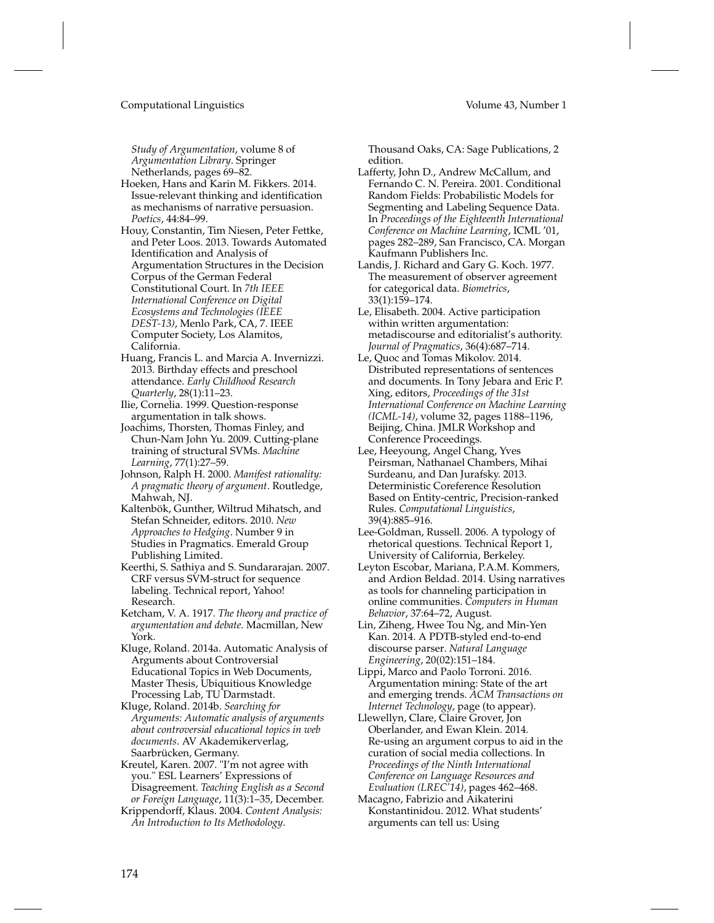*Study of Argumentation*, volume 8 of *Argumentation Library*. Springer Netherlands, pages 69–82.

Hoeken, Hans and Karin M. Fikkers. 2014. Issue-relevant thinking and identification as mechanisms of narrative persuasion. *Poetics*, 44:84–99.

Houy, Constantin, Tim Niesen, Peter Fettke, and Peter Loos. 2013. Towards Automated Identification and Analysis of Argumentation Structures in the Decision Corpus of the German Federal Constitutional Court. In *7th IEEE International Conference on Digital Ecosystems and Technologies (IEEE DEST-13)*, Menlo Park, CA, 7. IEEE Computer Society, Los Alamitos, California.

Huang, Francis L. and Marcia A. Invernizzi. 2013. Birthday effects and preschool attendance. *Early Childhood Research Quarterly*, 28(1):11–23.

Ilie, Cornelia. 1999. Question-response argumentation in talk shows.

Joachims, Thorsten, Thomas Finley, and Chun-Nam John Yu. 2009. Cutting-plane training of structural SVMs. *Machine Learning*, 77(1):27–59.

Johnson, Ralph H. 2000. *Manifest rationality: A pragmatic theory of argument*. Routledge, Mahwah, NJ.

Kaltenbök, Gunther, Wiltrud Mihatsch, and Stefan Schneider, editors. 2010. *New Approaches to Hedging*. Number 9 in Studies in Pragmatics. Emerald Group Publishing Limited.

Keerthi, S. Sathiya and S. Sundararajan. 2007. CRF versus SVM-struct for sequence labeling. Technical report, Yahoo! Research.

Ketcham, V. A. 1917. *The theory and practice of argumentation and debate*. Macmillan, New York.

Kluge, Roland. 2014a. Automatic Analysis of Arguments about Controversial Educational Topics in Web Documents, Master Thesis, Ubiquitious Knowledge Processing Lab, TU Darmstadt.

Kluge, Roland. 2014b. *Searching for Arguments: Automatic analysis of arguments about controversial educational topics in web documents*. AV Akademikerverlag, Saarbrücken, Germany.

Kreutel, Karen. 2007. "I'm not agree with you." ESL Learners' Expressions of Disagreement. *Teaching English as a Second or Foreign Language*, 11(3):1–35, December.

Krippendorff, Klaus. 2004. *Content Analysis: An Introduction to Its Methodology*.

Thousand Oaks, CA: Sage Publications, 2 edition.

Lafferty, John D., Andrew McCallum, and Fernando C. N. Pereira. 2001. Conditional Random Fields: Probabilistic Models for Segmenting and Labeling Sequence Data. In *Proceedings of the Eighteenth International Conference on Machine Learning*, ICML '01, pages 282–289, San Francisco, CA. Morgan Kaufmann Publishers Inc.

Landis, J. Richard and Gary G. Koch. 1977. The measurement of observer agreement for categorical data. *Biometrics*, 33(1):159–174.

Le, Elisabeth. 2004. Active participation within written argumentation: metadiscourse and editorialist's authority. *Journal of Pragmatics*, 36(4):687–714.

Le, Quoc and Tomas Mikolov. 2014. Distributed representations of sentences and documents. In Tony Jebara and Eric P. Xing, editors, *Proceedings of the 31st International Conference on Machine Learning (ICML-14)*, volume 32, pages 1188–1196, Beijing, China. JMLR Workshop and Conference Proceedings.

Lee, Heeyoung, Angel Chang, Yves Peirsman, Nathanael Chambers, Mihai Surdeanu, and Dan Jurafsky. 2013. Deterministic Coreference Resolution Based on Entity-centric, Precision-ranked Rules. *Computational Linguistics*, 39(4):885–916.

Lee-Goldman, Russell. 2006. A typology of rhetorical questions. Technical Report 1, University of California, Berkeley.

Leyton Escobar, Mariana, P.A.M. Kommers, and Ardion Beldad. 2014. Using narratives as tools for channeling participation in online communities. *Computers in Human Behavior*, 37:64–72, August.

Lin, Ziheng, Hwee Tou Ng, and Min-Yen Kan. 2014. A PDTB-styled end-to-end discourse parser. *Natural Language Engineering*, 20(02):151–184.

Lippi, Marco and Paolo Torroni. 2016. Argumentation mining: State of the art and emerging trends. *ACM Transactions on Internet Technology*, page (to appear).

Llewellyn, Clare, Claire Grover, Jon Oberlander, and Ewan Klein. 2014. Re-using an argument corpus to aid in the curation of social media collections. In *Proceedings of the Ninth International Conference on Language Resources and Evaluation (LREC'14)*, pages 462–468.

Macagno, Fabrizio and Aikaterini Konstantinidou. 2012. What students' arguments can tell us: Using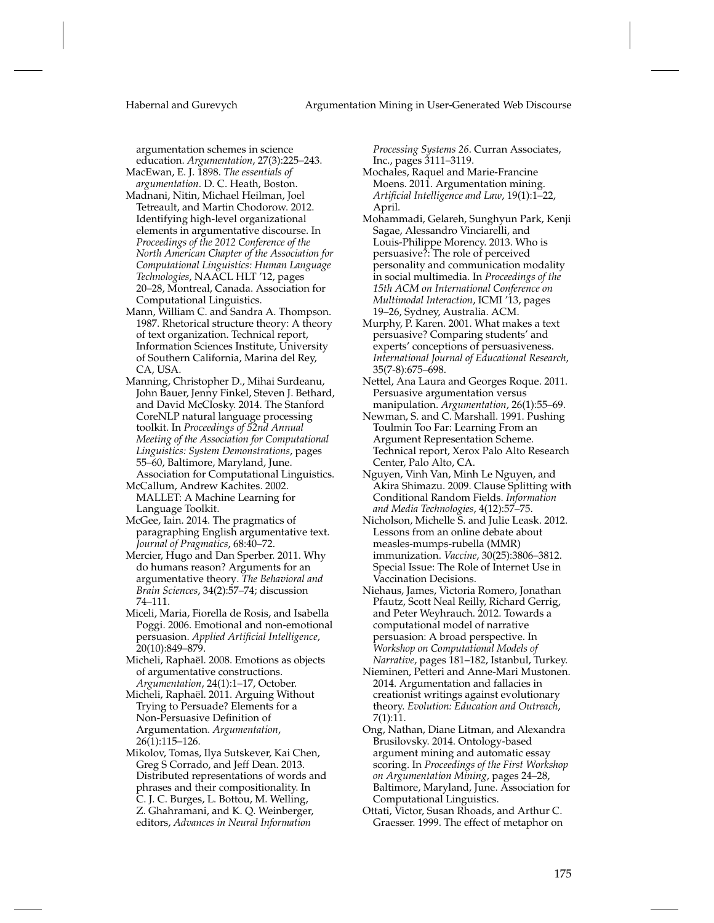argumentation schemes in science education. *Argumentation*, 27(3):225–243.

MacEwan, E. J. 1898. *The essentials of*

*argumentation*. D. C. Heath, Boston.

- Madnani, Nitin, Michael Heilman, Joel Tetreault, and Martin Chodorow. 2012. Identifying high-level organizational elements in argumentative discourse. In *Proceedings of the 2012 Conference of the North American Chapter of the Association for Computational Linguistics: Human Language Technologies*, NAACL HLT '12, pages 20–28, Montreal, Canada. Association for Computational Linguistics.
- Mann, William C. and Sandra A. Thompson. 1987. Rhetorical structure theory: A theory of text organization. Technical report, Information Sciences Institute, University of Southern California, Marina del Rey, CA, USA.
- Manning, Christopher D., Mihai Surdeanu, John Bauer, Jenny Finkel, Steven J. Bethard, and David McClosky. 2014. The Stanford CoreNLP natural language processing toolkit. In *Proceedings of 52nd Annual Meeting of the Association for Computational Linguistics: System Demonstrations*, pages 55–60, Baltimore, Maryland, June. Association for Computational Linguistics.
- McCallum, Andrew Kachites. 2002. MALLET: A Machine Learning for Language Toolkit.
- McGee, Iain. 2014. The pragmatics of paragraphing English argumentative text. *Journal of Pragmatics*, 68:40–72.
- Mercier, Hugo and Dan Sperber. 2011. Why do humans reason? Arguments for an argumentative theory. *The Behavioral and Brain Sciences*, 34(2):57–74; discussion 74–111.
- Miceli, Maria, Fiorella de Rosis, and Isabella Poggi. 2006. Emotional and non-emotional persuasion. *Applied Artificial Intelligence*, 20(10):849–879.
- Micheli, Raphaël. 2008. Emotions as objects of argumentative constructions.
- *Argumentation*, 24(1):1–17, October. Micheli, Raphaël. 2011. Arguing Without Trying to Persuade? Elements for a Non-Persuasive Definition of Argumentation. *Argumentation*,  $26(1):115-126.$
- Mikolov, Tomas, Ilya Sutskever, Kai Chen, Greg S Corrado, and Jeff Dean. 2013. Distributed representations of words and phrases and their compositionality. In C. J. C. Burges, L. Bottou, M. Welling, Z. Ghahramani, and K. Q. Weinberger, editors, *Advances in Neural Information*

*Processing Systems 26*. Curran Associates, Inc., pages 3111–3119.

- Mochales, Raquel and Marie-Francine Moens. 2011. Argumentation mining. *Artificial Intelligence and Law*, 19(1):1–22, April.
- Mohammadi, Gelareh, Sunghyun Park, Kenji Sagae, Alessandro Vinciarelli, and Louis-Philippe Morency. 2013. Who is persuasive?: The role of perceived personality and communication modality in social multimedia. In *Proceedings of the 15th ACM on International Conference on Multimodal Interaction*, ICMI '13, pages 19–26, Sydney, Australia. ACM.
- Murphy, P. Karen. 2001. What makes a text persuasive? Comparing students' and experts' conceptions of persuasiveness. *International Journal of Educational Research*, 35(7-8):675–698.
- Nettel, Ana Laura and Georges Roque. 2011. Persuasive argumentation versus manipulation. *Argumentation*, 26(1):55–69.
- Newman, S. and C. Marshall. 1991. Pushing Toulmin Too Far: Learning From an Argument Representation Scheme. Technical report, Xerox Palo Alto Research Center, Palo Alto, CA.
- Nguyen, Vinh Van, Minh Le Nguyen, and Akira Shimazu. 2009. Clause Splitting with Conditional Random Fields. *Information and Media Technologies*, 4(12):57–75.
- Nicholson, Michelle S. and Julie Leask. 2012. Lessons from an online debate about measles-mumps-rubella (MMR) immunization. *Vaccine*, 30(25):3806–3812. Special Issue: The Role of Internet Use in Vaccination Decisions.
- Niehaus, James, Victoria Romero, Jonathan Pfautz, Scott Neal Reilly, Richard Gerrig, and Peter Weyhrauch. 2012. Towards a computational model of narrative persuasion: A broad perspective. In *Workshop on Computational Models of Narrative*, pages 181–182, Istanbul, Turkey.
- Nieminen, Petteri and Anne-Mari Mustonen. 2014. Argumentation and fallacies in creationist writings against evolutionary theory. *Evolution: Education and Outreach*, 7(1):11.
- Ong, Nathan, Diane Litman, and Alexandra Brusilovsky. 2014. Ontology-based argument mining and automatic essay scoring. In *Proceedings of the First Workshop on Argumentation Mining*, pages 24–28, Baltimore, Maryland, June. Association for Computational Linguistics.
- Ottati, Victor, Susan Rhoads, and Arthur C. Graesser. 1999. The effect of metaphor on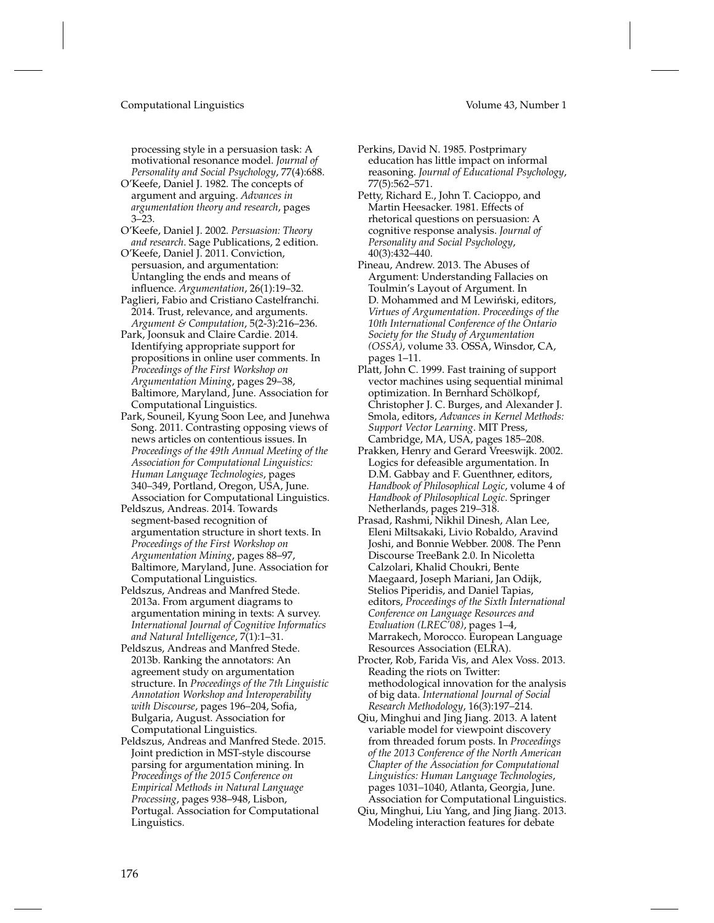processing style in a persuasion task: A motivational resonance model. *Journal of Personality and Social Psychology*, 77(4):688.

- O'Keefe, Daniel J. 1982. The concepts of argument and arguing. *Advances in argumentation theory and research*, pages 3–23.
- O'Keefe, Daniel J. 2002. *Persuasion: Theory and research*. Sage Publications, 2 edition.
- O'Keefe, Daniel J. 2011. Conviction, persuasion, and argumentation: Untangling the ends and means of influence. *Argumentation*, 26(1):19–32.
- Paglieri, Fabio and Cristiano Castelfranchi. 2014. Trust, relevance, and arguments. *Argument & Computation*, 5(2-3):216–236.
- Park, Joonsuk and Claire Cardie. 2014. Identifying appropriate support for propositions in online user comments. In *Proceedings of the First Workshop on Argumentation Mining*, pages 29–38, Baltimore, Maryland, June. Association for Computational Linguistics.
- Park, Souneil, Kyung Soon Lee, and Junehwa Song. 2011. Contrasting opposing views of news articles on contentious issues. In *Proceedings of the 49th Annual Meeting of the Association for Computational Linguistics: Human Language Technologies*, pages 340–349, Portland, Oregon, USA, June. Association for Computational Linguistics.
- Peldszus, Andreas. 2014. Towards segment-based recognition of argumentation structure in short texts. In *Proceedings of the First Workshop on Argumentation Mining*, pages 88–97, Baltimore, Maryland, June. Association for Computational Linguistics.
- Peldszus, Andreas and Manfred Stede. 2013a. From argument diagrams to argumentation mining in texts: A survey. *International Journal of Cognitive Informatics and Natural Intelligence*, 7(1):1–31.
- Peldszus, Andreas and Manfred Stede. 2013b. Ranking the annotators: An agreement study on argumentation structure. In *Proceedings of the 7th Linguistic Annotation Workshop and Interoperability with Discourse*, pages 196–204, Sofia, Bulgaria, August. Association for Computational Linguistics.
- Peldszus, Andreas and Manfred Stede. 2015. Joint prediction in MST-style discourse parsing for argumentation mining. In *Proceedings of the 2015 Conference on Empirical Methods in Natural Language Processing*, pages 938–948, Lisbon, Portugal. Association for Computational Linguistics.
- Perkins, David N. 1985. Postprimary education has little impact on informal reasoning. *Journal of Educational Psychology*, 77(5):562–571.
- Petty, Richard E., John T. Cacioppo, and Martin Heesacker. 1981. Effects of rhetorical questions on persuasion: A cognitive response analysis. *Journal of Personality and Social Psychology*, 40(3):432–440.
- Pineau, Andrew. 2013. The Abuses of Argument: Understanding Fallacies on Toulmin's Layout of Argument. In D. Mohammed and M Lewiński, editors, *Virtues of Argumentation. Proceedings of the 10th International Conference of the Ontario Society for the Study of Argumentation (OSSA)*, volume 33. OSSA, Winsdor, CA, pages 1–11.
- Platt, John C. 1999. Fast training of support vector machines using sequential minimal optimization. In Bernhard Schölkopf, Christopher J. C. Burges, and Alexander J. Smola, editors, *Advances in Kernel Methods: Support Vector Learning*. MIT Press, Cambridge, MA, USA, pages 185–208.
- Prakken, Henry and Gerard Vreeswijk. 2002. Logics for defeasible argumentation. In D.M. Gabbay and F. Guenthner, editors, *Handbook of Philosophical Logic*, volume 4 of *Handbook of Philosophical Logic*. Springer Netherlands, pages 219–318.
- Prasad, Rashmi, Nikhil Dinesh, Alan Lee, Eleni Miltsakaki, Livio Robaldo, Aravind Joshi, and Bonnie Webber. 2008. The Penn Discourse TreeBank 2.0. In Nicoletta Calzolari, Khalid Choukri, Bente Maegaard, Joseph Mariani, Jan Odijk, Stelios Piperidis, and Daniel Tapias, editors, *Proceedings of the Sixth International Conference on Language Resources and Evaluation (LREC'08)*, pages 1–4, Marrakech, Morocco. European Language Resources Association (ELRA).
- Procter, Rob, Farida Vis, and Alex Voss. 2013. Reading the riots on Twitter: methodological innovation for the analysis of big data. *International Journal of Social Research Methodology*, 16(3):197–214.
- Qiu, Minghui and Jing Jiang. 2013. A latent variable model for viewpoint discovery from threaded forum posts. In *Proceedings of the 2013 Conference of the North American Chapter of the Association for Computational Linguistics: Human Language Technologies*, pages 1031–1040, Atlanta, Georgia, June. Association for Computational Linguistics.
- Qiu, Minghui, Liu Yang, and Jing Jiang. 2013. Modeling interaction features for debate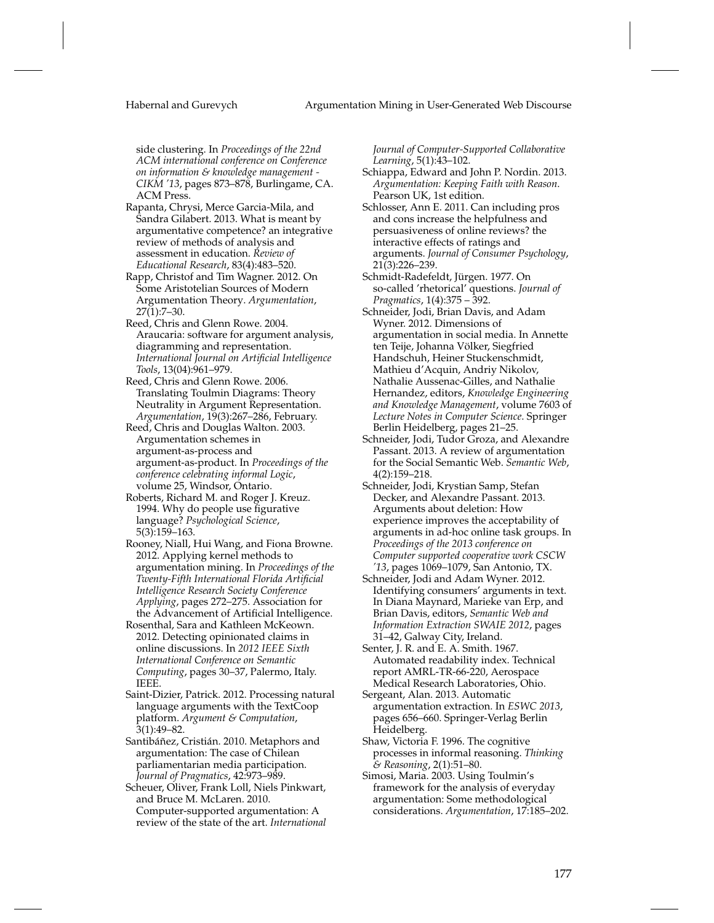#### Habernal and Gurevych Argumentation Mining in User-Generated Web Discourse

side clustering. In *Proceedings of the 22nd ACM international conference on Conference on information & knowledge management - CIKM '13*, pages 873–878, Burlingame, CA. ACM Press.

- Rapanta, Chrysi, Merce Garcia-Mila, and Sandra Gilabert. 2013. What is meant by argumentative competence? an integrative review of methods of analysis and assessment in education. *Review of Educational Research*, 83(4):483–520.
- Rapp, Christof and Tim Wagner. 2012. On Some Aristotelian Sources of Modern Argumentation Theory. *Argumentation*, 27(1):7–30.
- Reed, Chris and Glenn Rowe. 2004. Araucaria: software for argument analysis, diagramming and representation. *International Journal on Artificial Intelligence Tools*, 13(04):961–979.
- Reed, Chris and Glenn Rowe. 2006. Translating Toulmin Diagrams: Theory Neutrality in Argument Representation. *Argumentation*, 19(3):267–286, February.
- Reed, Chris and Douglas Walton. 2003. Argumentation schemes in argument-as-process and argument-as-product. In *Proceedings of the conference celebrating informal Logic*, volume 25, Windsor, Ontario.
- Roberts, Richard M. and Roger J. Kreuz. 1994. Why do people use figurative language? *Psychological Science*, 5(3):159–163.
- Rooney, Niall, Hui Wang, and Fiona Browne. 2012. Applying kernel methods to argumentation mining. In *Proceedings of the Twenty-Fifth International Florida Artificial Intelligence Research Society Conference Applying*, pages 272–275. Association for the Advancement of Artificial Intelligence.
- Rosenthal, Sara and Kathleen McKeown. 2012. Detecting opinionated claims in online discussions. In *2012 IEEE Sixth International Conference on Semantic Computing*, pages 30–37, Palermo, Italy. IEEE.
- Saint-Dizier, Patrick. 2012. Processing natural language arguments with the TextCoop platform. *Argument & Computation*, 3(1):49–82.
- Santibáñez, Cristián. 2010. Metaphors and argumentation: The case of Chilean parliamentarian media participation. *Journal of Pragmatics*, 42:973–989.
- Scheuer, Oliver, Frank Loll, Niels Pinkwart, and Bruce M. McLaren. 2010. Computer-supported argumentation: A review of the state of the art. *International*

*Journal of Computer-Supported Collaborative Learning*, 5(1):43–102.

- Schiappa, Edward and John P. Nordin. 2013. *Argumentation: Keeping Faith with Reason*. Pearson UK, 1st edition.
- Schlosser, Ann E. 2011. Can including pros and cons increase the helpfulness and persuasiveness of online reviews? the interactive effects of ratings and arguments. *Journal of Consumer Psychology*, 21(3):226–239.
- Schmidt-Radefeldt, Jürgen. 1977. On so-called 'rhetorical' questions. *Journal of Pragmatics*, 1(4):375 – 392.
- Schneider, Jodi, Brian Davis, and Adam Wyner. 2012. Dimensions of argumentation in social media. In Annette ten Teije, Johanna Völker, Siegfried Handschuh, Heiner Stuckenschmidt, Mathieu d'Acquin, Andriy Nikolov, Nathalie Aussenac-Gilles, and Nathalie Hernandez, editors, *Knowledge Engineering and Knowledge Management*, volume 7603 of *Lecture Notes in Computer Science*. Springer Berlin Heidelberg, pages 21–25.
- Schneider, Jodi, Tudor Groza, and Alexandre Passant. 2013. A review of argumentation for the Social Semantic Web. *Semantic Web*, 4(2):159–218.
- Schneider, Jodi, Krystian Samp, Stefan Decker, and Alexandre Passant. 2013. Arguments about deletion: How experience improves the acceptability of arguments in ad-hoc online task groups. In *Proceedings of the 2013 conference on Computer supported cooperative work CSCW '13*, pages 1069–1079, San Antonio, TX.
- Schneider, Jodi and Adam Wyner. 2012. Identifying consumers' arguments in text. In Diana Maynard, Marieke van Erp, and Brian Davis, editors, *Semantic Web and Information Extraction SWAIE 2012*, pages 31–42, Galway City, Ireland.
- Senter, J. R. and E. A. Smith. 1967. Automated readability index. Technical report AMRL-TR-66-220, Aerospace Medical Research Laboratories, Ohio.
- Sergeant, Alan. 2013. Automatic argumentation extraction. In *ESWC 2013*, pages 656–660. Springer-Verlag Berlin Heidelberg.
- Shaw, Victoria F. 1996. The cognitive processes in informal reasoning. *Thinking & Reasoning*, 2(1):51–80.
- Simosi, Maria. 2003. Using Toulmin's framework for the analysis of everyday argumentation: Some methodological considerations. *Argumentation*, 17:185–202.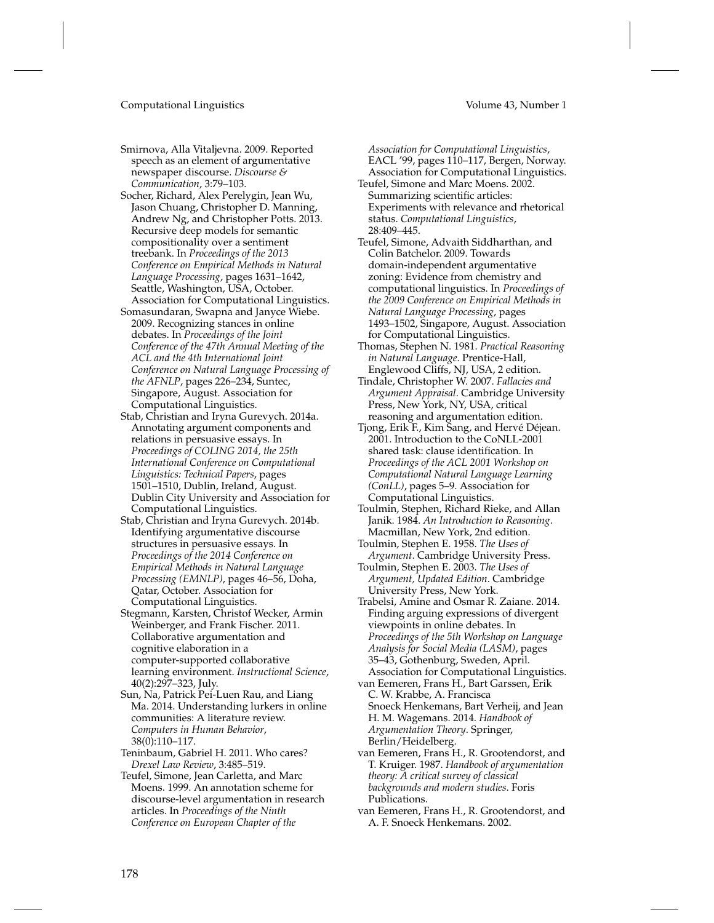Smirnova, Alla Vitaljevna. 2009. Reported speech as an element of argumentative newspaper discourse. *Discourse & Communication*, 3:79–103.

- Socher, Richard, Alex Perelygin, Jean Wu, Jason Chuang, Christopher D. Manning, Andrew Ng, and Christopher Potts. 2013. Recursive deep models for semantic compositionality over a sentiment treebank. In *Proceedings of the 2013 Conference on Empirical Methods in Natural Language Processing*, pages 1631–1642, Seattle, Washington, USA, October. Association for Computational Linguistics.
- Somasundaran, Swapna and Janyce Wiebe. 2009. Recognizing stances in online debates. In *Proceedings of the Joint Conference of the 47th Annual Meeting of the ACL and the 4th International Joint Conference on Natural Language Processing of the AFNLP*, pages 226–234, Suntec, Singapore, August. Association for Computational Linguistics.
- Stab, Christian and Iryna Gurevych. 2014a. Annotating argument components and relations in persuasive essays. In *Proceedings of COLING 2014, the 25th International Conference on Computational Linguistics: Technical Papers*, pages 1501–1510, Dublin, Ireland, August. Dublin City University and Association for Computational Linguistics.
- Stab, Christian and Iryna Gurevych. 2014b. Identifying argumentative discourse structures in persuasive essays. In *Proceedings of the 2014 Conference on Empirical Methods in Natural Language Processing (EMNLP)*, pages 46–56, Doha, Qatar, October. Association for Computational Linguistics.
- Stegmann, Karsten, Christof Wecker, Armin Weinberger, and Frank Fischer. 2011. Collaborative argumentation and cognitive elaboration in a computer-supported collaborative learning environment. *Instructional Science*, 40(2):297–323, July.
- Sun, Na, Patrick Pei-Luen Rau, and Liang Ma. 2014. Understanding lurkers in online communities: A literature review. *Computers in Human Behavior*, 38(0):110–117.
- Teninbaum, Gabriel H. 2011. Who cares? *Drexel Law Review*, 3:485–519.
- Teufel, Simone, Jean Carletta, and Marc Moens. 1999. An annotation scheme for discourse-level argumentation in research articles. In *Proceedings of the Ninth Conference on European Chapter of the*

- *Association for Computational Linguistics*, EACL '99, pages 110–117, Bergen, Norway. Association for Computational Linguistics. Teufel, Simone and Marc Moens. 2002.
- Summarizing scientific articles: Experiments with relevance and rhetorical status. *Computational Linguistics*, 28:409–445.
- Teufel, Simone, Advaith Siddharthan, and Colin Batchelor. 2009. Towards domain-independent argumentative zoning: Evidence from chemistry and computational linguistics. In *Proceedings of the 2009 Conference on Empirical Methods in Natural Language Processing*, pages 1493–1502, Singapore, August. Association for Computational Linguistics.
- Thomas, Stephen N. 1981. *Practical Reasoning in Natural Language*. Prentice-Hall, Englewood Cliffs, NJ, USA, 2 edition.
- Tindale, Christopher W. 2007. *Fallacies and Argument Appraisal*. Cambridge University Press, New York, NY, USA, critical reasoning and argumentation edition.
- Tjong, Erik F., Kim Sang, and Hervé Déjean. 2001. Introduction to the CoNLL-2001 shared task: clause identification. In *Proceedings of the ACL 2001 Workshop on Computational Natural Language Learning (ConLL)*, pages 5–9. Association for Computational Linguistics.
- Toulmin, Stephen, Richard Rieke, and Allan Janik. 1984. *An Introduction to Reasoning*. Macmillan, New York, 2nd edition.
- Toulmin, Stephen E. 1958. *The Uses of Argument*. Cambridge University Press.
- Toulmin, Stephen E. 2003. *The Uses of Argument, Updated Edition*. Cambridge University Press, New York.
- Trabelsi, Amine and Osmar R. Zaiane. 2014. Finding arguing expressions of divergent viewpoints in online debates. In *Proceedings of the 5th Workshop on Language Analysis for Social Media (LASM)*, pages 35–43, Gothenburg, Sweden, April. Association for Computational Linguistics.
- van Eemeren, Frans H., Bart Garssen, Erik C. W. Krabbe, A. Francisca
- Snoeck Henkemans, Bart Verheij, and Jean H. M. Wagemans. 2014. *Handbook of Argumentation Theory*. Springer, Berlin/Heidelberg.
- van Eemeren, Frans H., R. Grootendorst, and T. Kruiger. 1987. *Handbook of argumentation theory: A critical survey of classical backgrounds and modern studies*. Foris Publications.
- van Eemeren, Frans H., R. Grootendorst, and A. F. Snoeck Henkemans. 2002.